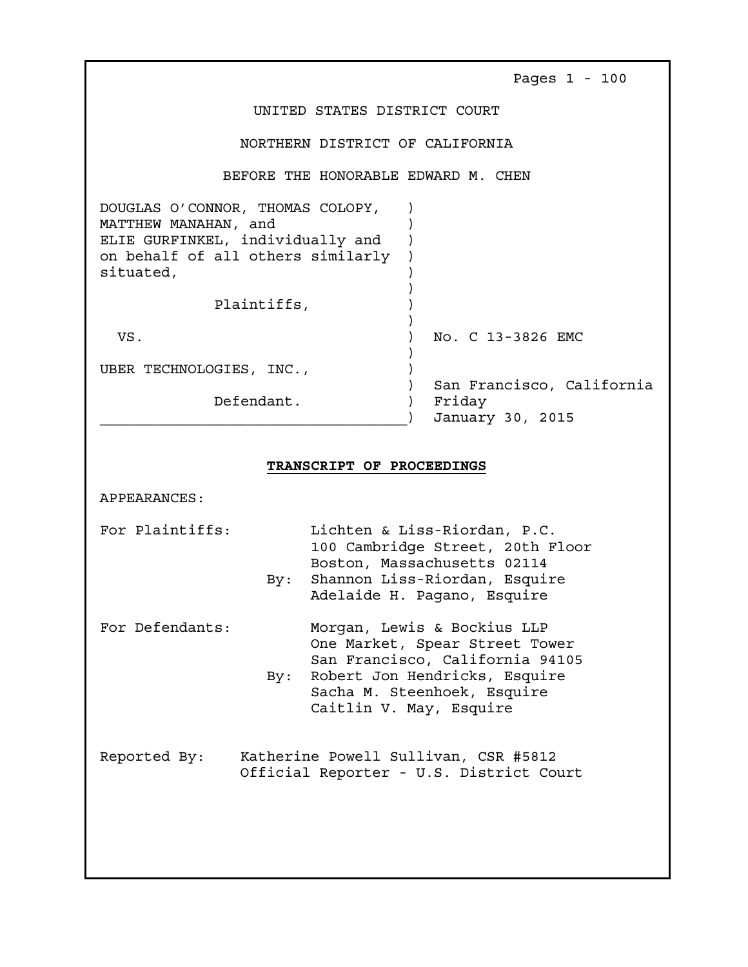|                                                                                                                                                | Pages $1 - 100$                                         |
|------------------------------------------------------------------------------------------------------------------------------------------------|---------------------------------------------------------|
| UNITED STATES DISTRICT COURT                                                                                                                   |                                                         |
| NORTHERN DISTRICT OF CALIFORNIA                                                                                                                |                                                         |
| BEFORE THE HONORABLE EDWARD M. CHEN                                                                                                            |                                                         |
| DOUGLAS O'CONNOR, THOMAS COLOPY,<br>MATTHEW MANAHAN, and<br>ELIE GURFINKEL, individually and<br>on behalf of all others similarly<br>situated, |                                                         |
| Plaintiffs,                                                                                                                                    |                                                         |
| VS.                                                                                                                                            | No. C 13-3826 EMC                                       |
| UBER TECHNOLOGIES, INC.,                                                                                                                       |                                                         |
| Defendant.                                                                                                                                     | San Francisco, California<br>Friday<br>January 30, 2015 |

## TRANSCRIPT OF PROCEEDINGS

APPEARANCES:

For Plaintiffs: Lichten & Liss-Riordan, P.C. 100 Cambridge Street, 20th Floor Boston, Massachusetts 02114 By: Shannon Liss-Riordan, Esquire Adelaide H. Pagano, Esquire

- For Defendants: Morgan, Lewis & Bockius LLP One Market, Spear Street Tower San Francisco, California 94105 By: Robert Jon Hendricks, Esquire
	- Sacha M. Steenhoek, Esquire Caitlin V. May, Esquire

Reported By: Katherine Powell Sullivan, CSR #5812 Official Reporter - U.S. District Court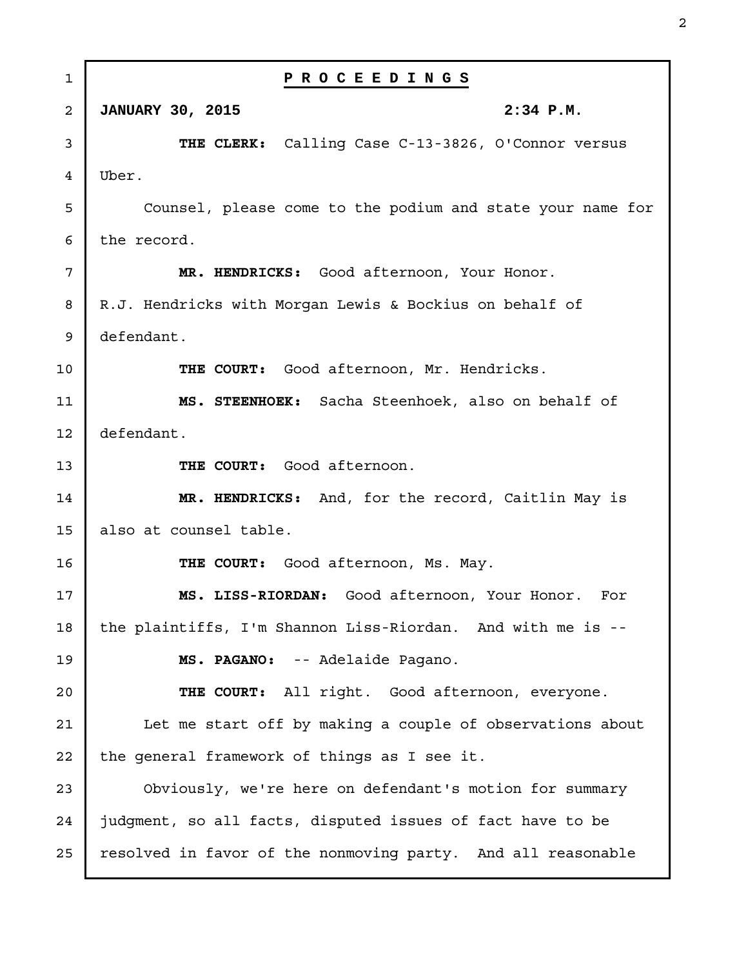| 1  | PROCEEDINGS                                                  |
|----|--------------------------------------------------------------|
| 2  | 2:34 P.M.<br><b>JANUARY 30, 2015</b>                         |
| 3  | THE CLERK: Calling Case C-13-3826, O'Connor versus           |
| 4  | Uber.                                                        |
| 5  | Counsel, please come to the podium and state your name for   |
| 6  | the record.                                                  |
| 7  | MR. HENDRICKS: Good afternoon, Your Honor.                   |
| 8  | R.J. Hendricks with Morgan Lewis & Bockius on behalf of      |
| 9  | defendant.                                                   |
| 10 | THE COURT: Good afternoon, Mr. Hendricks.                    |
| 11 | MS. STEENHOEK: Sacha Steenhoek, also on behalf of            |
| 12 | defendant.                                                   |
| 13 | THE COURT: Good afternoon.                                   |
| 14 | MR. HENDRICKS: And, for the record, Caitlin May is           |
| 15 | also at counsel table.                                       |
| 16 | THE COURT: Good afternoon, Ms. May.                          |
| 17 | MS. LISS-RIORDAN: Good afternoon, Your Honor. For            |
| 18 | the plaintiffs, I'm Shannon Liss-Riordan. And with me is --  |
| 19 | MS. PAGANO: -- Adelaide Pagano.                              |
| 20 | THE COURT: All right. Good afternoon, everyone.              |
| 21 | Let me start off by making a couple of observations about    |
| 22 | the general framework of things as I see it.                 |
| 23 | Obviously, we're here on defendant's motion for summary      |
| 24 | judgment, so all facts, disputed issues of fact have to be   |
| 25 | resolved in favor of the nonmoving party. And all reasonable |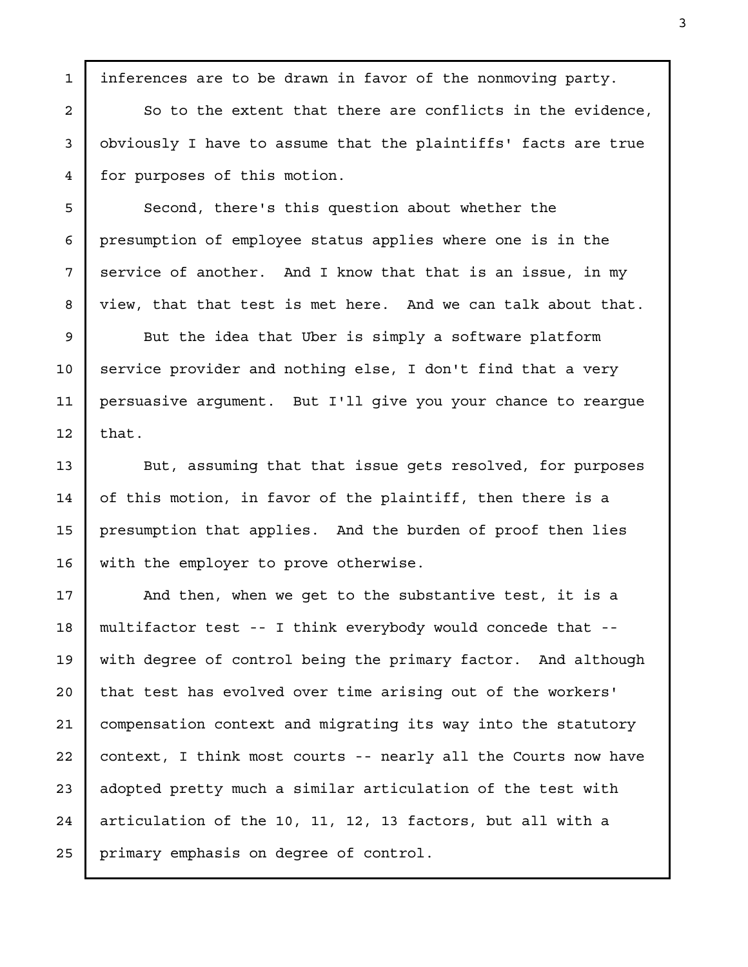So to the extent that there are conflicts in the evidence, obviously I have to assume that the plaintiffs' facts are true for purposes of this motion. Second, there's this question about whether the presumption of employee status applies where one is in the service of another. And I know that that is an issue, in my view, that that test is met here. And we can talk about that. But the idea that Uber is simply a software platform service provider and nothing else, I don't find that a very persuasive argument. But I'll give you your chance to reargue that. But, assuming that that issue gets resolved, for purposes of this motion, in favor of the plaintiff, then there is a presumption that applies. And the burden of proof then lies with the employer to prove otherwise. And then, when we get to the substantive test, it is a multifactor test -- I think everybody would concede that - with degree of control being the primary factor. And although that test has evolved over time arising out of the workers' compensation context and migrating its way into the statutory context, I think most courts -- nearly all the Courts now have adopted pretty much a similar articulation of the test with articulation of the 10, 11, 12, 13 factors, but all with a primary emphasis on degree of control. 2 3 4 5 6 7 8 9 10 11 12 13 14 15 16 17 18 19 20 21 22 23 24 25

inferences are to be drawn in favor of the nonmoving party.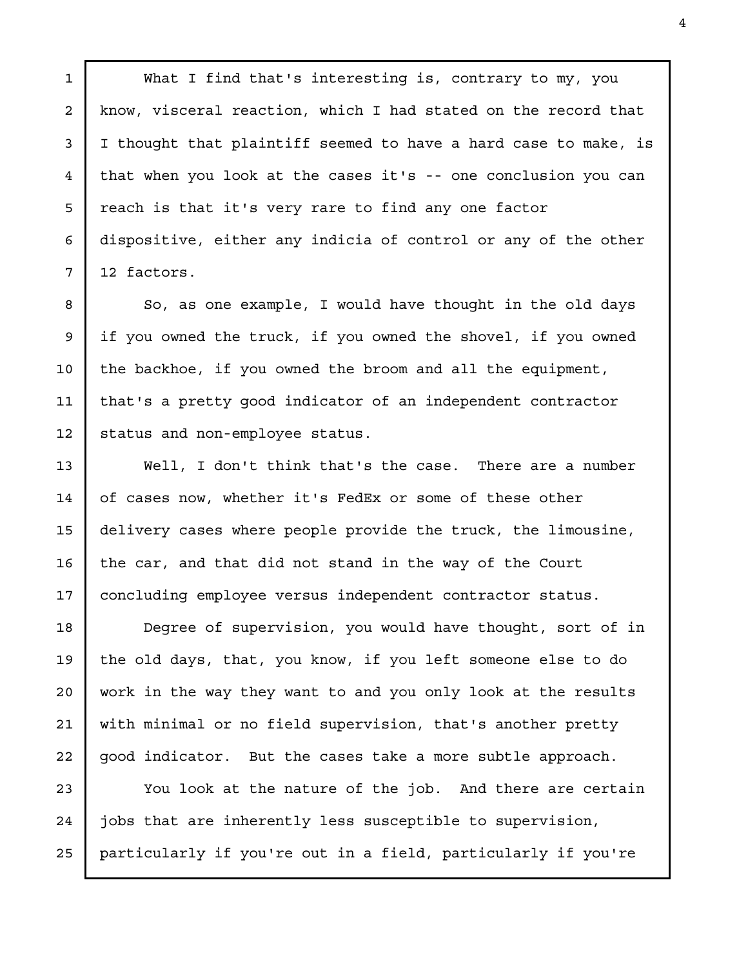What I find that's interesting is, contrary to my, you know, visceral reaction, which I had stated on the record that I thought that plaintiff seemed to have a hard case to make, is that when you look at the cases it's -- one conclusion you can reach is that it's very rare to find any one factor dispositive, either any indicia of control or any of the other 12 factors.

1

2

3

4

5

6

7

8

9

10

11

12

13

14

15

16

17

So, as one example, I would have thought in the old days if you owned the truck, if you owned the shovel, if you owned the backhoe, if you owned the broom and all the equipment, that's a pretty good indicator of an independent contractor status and non-employee status.

Well, I don't think that's the case. There are a number of cases now, whether it's FedEx or some of these other delivery cases where people provide the truck, the limousine, the car, and that did not stand in the way of the Court concluding employee versus independent contractor status.

Degree of supervision, you would have thought, sort of in the old days, that, you know, if you left someone else to do work in the way they want to and you only look at the results with minimal or no field supervision, that's another pretty good indicator. But the cases take a more subtle approach. 18 19 20 21 22

You look at the nature of the job. And there are certain jobs that are inherently less susceptible to supervision, particularly if you're out in a field, particularly if you're 23 24 25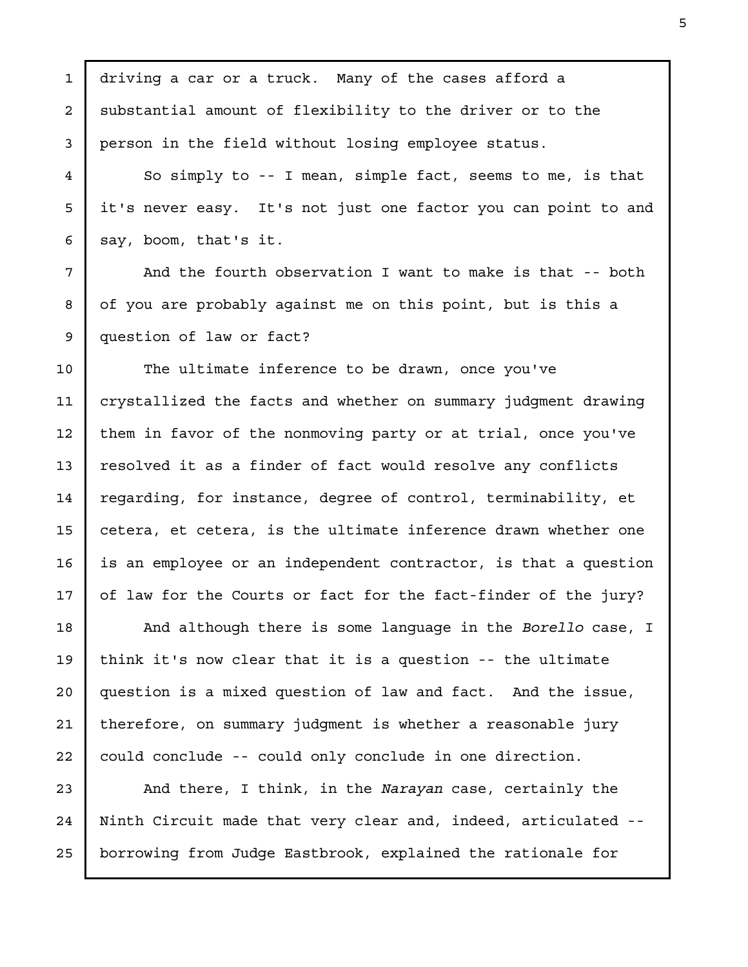driving a car or a truck. Many of the cases afford a substantial amount of flexibility to the driver or to the person in the field without losing employee status. So simply to -- I mean, simple fact, seems to me, is that it's never easy. It's not just one factor you can point to and say, boom, that's it. And the fourth observation I want to make is that -- both of you are probably against me on this point, but is this a question of law or fact? The ultimate inference to be drawn, once you've crystallized the facts and whether on summary judgment drawing them in favor of the nonmoving party or at trial, once you've resolved it as a finder of fact would resolve any conflicts regarding, for instance, degree of control, terminability, et cetera, et cetera, is the ultimate inference drawn whether one is an employee or an independent contractor, is that a question of law for the Courts or fact for the fact-finder of the jury? And although there is some language in the Borello case, I think it's now clear that it is a question -- the ultimate question is a mixed question of law and fact. And the issue, therefore, on summary judgment is whether a reasonable jury could conclude -- could only conclude in one direction. And there, I think, in the Narayan case, certainly the 1 2 3 4 5 6 7 8 9 10 11 12 13 14 15 16 17 18 19 20 21 22 23

Ninth Circuit made that very clear and, indeed, articulated - borrowing from Judge Eastbrook, explained the rationale for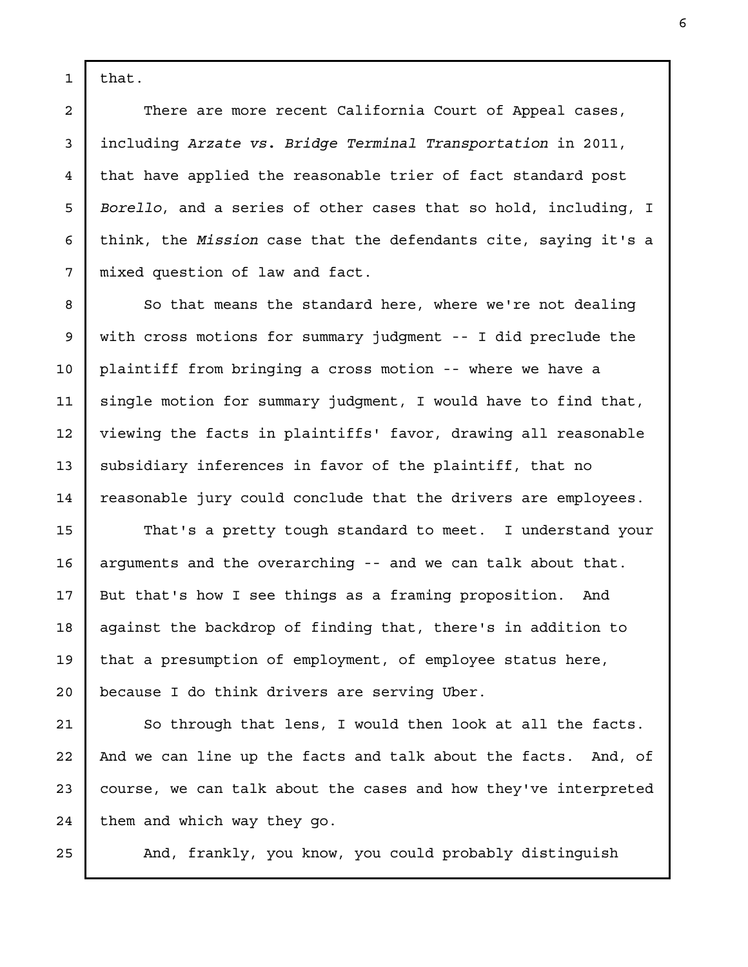that.

1

There are more recent California Court of Appeal cases, including Arzate vs. Bridge Terminal Transportation in 2011, that have applied the reasonable trier of fact standard post Borello, and a series of other cases that so hold, including, I think, the Mission case that the defendants cite, saying it's a mixed question of law and fact.

So that means the standard here, where we're not dealing with cross motions for summary judgment -- I did preclude the plaintiff from bringing a cross motion -- where we have a single motion for summary judgment, I would have to find that, viewing the facts in plaintiffs' favor, drawing all reasonable subsidiary inferences in favor of the plaintiff, that no reasonable jury could conclude that the drivers are employees.

That's a pretty tough standard to meet. I understand your arguments and the overarching -- and we can talk about that. But that's how I see things as a framing proposition. And against the backdrop of finding that, there's in addition to that a presumption of employment, of employee status here, because I do think drivers are serving Uber.

So through that lens, I would then look at all the facts. And we can line up the facts and talk about the facts. And, of course, we can talk about the cases and how they've interpreted them and which way they go.

And, frankly, you know, you could probably distinguish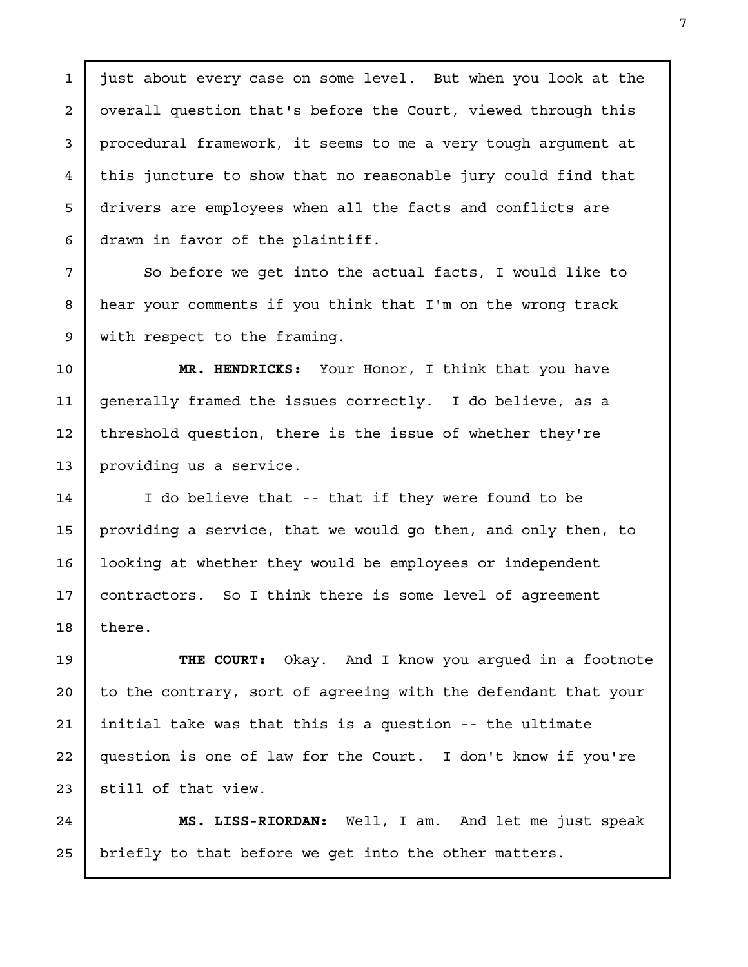just about every case on some level. But when you look at the overall question that's before the Court, viewed through this procedural framework, it seems to me a very tough argument at this juncture to show that no reasonable jury could find that drivers are employees when all the facts and conflicts are drawn in favor of the plaintiff. 1 2 4 5

3

6

7

8

9

So before we get into the actual facts, I would like to hear your comments if you think that I'm on the wrong track with respect to the framing.

MR. HENDRICKS: Your Honor, I think that you have generally framed the issues correctly. I do believe, as a threshold question, there is the issue of whether they're providing us a service. 10 11 12 13

I do believe that -- that if they were found to be providing a service, that we would go then, and only then, to looking at whether they would be employees or independent contractors. So I think there is some level of agreement there. 14 15 16 17 18

THE COURT: Okay. And I know you argued in a footnote to the contrary, sort of agreeing with the defendant that your initial take was that this is a question -- the ultimate question is one of law for the Court. I don't know if you're still of that view. 19 20 21 22 23

MS. LISS-RIORDAN: Well, I am. And let me just speak briefly to that before we get into the other matters. 24 25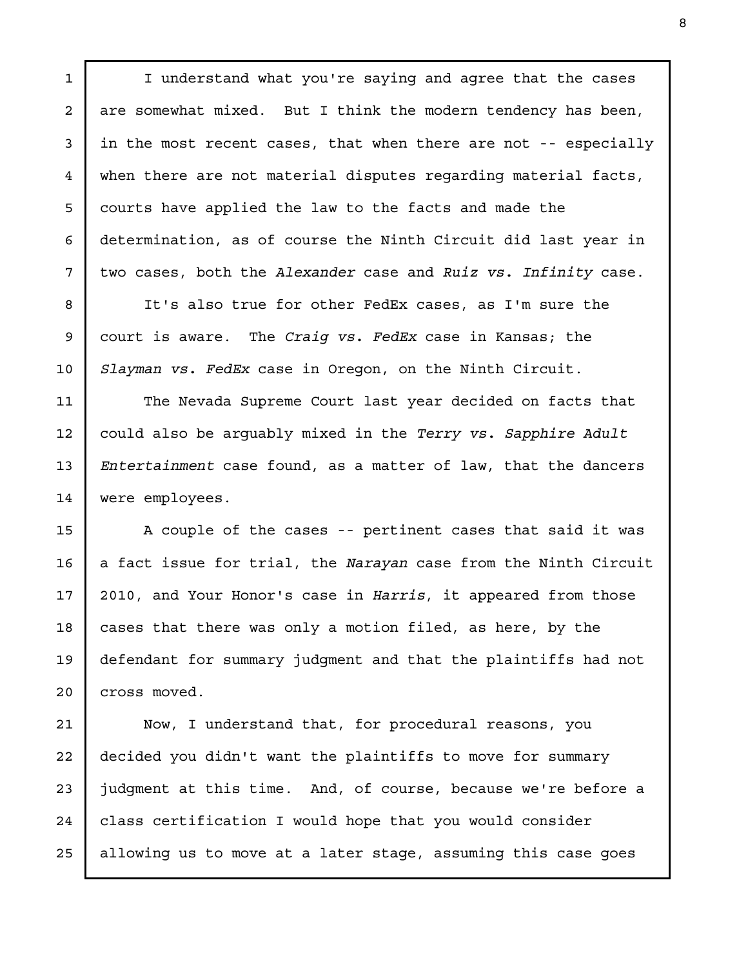I understand what you're saying and agree that the cases are somewhat mixed. But I think the modern tendency has been, in the most recent cases, that when there are not -- especially when there are not material disputes regarding material facts, courts have applied the law to the facts and made the determination, as of course the Ninth Circuit did last year in two cases, both the Alexander case and Ruiz vs. Infinity case.

1

2

3

4

5

6

7

8

9

10

11

12

13

14

15

16

17

18

19

20

It's also true for other FedEx cases, as I'm sure the court is aware. The Craig vs. FedEx case in Kansas; the Slayman vs. FedEx case in Oregon, on the Ninth Circuit.

The Nevada Supreme Court last year decided on facts that could also be arguably mixed in the Terry vs. Sapphire Adult Entertainment case found, as a matter of law, that the dancers were employees.

A couple of the cases -- pertinent cases that said it was a fact issue for trial, the Narayan case from the Ninth Circuit 2010, and Your Honor's case in Harris, it appeared from those cases that there was only a motion filed, as here, by the defendant for summary judgment and that the plaintiffs had not cross moved.

Now, I understand that, for procedural reasons, you decided you didn't want the plaintiffs to move for summary judgment at this time. And, of course, because we're before a class certification I would hope that you would consider allowing us to move at a later stage, assuming this case goes 21 22 23 24 25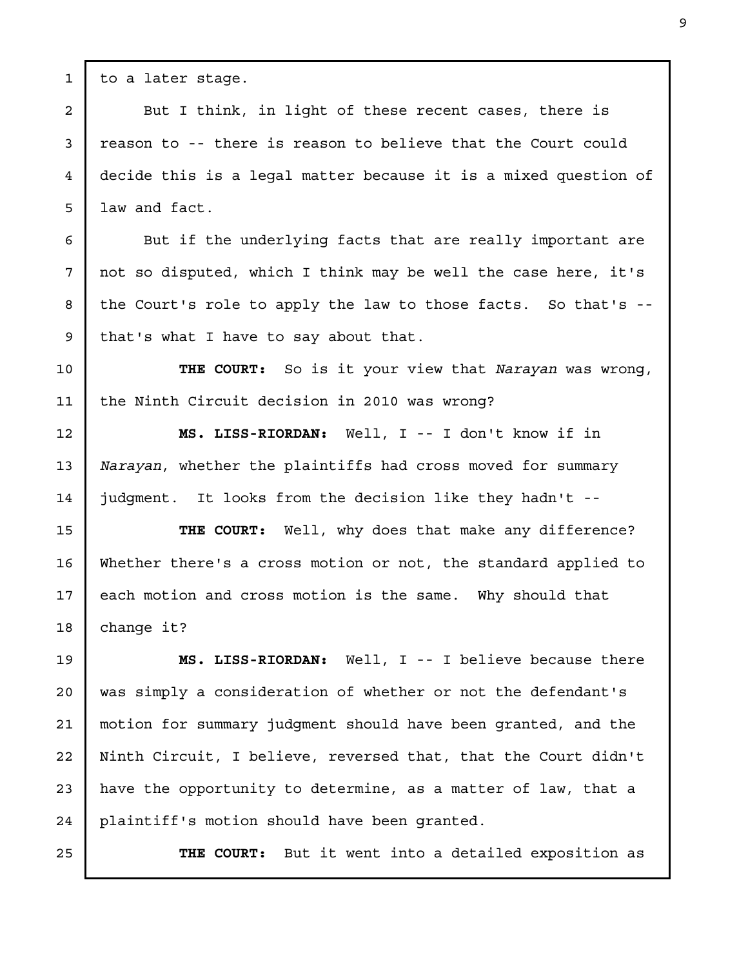to a later stage.

1

2

3

4

5

6

7

8

9

12

13

14

But I think, in light of these recent cases, there is reason to -- there is reason to believe that the Court could decide this is a legal matter because it is a mixed question of law and fact.

But if the underlying facts that are really important are not so disputed, which I think may be well the case here, it's the Court's role to apply the law to those facts. So that's - that's what I have to say about that.

THE COURT: So is it your view that Narayan was wrong, the Ninth Circuit decision in 2010 was wrong? 10 11

MS. LISS-RIORDAN: Well, I -- I don't know if in Narayan, whether the plaintiffs had cross moved for summary judgment. It looks from the decision like they hadn't --

THE COURT: Well, why does that make any difference? Whether there's a cross motion or not, the standard applied to each motion and cross motion is the same. Why should that change it? 15 16 17 18

MS. LISS-RIORDAN: Well, I -- I believe because there was simply a consideration of whether or not the defendant's motion for summary judgment should have been granted, and the Ninth Circuit, I believe, reversed that, that the Court didn't have the opportunity to determine, as a matter of law, that a plaintiff's motion should have been granted. 19 20 21 22 23 24

25

THE COURT: But it went into a detailed exposition as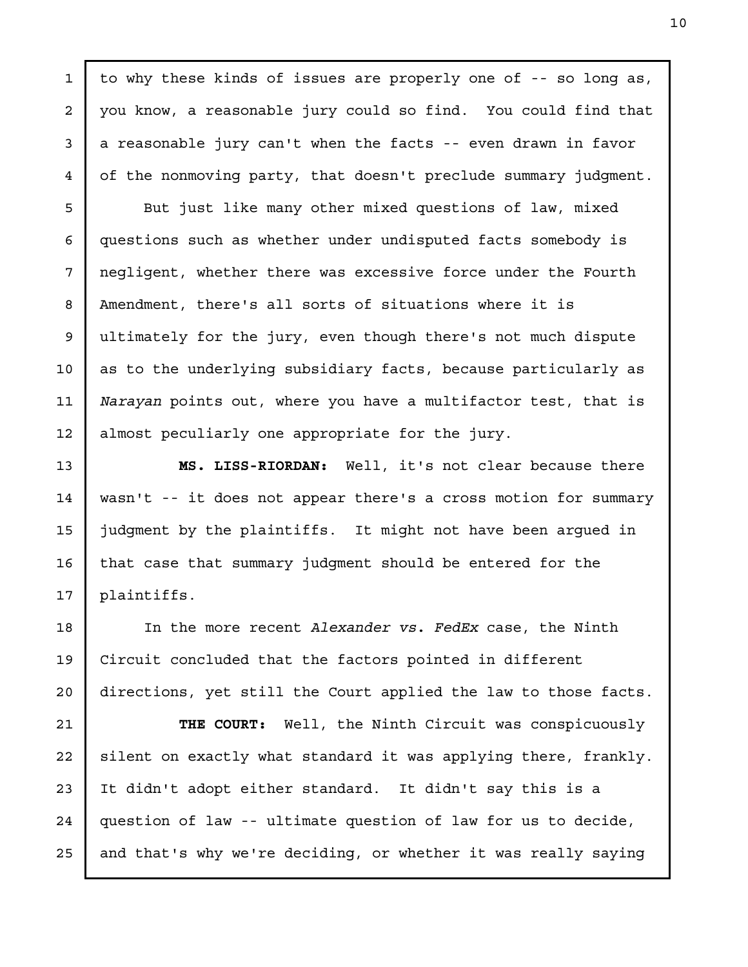to why these kinds of issues are properly one of -- so long as, you know, a reasonable jury could so find. You could find that a reasonable jury can't when the facts -- even drawn in favor of the nonmoving party, that doesn't preclude summary judgment.

1

2

3

4

5

6

7

8

9

10

11

12

13

14

15

16

17

But just like many other mixed questions of law, mixed questions such as whether under undisputed facts somebody is negligent, whether there was excessive force under the Fourth Amendment, there's all sorts of situations where it is ultimately for the jury, even though there's not much dispute as to the underlying subsidiary facts, because particularly as Narayan points out, where you have a multifactor test, that is almost peculiarly one appropriate for the jury.

MS. LISS-RIORDAN: Well, it's not clear because there wasn't -- it does not appear there's a cross motion for summary judgment by the plaintiffs. It might not have been argued in that case that summary judgment should be entered for the plaintiffs.

In the more recent Alexander vs. FedEx case, the Ninth Circuit concluded that the factors pointed in different directions, yet still the Court applied the law to those facts. 18 19 20

THE COURT: Well, the Ninth Circuit was conspicuously silent on exactly what standard it was applying there, frankly. It didn't adopt either standard. It didn't say this is a question of law -- ultimate question of law for us to decide, and that's why we're deciding, or whether it was really saying 21 22 23 24 25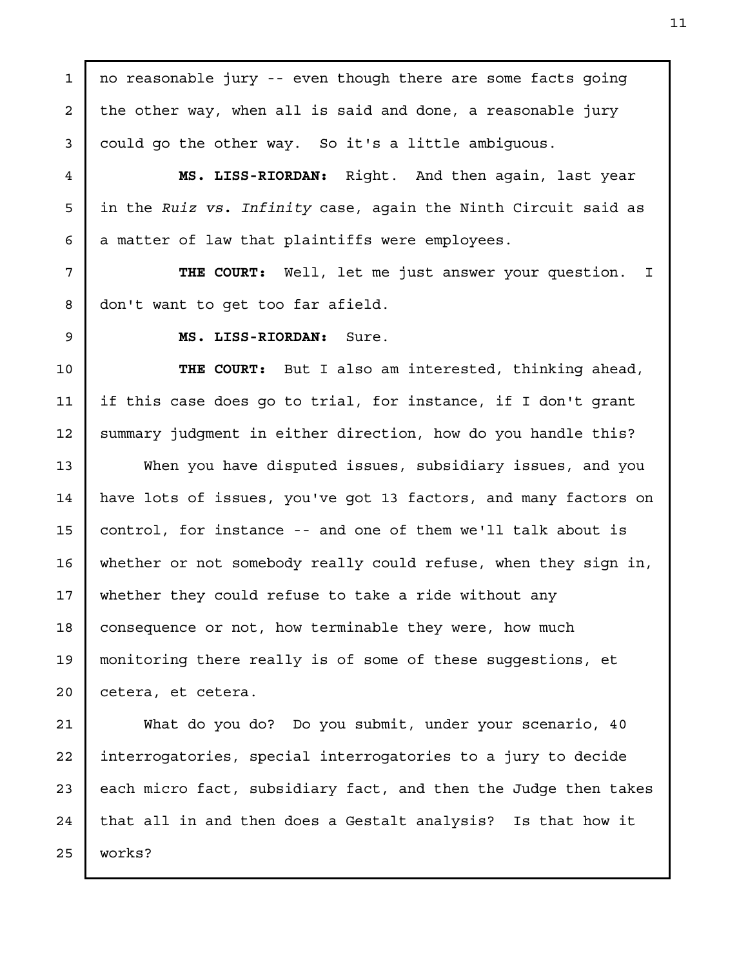no reasonable jury -- even though there are some facts going the other way, when all is said and done, a reasonable jury could go the other way. So it's a little ambiguous. MS. LISS-RIORDAN: Right. And then again, last year in the Ruiz vs. Infinity case, again the Ninth Circuit said as a matter of law that plaintiffs were employees. THE COURT: Well, let me just answer your question. I don't want to get too far afield. MS. LISS-RIORDAN: Sure. THE COURT: But I also am interested, thinking ahead, if this case does go to trial, for instance, if I don't grant summary judgment in either direction, how do you handle this? When you have disputed issues, subsidiary issues, and you have lots of issues, you've got 13 factors, and many factors on control, for instance -- and one of them we'll talk about is whether or not somebody really could refuse, when they sign in, whether they could refuse to take a ride without any consequence or not, how terminable they were, how much monitoring there really is of some of these suggestions, et cetera, et cetera. What do you do? Do you submit, under your scenario, 40 interrogatories, special interrogatories to a jury to decide each micro fact, subsidiary fact, and then the Judge then takes that all in and then does a Gestalt analysis? Is that how it works? 1 2 3 4 5 6 7 8 9 10 11 12 13 14 15 16 17 18 19 20 21 22 23 24 25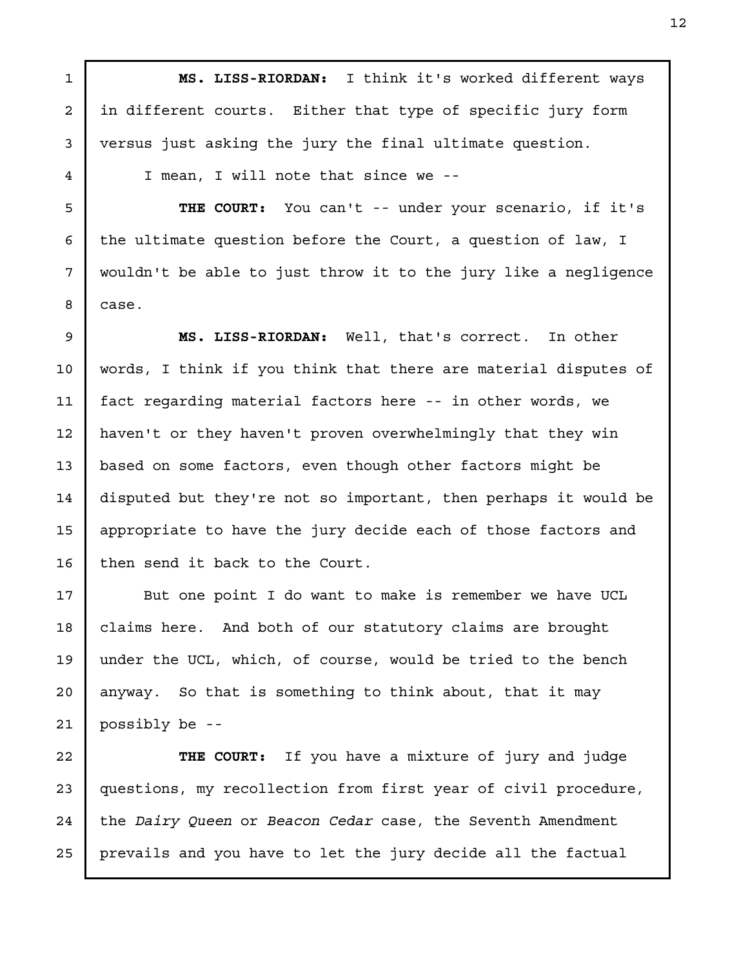MS. LISS-RIORDAN: I think it's worked different ways in different courts. Either that type of specific jury form versus just asking the jury the final ultimate question.

I mean, I will note that since we --

1

2

3

4

5

6

7

8

17

18

19

20

21

THE COURT: You can't -- under your scenario, if it's the ultimate question before the Court, a question of law, I wouldn't be able to just throw it to the jury like a negligence case.

MS. LISS-RIORDAN: Well, that's correct. In other words, I think if you think that there are material disputes of fact regarding material factors here -- in other words, we haven't or they haven't proven overwhelmingly that they win based on some factors, even though other factors might be disputed but they're not so important, then perhaps it would be appropriate to have the jury decide each of those factors and then send it back to the Court. 9 10 11 12 13 14 15 16

But one point I do want to make is remember we have UCL claims here. And both of our statutory claims are brought under the UCL, which, of course, would be tried to the bench anyway. So that is something to think about, that it may possibly be --

THE COURT: If you have a mixture of jury and judge questions, my recollection from first year of civil procedure, the Dairy Queen or Beacon Cedar case, the Seventh Amendment prevails and you have to let the jury decide all the factual 22 23 24 25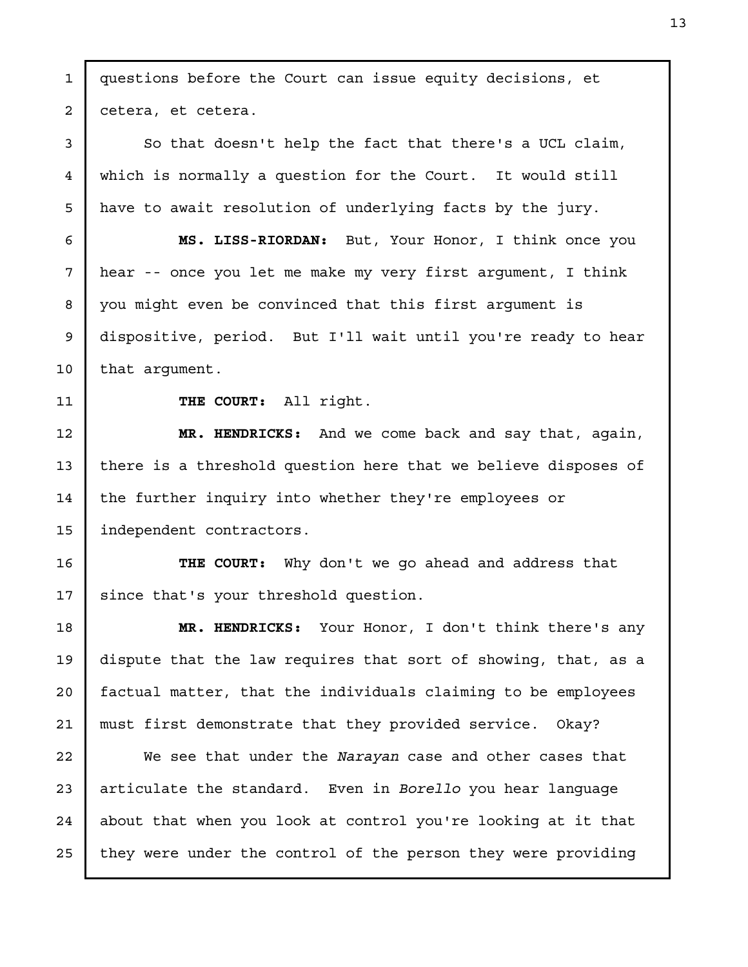questions before the Court can issue equity decisions, et cetera, et cetera. So that doesn't help the fact that there's a UCL claim, which is normally a question for the Court. It would still have to await resolution of underlying facts by the jury. MS. LISS-RIORDAN: But, Your Honor, I think once you hear -- once you let me make my very first argument, I think you might even be convinced that this first argument is dispositive, period. But I'll wait until you're ready to hear that argument. THE COURT: All right. MR. HENDRICKS: And we come back and say that, again, there is a threshold question here that we believe disposes of the further inquiry into whether they're employees or independent contractors. THE COURT: Why don't we go ahead and address that since that's your threshold question. MR. HENDRICKS: Your Honor, I don't think there's any dispute that the law requires that sort of showing, that, as a factual matter, that the individuals claiming to be employees must first demonstrate that they provided service. Okay? We see that under the Narayan case and other cases that articulate the standard. Even in Borello you hear language about that when you look at control you're looking at it that they were under the control of the person they were providing 1 2 3 4 5 6 7 8 9 10 11 12 13 14 15 16 17 18 19 20 21 22 23 24 25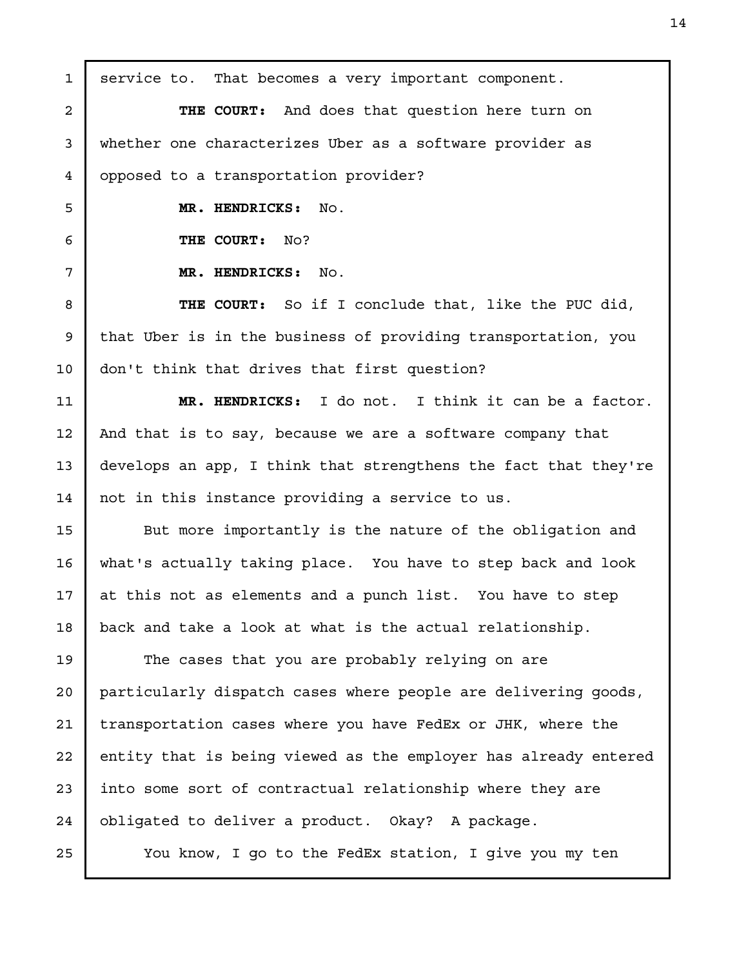service to. That becomes a very important component. THE COURT: And does that question here turn on whether one characterizes Uber as a software provider as opposed to a transportation provider? MR. HENDRICKS: No. THE COURT: No? MR. HENDRICKS: No. THE COURT: So if I conclude that, like the PUC did, that Uber is in the business of providing transportation, you don't think that drives that first question? MR. HENDRICKS: I do not. I think it can be a factor. And that is to say, because we are a software company that develops an app, I think that strengthens the fact that they're not in this instance providing a service to us. But more importantly is the nature of the obligation and what's actually taking place. You have to step back and look at this not as elements and a punch list. You have to step back and take a look at what is the actual relationship. The cases that you are probably relying on are particularly dispatch cases where people are delivering goods, transportation cases where you have FedEx or JHK, where the entity that is being viewed as the employer has already entered into some sort of contractual relationship where they are obligated to deliver a product. Okay? A package. You know, I go to the FedEx station, I give you my ten 1 2 3 4 5 6 7 8 9 10 11 12 13 14 15 16 17 18 19 20 21 22 23 24 25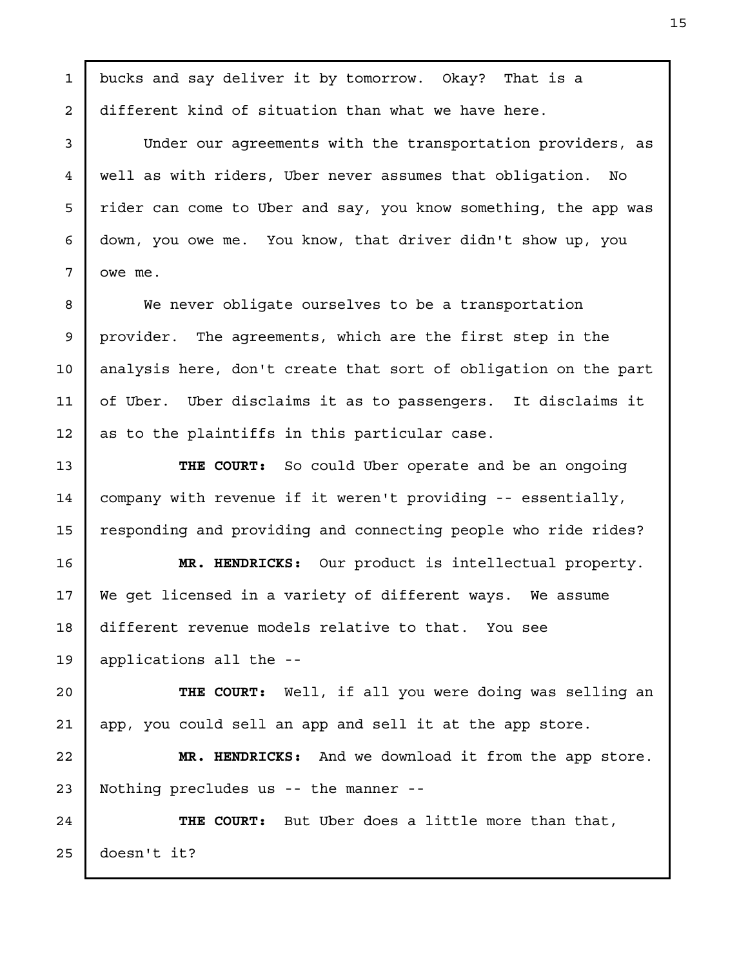bucks and say deliver it by tomorrow. Okay? That is a different kind of situation than what we have here. Under our agreements with the transportation providers, as well as with riders, Uber never assumes that obligation. No rider can come to Uber and say, you know something, the app was down, you owe me. You know, that driver didn't show up, you owe me. We never obligate ourselves to be a transportation provider. The agreements, which are the first step in the analysis here, don't create that sort of obligation on the part of Uber. Uber disclaims it as to passengers. It disclaims it as to the plaintiffs in this particular case. THE COURT: So could Uber operate and be an ongoing company with revenue if it weren't providing -- essentially, responding and providing and connecting people who ride rides? MR. HENDRICKS: Our product is intellectual property. We get licensed in a variety of different ways. We assume different revenue models relative to that. You see applications all the -- THE COURT: Well, if all you were doing was selling an app, you could sell an app and sell it at the app store. MR. HENDRICKS: And we download it from the app store. Nothing precludes us -- the manner -- THE COURT: But Uber does a little more than that, doesn't it? 1 2 3 4 5 6 7 8 9 10 11 12 13 14 15 16 17 18 19 20 21 22 23 24 25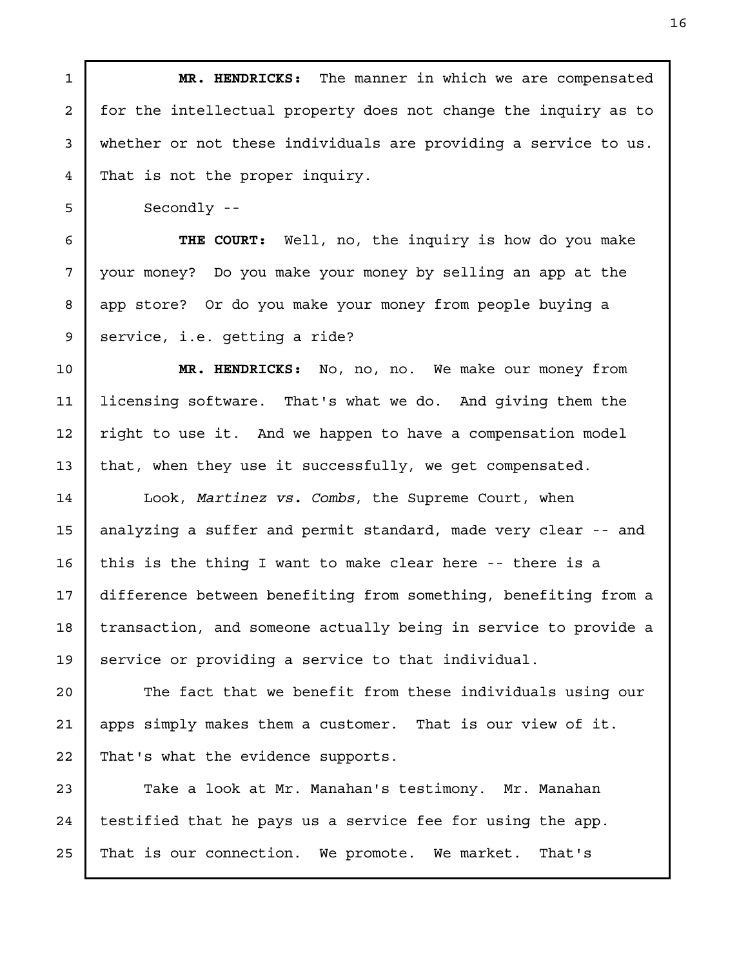MR. HENDRICKS: The manner in which we are compensated for the intellectual property does not change the inquiry as to whether or not these individuals are providing a service to us. That is not the proper inquiry. Secondly -- THE COURT: Well, no, the inquiry is how do you make your money? Do you make your money by selling an app at the app store? Or do you make your money from people buying a service, i.e. getting a ride? MR. HENDRICKS: No, no, no. We make our money from licensing software. That's what we do. And giving them the right to use it. And we happen to have a compensation model that, when they use it successfully, we get compensated. Look, Martinez vs. Combs, the Supreme Court, when analyzing a suffer and permit standard, made very clear -- and this is the thing I want to make clear here -- there is a difference between benefiting from something, benefiting from a transaction, and someone actually being in service to provide a service or providing a service to that individual. The fact that we benefit from these individuals using our apps simply makes them a customer. That is our view of it. That's what the evidence supports. Take a look at Mr. Manahan's testimony. Mr. Manahan testified that he pays us a service fee for using the app. That is our connection. We promote. We market. That's 1 2 3 4 5 6 7 8 9 10 11 12 13 14 15 16 17 18 19 20 21 22 23 24 25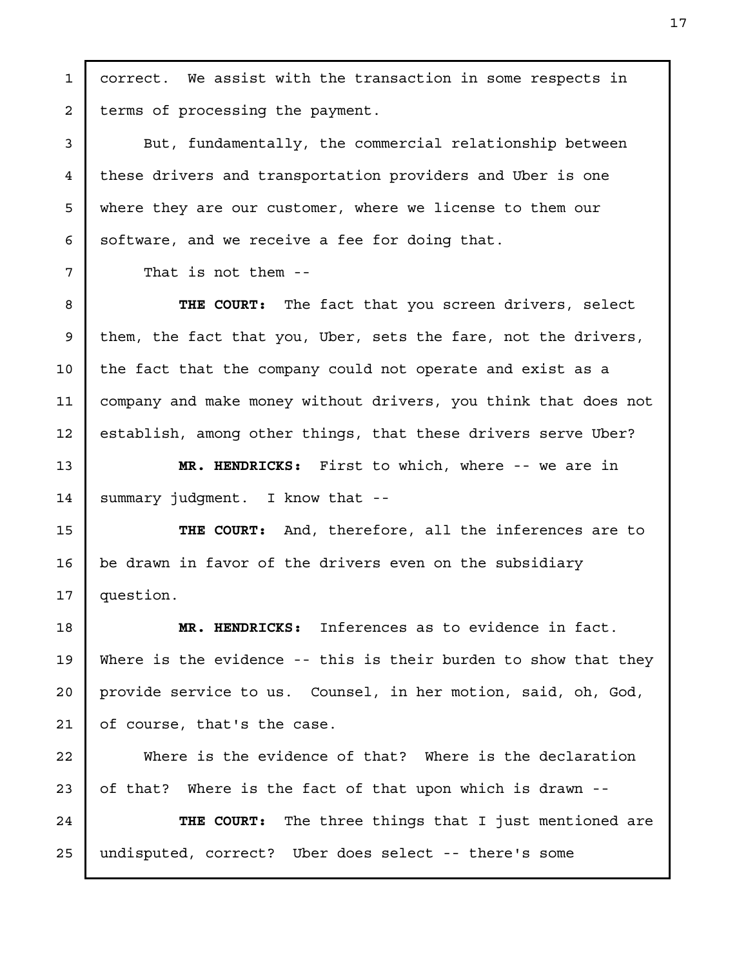correct. We assist with the transaction in some respects in terms of processing the payment.

But, fundamentally, the commercial relationship between these drivers and transportation providers and Uber is one where they are our customer, where we license to them our software, and we receive a fee for doing that.

That is not them --

THE COURT: The fact that you screen drivers, select them, the fact that you, Uber, sets the fare, not the drivers, the fact that the company could not operate and exist as a company and make money without drivers, you think that does not establish, among other things, that these drivers serve Uber?

MR. HENDRICKS: First to which, where -- we are in summary judgment. I know that --

THE COURT: And, therefore, all the inferences are to be drawn in favor of the drivers even on the subsidiary question.

MR. HENDRICKS: Inferences as to evidence in fact. Where is the evidence -- this is their burden to show that they provide service to us. Counsel, in her motion, said, oh, God, of course, that's the case.

Where is the evidence of that? Where is the declaration of that? Where is the fact of that upon which is drawn -- THE COURT: The three things that I just mentioned are

undisputed, correct? Uber does select -- there's some

1

2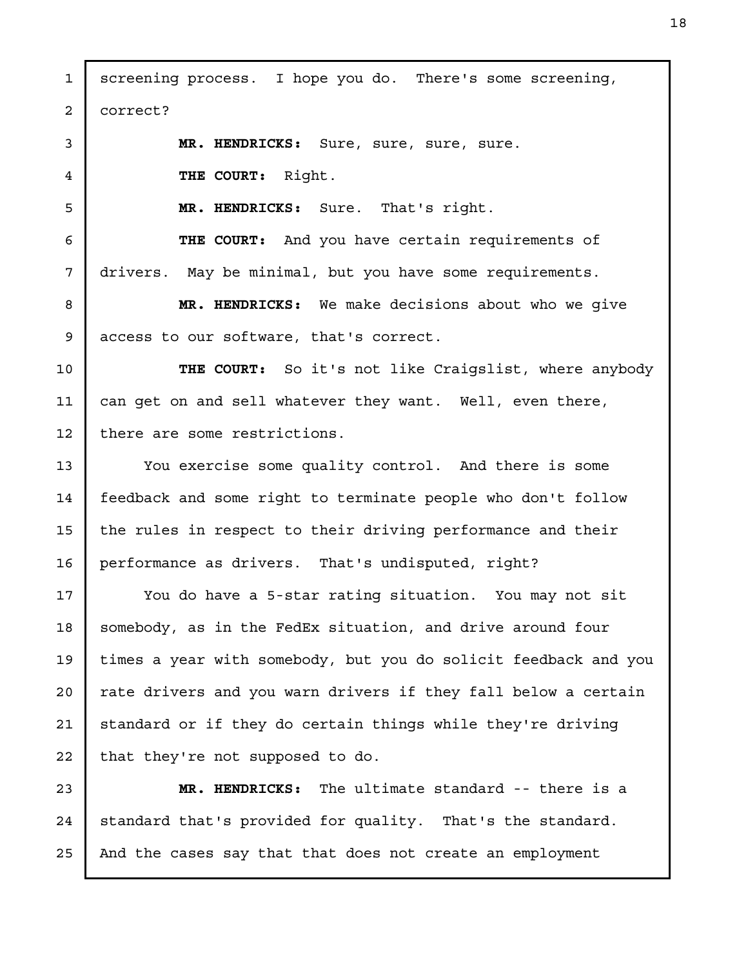screening process. I hope you do. There's some screening, correct? MR. HENDRICKS: Sure, sure, sure, sure. THE COURT: Right. MR. HENDRICKS: Sure. That's right. THE COURT: And you have certain requirements of drivers. May be minimal, but you have some requirements. MR. HENDRICKS: We make decisions about who we give access to our software, that's correct. THE COURT: So it's not like Craigslist, where anybody can get on and sell whatever they want. Well, even there, there are some restrictions. You exercise some quality control. And there is some feedback and some right to terminate people who don't follow the rules in respect to their driving performance and their performance as drivers. That's undisputed, right? You do have a 5-star rating situation. You may not sit somebody, as in the FedEx situation, and drive around four times a year with somebody, but you do solicit feedback and you rate drivers and you warn drivers if they fall below a certain standard or if they do certain things while they're driving that they're not supposed to do. MR. HENDRICKS: The ultimate standard -- there is a standard that's provided for quality. That's the standard. And the cases say that that does not create an employment 1 2 3 4 5 6 7 8 9 10 11 12 13 14 15 16 17 18 19 20 21 22 23 24 25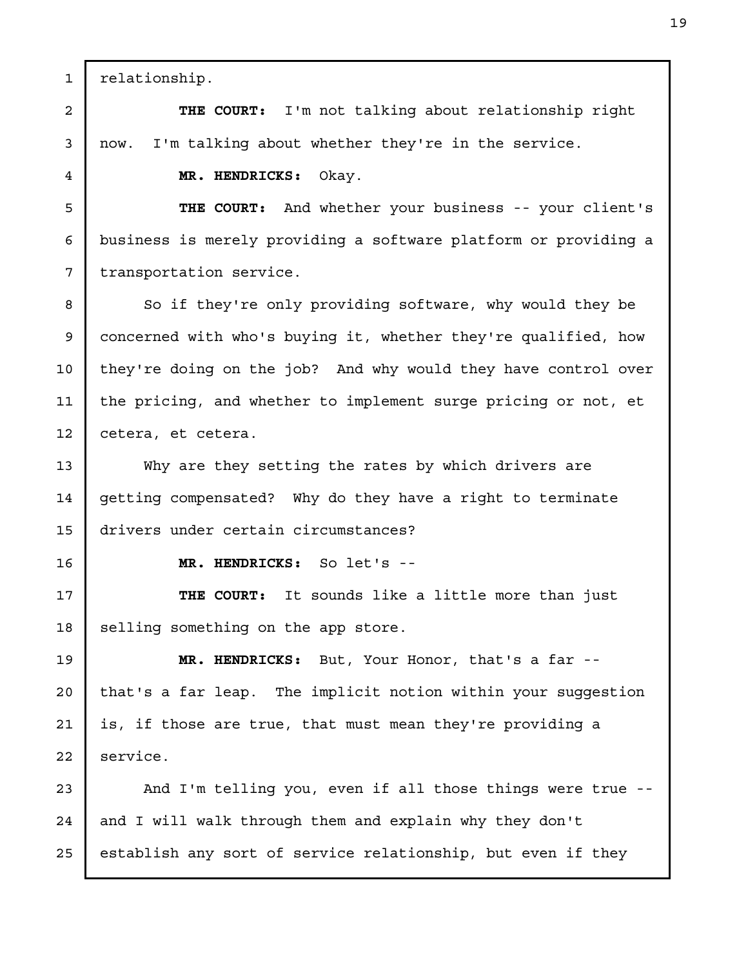relationship. THE COURT: I'm not talking about relationship right now. I'm talking about whether they're in the service. MR. HENDRICKS: Okay. THE COURT: And whether your business -- your client's business is merely providing a software platform or providing a transportation service. So if they're only providing software, why would they be concerned with who's buying it, whether they're qualified, how they're doing on the job? And why would they have control over the pricing, and whether to implement surge pricing or not, et cetera, et cetera. Why are they setting the rates by which drivers are getting compensated? Why do they have a right to terminate drivers under certain circumstances? MR. HENDRICKS: So let's -- THE COURT: It sounds like a little more than just selling something on the app store. MR. HENDRICKS: But, Your Honor, that's a far - that's a far leap. The implicit notion within your suggestion is, if those are true, that must mean they're providing a service. And I'm telling you, even if all those things were true - and I will walk through them and explain why they don't establish any sort of service relationship, but even if they 1 2 3 4 5 6 7 8 9 10 11 12 13 14 15 16 17 18 19 20 21 22 23 24 25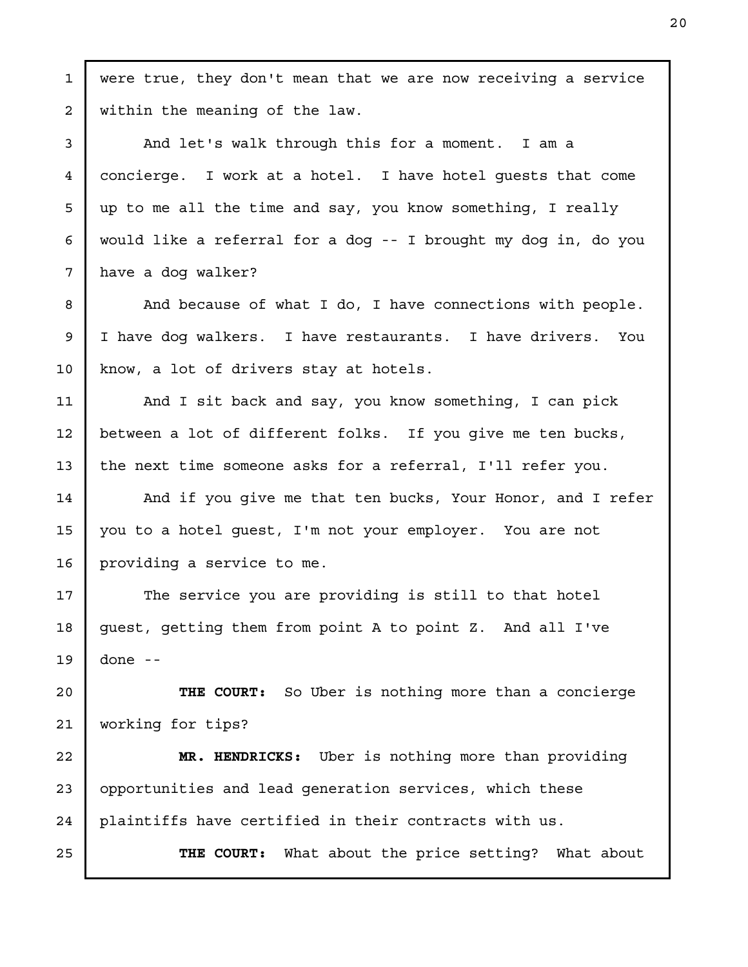were true, they don't mean that we are now receiving a service within the meaning of the law. And let's walk through this for a moment. I am a concierge. I work at a hotel. I have hotel guests that come up to me all the time and say, you know something, I really would like a referral for a dog -- I brought my dog in, do you have a dog walker? And because of what I do, I have connections with people. I have dog walkers. I have restaurants. I have drivers. You know, a lot of drivers stay at hotels. And I sit back and say, you know something, I can pick between a lot of different folks. If you give me ten bucks, the next time someone asks for a referral, I'll refer you. And if you give me that ten bucks, Your Honor, and I refer you to a hotel guest, I'm not your employer. You are not providing a service to me. The service you are providing is still to that hotel guest, getting them from point A to point Z. And all I've done -- THE COURT: So Uber is nothing more than a concierge working for tips? MR. HENDRICKS: Uber is nothing more than providing opportunities and lead generation services, which these plaintiffs have certified in their contracts with us. THE COURT: What about the price setting? What about 1 2 3 4 5 6 7 8 9 10 11 12 13 14 15 16 17 18 19 20 21 22 23 24 25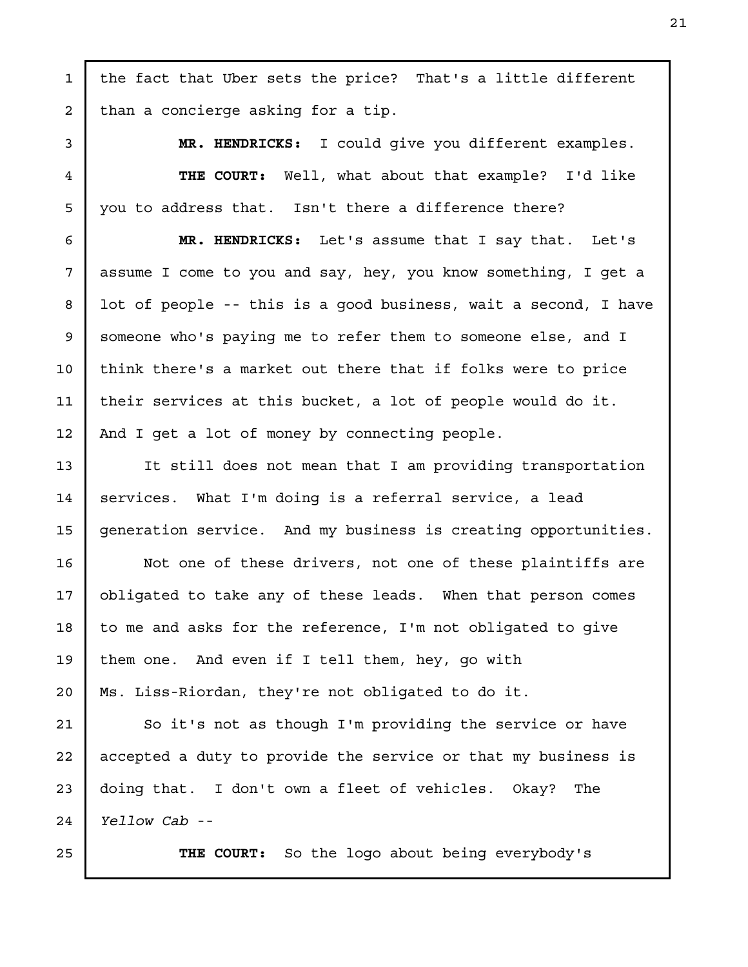the fact that Uber sets the price? That's a little different than a concierge asking for a tip. MR. HENDRICKS: I could give you different examples. THE COURT: Well, what about that example? I'd like you to address that. Isn't there a difference there? MR. HENDRICKS: Let's assume that I say that. Let's assume I come to you and say, hey, you know something, I get a lot of people -- this is a good business, wait a second, I have someone who's paying me to refer them to someone else, and I think there's a market out there that if folks were to price their services at this bucket, a lot of people would do it. And I get a lot of money by connecting people. It still does not mean that I am providing transportation services. What I'm doing is a referral service, a lead generation service. And my business is creating opportunities. Not one of these drivers, not one of these plaintiffs are obligated to take any of these leads. When that person comes to me and asks for the reference, I'm not obligated to give them one. And even if I tell them, hey, go with Ms. Liss-Riordan, they're not obligated to do it. So it's not as though I'm providing the service or have accepted a duty to provide the service or that my business is doing that. I don't own a fleet of vehicles. Okay? The Yellow Cab -- THE COURT: So the logo about being everybody's 1 2 3 4 5 6 7 8 9 10 11 12 13 14 15 16 17 18 19 20 21 22 23 24 25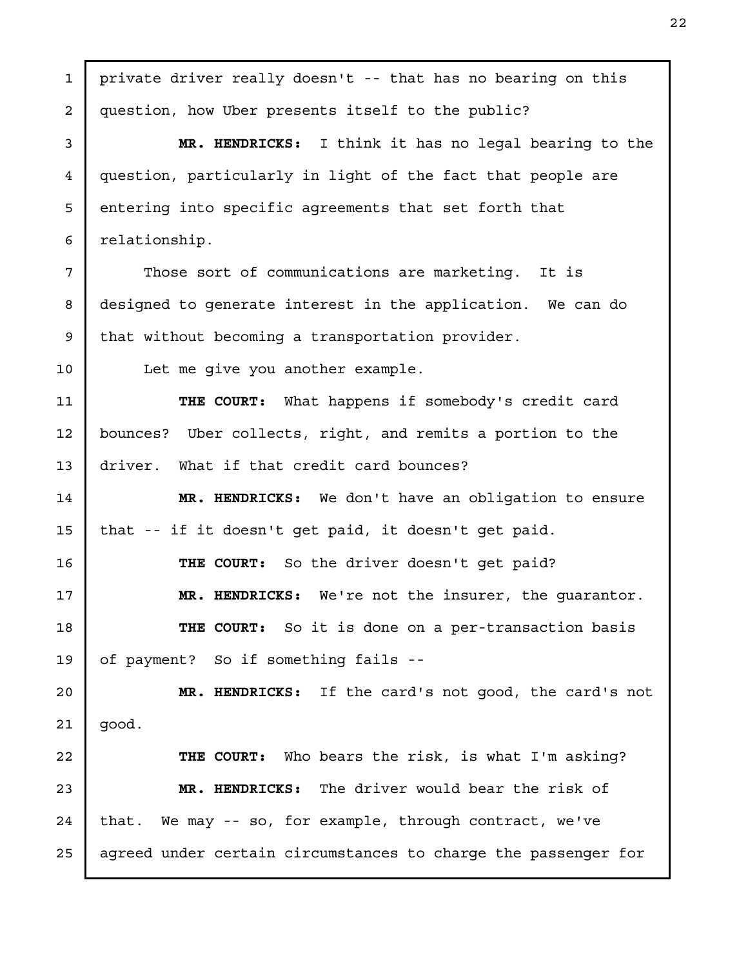private driver really doesn't -- that has no bearing on this question, how Uber presents itself to the public? MR. HENDRICKS: I think it has no legal bearing to the question, particularly in light of the fact that people are entering into specific agreements that set forth that relationship. Those sort of communications are marketing. It is designed to generate interest in the application. We can do that without becoming a transportation provider. Let me give you another example. THE COURT: What happens if somebody's credit card bounces? Uber collects, right, and remits a portion to the driver. What if that credit card bounces? MR. HENDRICKS: We don't have an obligation to ensure that -- if it doesn't get paid, it doesn't get paid. THE COURT: So the driver doesn't get paid? MR. HENDRICKS: We're not the insurer, the guarantor. THE COURT: So it is done on a per-transaction basis of payment? So if something fails -- MR. HENDRICKS: If the card's not good, the card's not good. THE COURT: Who bears the risk, is what I'm asking? MR. HENDRICKS: The driver would bear the risk of that. We may -- so, for example, through contract, we've agreed under certain circumstances to charge the passenger for 1 2 3 4 5 6 7 8 9 10 11 12 13 14 15 16 17 18 19 20 21 22 23 24 25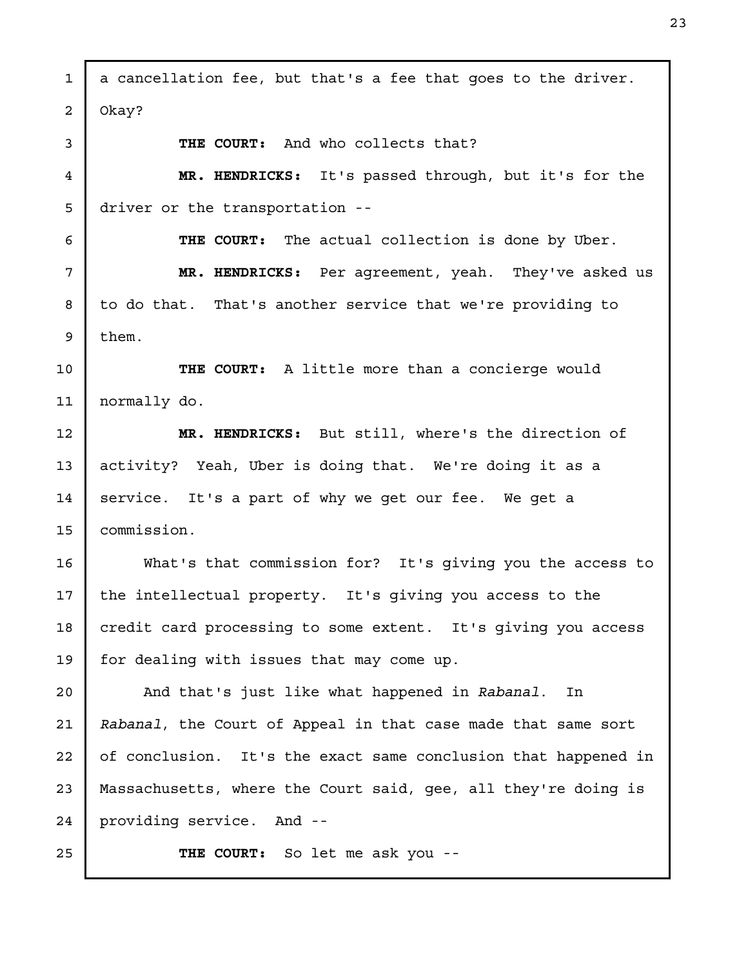a cancellation fee, but that's a fee that goes to the driver. Okay? THE COURT: And who collects that? MR. HENDRICKS: It's passed through, but it's for the driver or the transportation -- THE COURT: The actual collection is done by Uber. MR. HENDRICKS: Per agreement, yeah. They've asked us to do that. That's another service that we're providing to them. THE COURT: A little more than a concierge would normally do. MR. HENDRICKS: But still, where's the direction of activity? Yeah, Uber is doing that. We're doing it as a service. It's a part of why we get our fee. We get a commission. What's that commission for? It's giving you the access to the intellectual property. It's giving you access to the credit card processing to some extent. It's giving you access for dealing with issues that may come up. And that's just like what happened in Rabanal. In Rabanal, the Court of Appeal in that case made that same sort of conclusion. It's the exact same conclusion that happened in Massachusetts, where the Court said, gee, all they're doing is providing service. And -- THE COURT: So let me ask you -- 1 2 3 4 5 6 7 8 9 10 11 12 13 14 15 16 17 18 19 20 21 22 23 24 25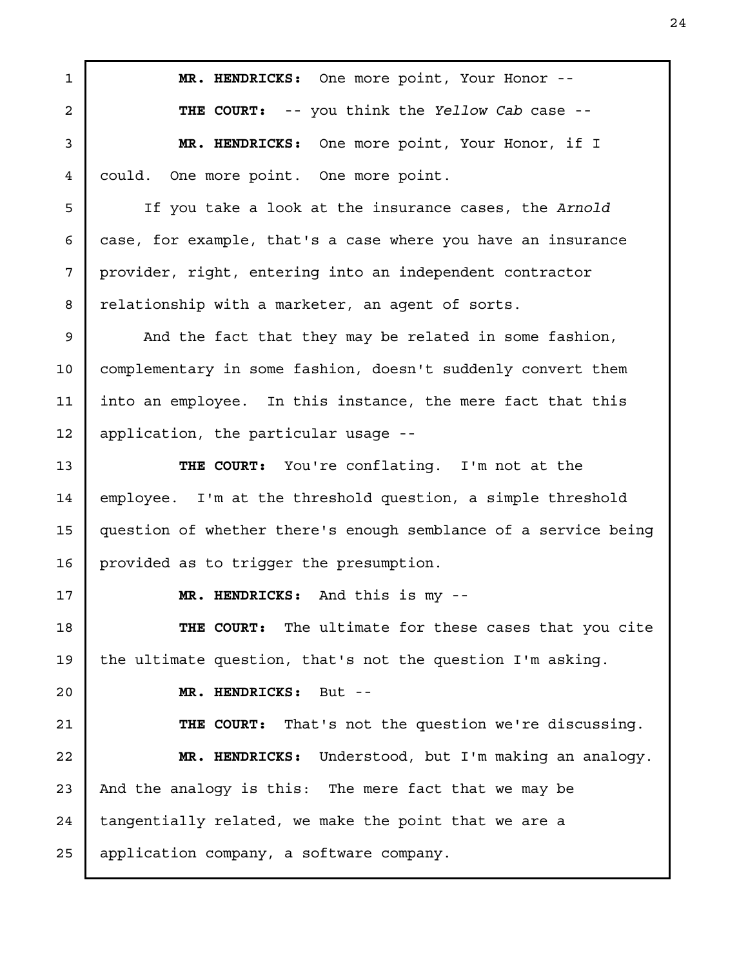MR. HENDRICKS: One more point, Your Honor -- THE COURT: -- you think the Yellow Cab case --MR. HENDRICKS: One more point, Your Honor, if I could. One more point. One more point. If you take a look at the insurance cases, the Arnold case, for example, that's a case where you have an insurance provider, right, entering into an independent contractor relationship with a marketer, an agent of sorts. And the fact that they may be related in some fashion, complementary in some fashion, doesn't suddenly convert them into an employee. In this instance, the mere fact that this application, the particular usage -- THE COURT: You're conflating. I'm not at the employee. I'm at the threshold question, a simple threshold question of whether there's enough semblance of a service being provided as to trigger the presumption. MR. HENDRICKS: And this is my -- THE COURT: The ultimate for these cases that you cite the ultimate question, that's not the question I'm asking. MR. HENDRICKS: But -- THE COURT: That's not the question we're discussing. MR. HENDRICKS: Understood, but I'm making an analogy. And the analogy is this: The mere fact that we may be tangentially related, we make the point that we are a application company, a software company. 1 2 3 4 5 6 7 8 9 10 11 12 13 14 15 16 17 18 19 20 21 22 23 24 25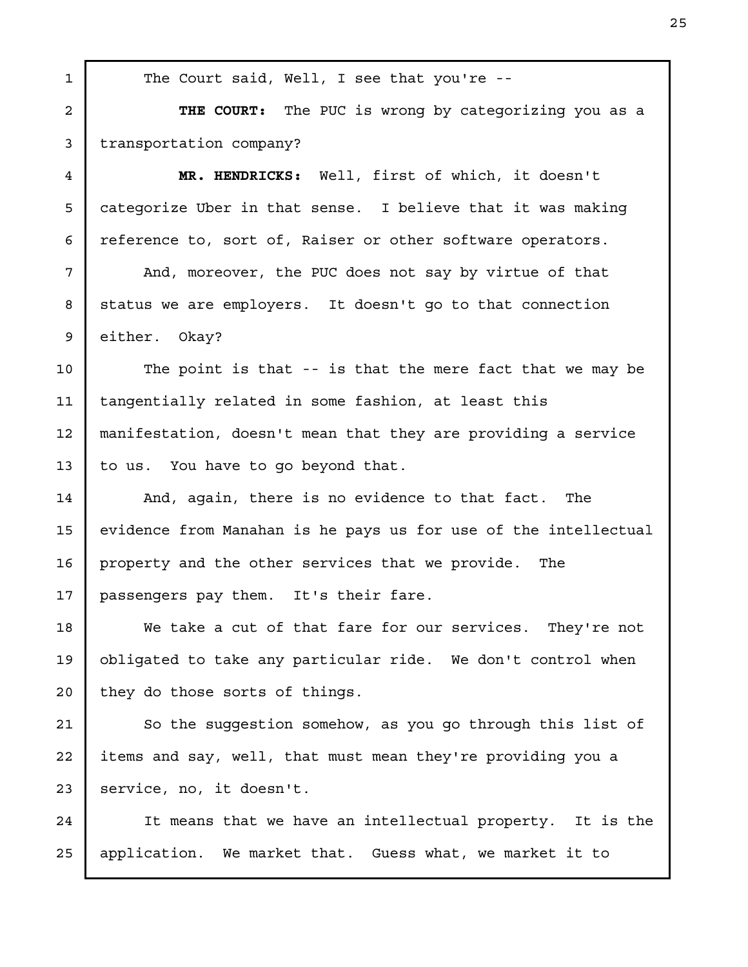THE COURT: The PUC is wrong by categorizing you as a transportation company? MR. HENDRICKS: Well, first of which, it doesn't categorize Uber in that sense. I believe that it was making reference to, sort of, Raiser or other software operators. And, moreover, the PUC does not say by virtue of that status we are employers. It doesn't go to that connection either. Okay? The point is that -- is that the mere fact that we may be tangentially related in some fashion, at least this manifestation, doesn't mean that they are providing a service to us. You have to go beyond that. And, again, there is no evidence to that fact. The evidence from Manahan is he pays us for use of the intellectual property and the other services that we provide. The passengers pay them. It's their fare. We take a cut of that fare for our services. They're not obligated to take any particular ride. We don't control when they do those sorts of things. So the suggestion somehow, as you go through this list of items and say, well, that must mean they're providing you a service, no, it doesn't. It means that we have an intellectual property. It is the application. We market that. Guess what, we market it to

The Court said, Well, I see that you're --

1

2

3

4

5

6

7

8

9

10

11

12

13

14

15

16

17

18

19

20

21

22

23

24

25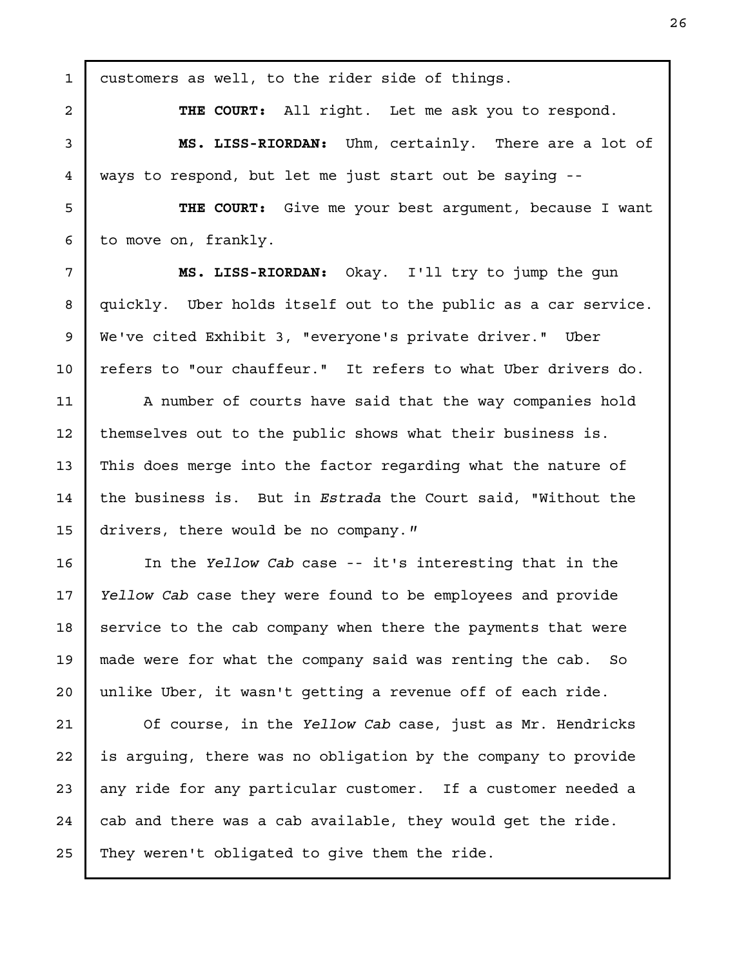customers as well, to the rider side of things. THE COURT: All right. Let me ask you to respond. MS. LISS-RIORDAN: Uhm, certainly. There are a lot of ways to respond, but let me just start out be saying -- THE COURT: Give me your best argument, because I want to move on, frankly. MS. LISS-RIORDAN: Okay. I'll try to jump the gun quickly. Uber holds itself out to the public as a car service. We've cited Exhibit 3, "everyone's private driver." Uber refers to "our chauffeur." It refers to what Uber drivers do. A number of courts have said that the way companies hold themselves out to the public shows what their business is. This does merge into the factor regarding what the nature of the business is. But in *Estrada* the Court said, "Without the drivers, there would be no company." In the Yellow Cab case -- it's interesting that in the Yellow Cab case they were found to be employees and provide service to the cab company when there the payments that were made were for what the company said was renting the cab. So unlike Uber, it wasn't getting a revenue off of each ride. Of course, in the Yellow Cab case, just as Mr. Hendricks is arguing, there was no obligation by the company to provide any ride for any particular customer. If a customer needed a cab and there was a cab available, they would get the ride. They weren't obligated to give them the ride. 1 2 3 4 5 6 7 8 9 10 11 12 13 14 15 16 17 18 19 20 21 22 23 24 25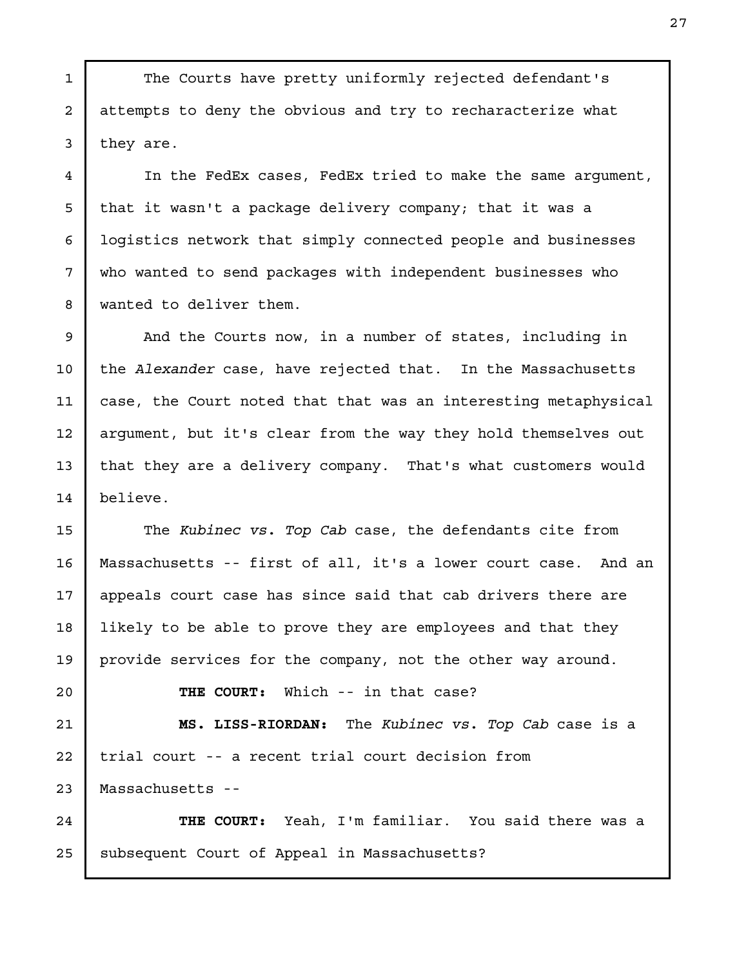The Courts have pretty uniformly rejected defendant's attempts to deny the obvious and try to recharacterize what they are.

In the FedEx cases, FedEx tried to make the same argument, that it wasn't a package delivery company; that it was a logistics network that simply connected people and businesses who wanted to send packages with independent businesses who wanted to deliver them.

And the Courts now, in a number of states, including in the Alexander case, have rejected that. In the Massachusetts case, the Court noted that that was an interesting metaphysical argument, but it's clear from the way they hold themselves out that they are a delivery company. That's what customers would believe. 9 10 11 12 13 14

The Kubinec vs. Top Cab case, the defendants cite from Massachusetts -- first of all, it's a lower court case. And an appeals court case has since said that cab drivers there are likely to be able to prove they are employees and that they provide services for the company, not the other way around. 15 16 17 18 19

20 21 22

1

2

3

4

5

6

7

8

THE COURT: Which -- in that case?

MS. LISS-RIORDAN: The Kubinec vs. Top Cab case is a trial court -- a recent trial court decision from Massachusetts -- 23

THE COURT: Yeah, I'm familiar. You said there was a subsequent Court of Appeal in Massachusetts? 24 25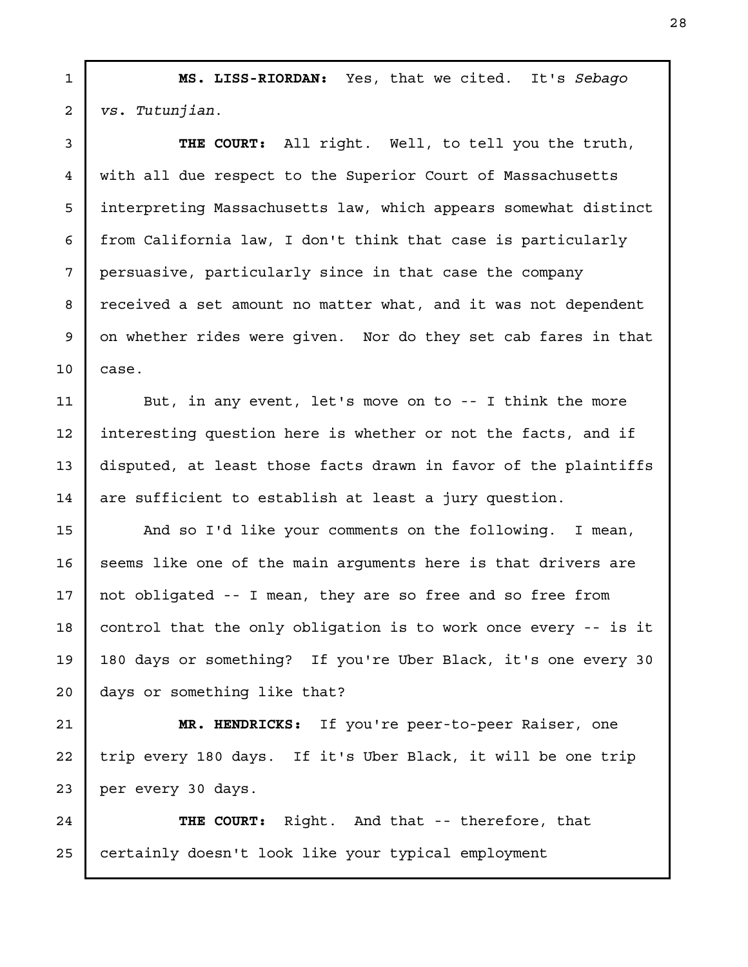MS. LISS-RIORDAN: Yes, that we cited. It's Sebago vs. Tutunjian. 1 2

3

4

5

6

7

8

9

10

11

12

13

14

THE COURT: All right. Well, to tell you the truth, with all due respect to the Superior Court of Massachusetts interpreting Massachusetts law, which appears somewhat distinct from California law, I don't think that case is particularly persuasive, particularly since in that case the company received a set amount no matter what, and it was not dependent on whether rides were given. Nor do they set cab fares in that case.

But, in any event, let's move on to -- I think the more interesting question here is whether or not the facts, and if disputed, at least those facts drawn in favor of the plaintiffs are sufficient to establish at least a jury question.

And so I'd like your comments on the following. I mean, seems like one of the main arguments here is that drivers are not obligated -- I mean, they are so free and so free from control that the only obligation is to work once every -- is it 180 days or something? If you're Uber Black, it's one every 30 days or something like that? 15 16 17 18 19 20

MR. HENDRICKS: If you're peer-to-peer Raiser, one trip every 180 days. If it's Uber Black, it will be one trip per every 30 days. 21 22 23

THE COURT: Right. And that -- therefore, that certainly doesn't look like your typical employment 24 25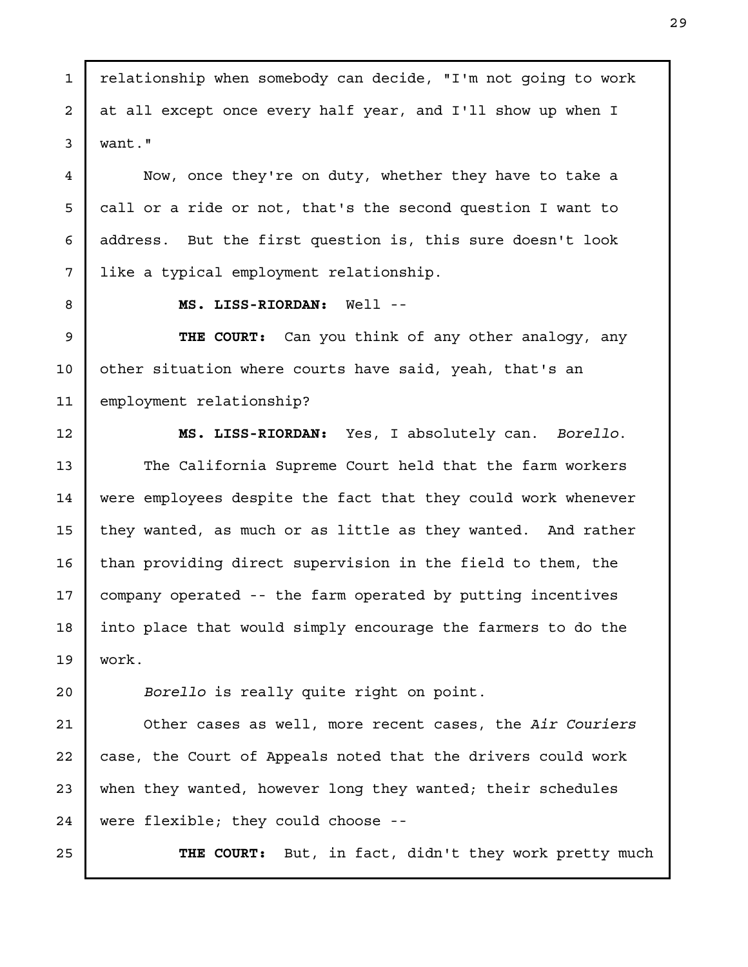relationship when somebody can decide, "I'm not going to work at all except once every half year, and I'll show up when I want."

Now, once they're on duty, whether they have to take a call or a ride or not, that's the second question I want to address. But the first question is, this sure doesn't look like a typical employment relationship.

1

2

3

4

5

6

7

8

9

10

MS. LISS-RIORDAN: Well --

THE COURT: Can you think of any other analogy, any other situation where courts have said, yeah, that's an employment relationship? 11

MS. LISS-RIORDAN: Yes, I absolutely can. Borello. The California Supreme Court held that the farm workers were employees despite the fact that they could work whenever they wanted, as much or as little as they wanted. And rather than providing direct supervision in the field to them, the company operated -- the farm operated by putting incentives into place that would simply encourage the farmers to do the work. 12 13 14 15 16 17 18 19

Borello is really quite right on point.

Other cases as well, more recent cases, the Air Couriers case, the Court of Appeals noted that the drivers could work when they wanted, however long they wanted; their schedules were flexible; they could choose -- 21 22 23 24

25

20

THE COURT: But, in fact, didn't they work pretty much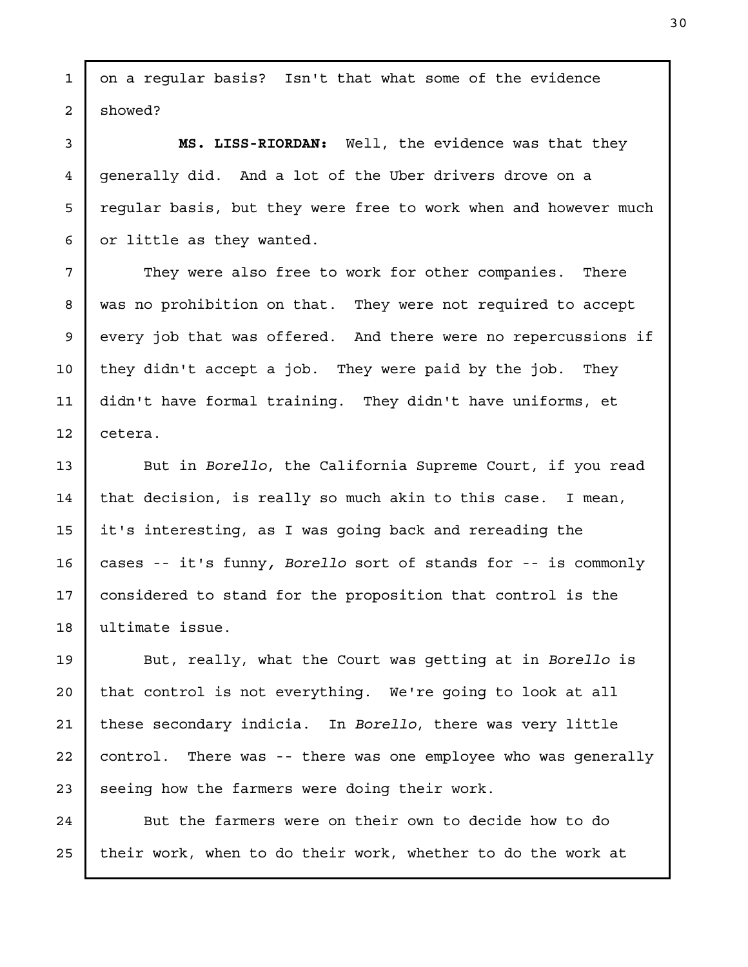on a regular basis? Isn't that what some of the evidence showed?

MS. LISS-RIORDAN: Well, the evidence was that they generally did. And a lot of the Uber drivers drove on a regular basis, but they were free to work when and however much or little as they wanted.

They were also free to work for other companies. There was no prohibition on that. They were not required to accept every job that was offered. And there were no repercussions if they didn't accept a job. They were paid by the job. They didn't have formal training. They didn't have uniforms, et cetera.

But in Borello, the California Supreme Court, if you read that decision, is really so much akin to this case. I mean, it's interesting, as I was going back and rereading the cases -- it's funny, Borello sort of stands for -- is commonly considered to stand for the proposition that control is the ultimate issue.

But, really, what the Court was getting at in Borello is that control is not everything. We're going to look at all these secondary indicia. In Borello, there was very little control. There was -- there was one employee who was generally seeing how the farmers were doing their work.

But the farmers were on their own to decide how to do their work, when to do their work, whether to do the work at

1

2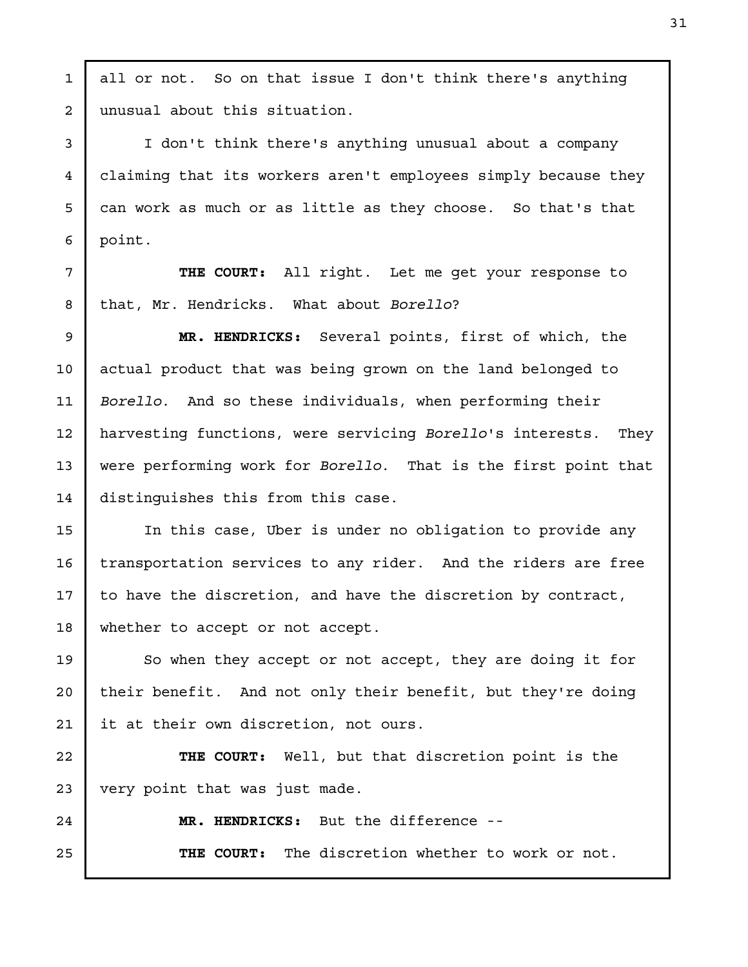unusual about this situation. I don't think there's anything unusual about a company claiming that its workers aren't employees simply because they can work as much or as little as they choose. So that's that point. THE COURT: All right. Let me get your response to that, Mr. Hendricks. What about Borello? MR. HENDRICKS: Several points, first of which, the actual product that was being grown on the land belonged to Borello. And so these individuals, when performing their harvesting functions, were servicing Borello's interests. They were performing work for Borello. That is the first point that distinguishes this from this case. In this case, Uber is under no obligation to provide any transportation services to any rider. And the riders are free to have the discretion, and have the discretion by contract, whether to accept or not accept. So when they accept or not accept, they are doing it for their benefit. And not only their benefit, but they're doing it at their own discretion, not ours. THE COURT: Well, but that discretion point is the very point that was just made. MR. HENDRICKS: But the difference -- THE COURT: The discretion whether to work or not. 2 3 4 5 6 7 8 9 10 11 12 13 14 15 16 17 18 19 20 21 22 23 24 25

all or not. So on that issue I don't think there's anything

1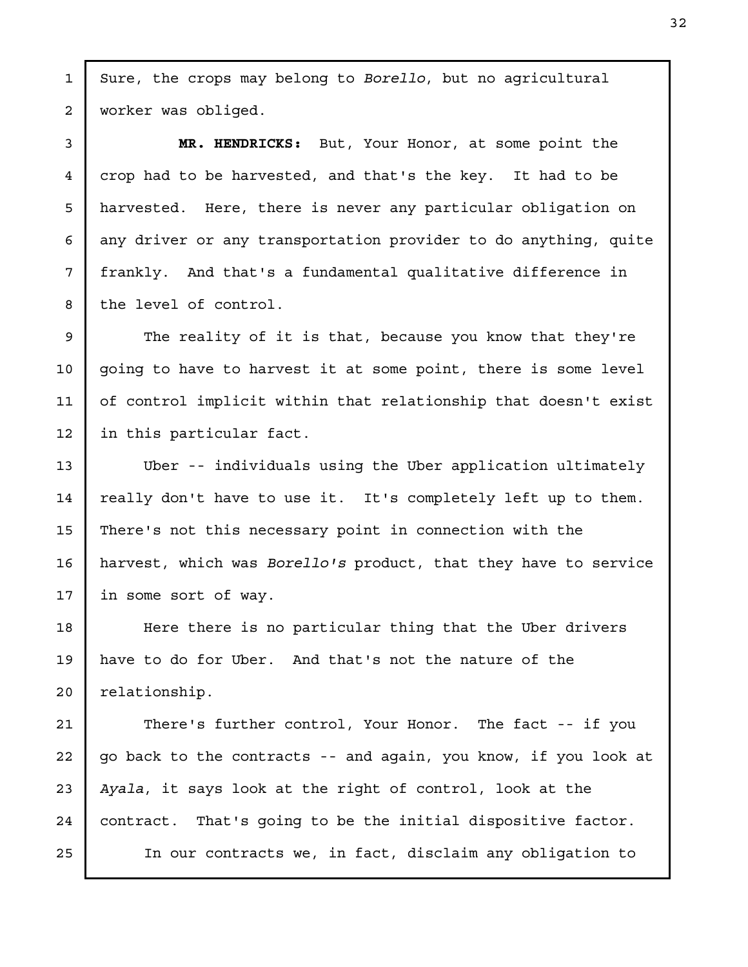Sure, the crops may belong to Borello, but no agricultural worker was obliged.

1

2

3

4

5

6

7

8

9

10

11

12

13

14

15

16

17

MR. HENDRICKS: But, Your Honor, at some point the crop had to be harvested, and that's the key. It had to be harvested. Here, there is never any particular obligation on any driver or any transportation provider to do anything, quite frankly. And that's a fundamental qualitative difference in the level of control.

The reality of it is that, because you know that they're going to have to harvest it at some point, there is some level of control implicit within that relationship that doesn't exist in this particular fact.

Uber -- individuals using the Uber application ultimately really don't have to use it. It's completely left up to them. There's not this necessary point in connection with the harvest, which was Borello's product, that they have to service in some sort of way.

Here there is no particular thing that the Uber drivers have to do for Uber. And that's not the nature of the relationship. 18 19 20

There's further control, Your Honor. The fact -- if you go back to the contracts -- and again, you know, if you look at Ayala, it says look at the right of control, look at the contract. That's going to be the initial dispositive factor. In our contracts we, in fact, disclaim any obligation to 21 22 23 24 25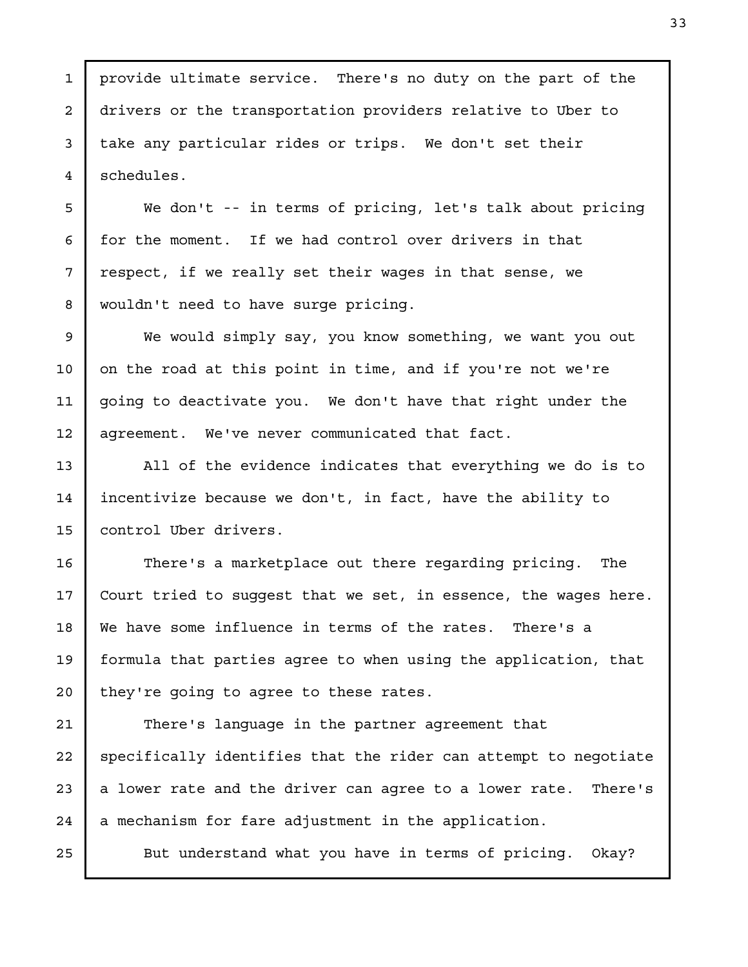provide ultimate service. There's no duty on the part of the drivers or the transportation providers relative to Uber to take any particular rides or trips. We don't set their schedules.

We don't -- in terms of pricing, let's talk about pricing for the moment. If we had control over drivers in that respect, if we really set their wages in that sense, we wouldn't need to have surge pricing.

We would simply say, you know something, we want you out on the road at this point in time, and if you're not we're going to deactivate you. We don't have that right under the agreement. We've never communicated that fact.

All of the evidence indicates that everything we do is to incentivize because we don't, in fact, have the ability to control Uber drivers.

There's a marketplace out there regarding pricing. The Court tried to suggest that we set, in essence, the wages here. We have some influence in terms of the rates. There's a formula that parties agree to when using the application, that they're going to agree to these rates.

There's language in the partner agreement that specifically identifies that the rider can attempt to negotiate a lower rate and the driver can agree to a lower rate. There's a mechanism for fare adjustment in the application.

But understand what you have in terms of pricing. Okay?

1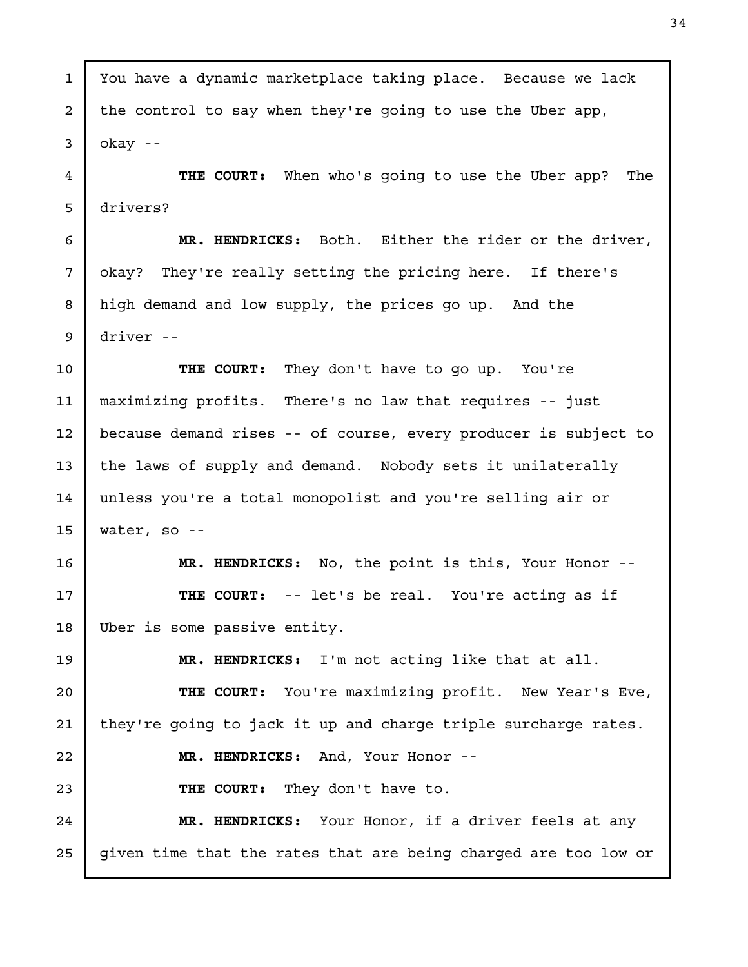You have a dynamic marketplace taking place. Because we lack the control to say when they're going to use the Uber app, okay -- THE COURT: When who's going to use the Uber app? The drivers? MR. HENDRICKS: Both. Either the rider or the driver, okay? They're really setting the pricing here. If there's high demand and low supply, the prices go up. And the driver -- THE COURT: They don't have to go up. You're maximizing profits. There's no law that requires -- just because demand rises -- of course, every producer is subject to the laws of supply and demand. Nobody sets it unilaterally unless you're a total monopolist and you're selling air or water, so -- MR. HENDRICKS: No, the point is this, Your Honor -- THE COURT: -- let's be real. You're acting as if Uber is some passive entity. MR. HENDRICKS: I'm not acting like that at all. THE COURT: You're maximizing profit. New Year's Eve, they're going to jack it up and charge triple surcharge rates. MR. HENDRICKS: And, Your Honor -- THE COURT: They don't have to. MR. HENDRICKS: Your Honor, if a driver feels at any given time that the rates that are being charged are too low or 1 2 3 4 5 6 7 8 9 10 11 12 13 14 15 16 17 18 19 20 21 22 23 24 25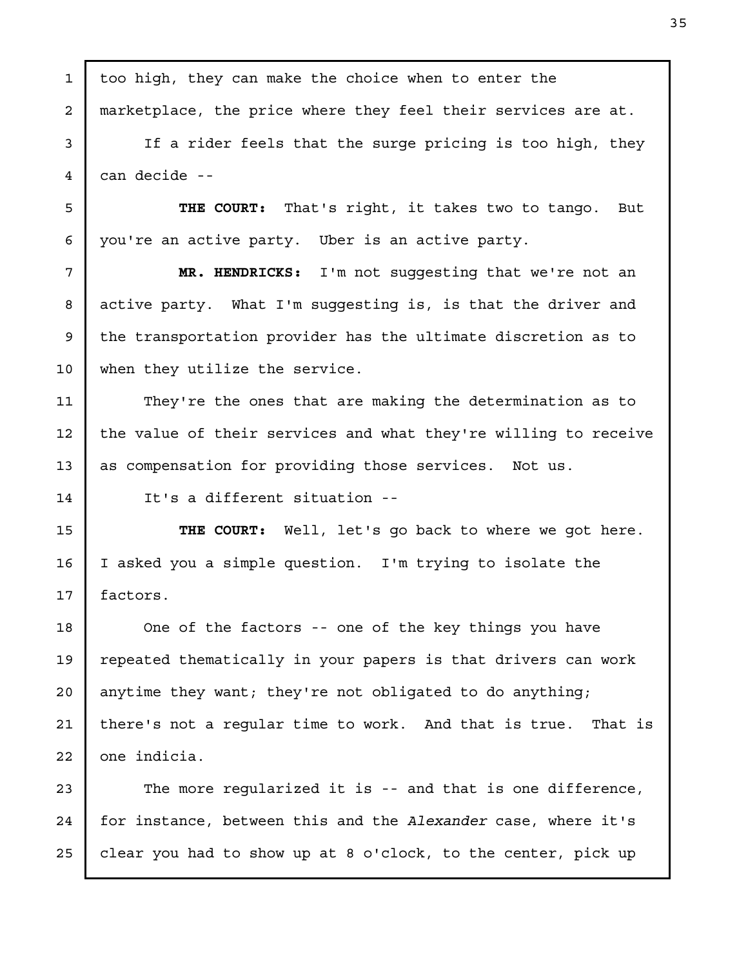too high, they can make the choice when to enter the marketplace, the price where they feel their services are at. If a rider feels that the surge pricing is too high, they can decide -- THE COURT: That's right, it takes two to tango. But you're an active party. Uber is an active party. MR. HENDRICKS: I'm not suggesting that we're not an active party. What I'm suggesting is, is that the driver and the transportation provider has the ultimate discretion as to when they utilize the service. They're the ones that are making the determination as to the value of their services and what they're willing to receive as compensation for providing those services. Not us. It's a different situation -- THE COURT: Well, let's go back to where we got here. I asked you a simple question. I'm trying to isolate the factors. One of the factors -- one of the key things you have repeated thematically in your papers is that drivers can work anytime they want; they're not obligated to do anything; there's not a regular time to work. And that is true. That is one indicia. The more regularized it is -- and that is one difference, for instance, between this and the Alexander case, where it's clear you had to show up at 8 o'clock, to the center, pick up 1 2 3 4 5 6 7 8 9 10 11 12 13 14 15 16 17 18 19 20 21 22 23 24 25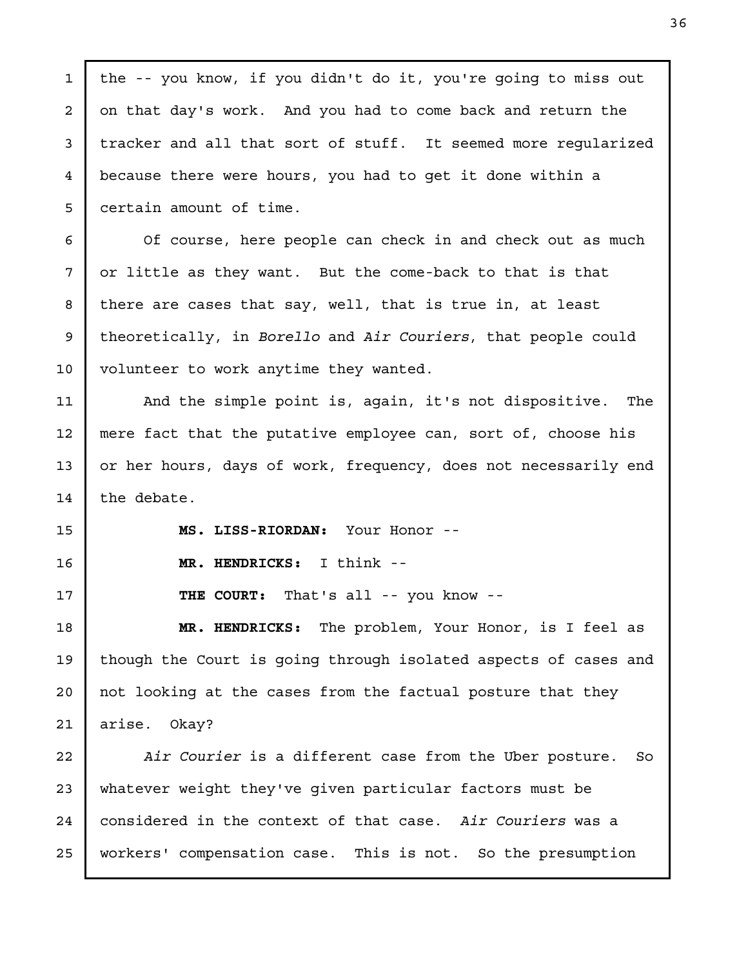the -- you know, if you didn't do it, you're going to miss out on that day's work. And you had to come back and return the tracker and all that sort of stuff. It seemed more regularized because there were hours, you had to get it done within a certain amount of time. Of course, here people can check in and check out as much or little as they want. But the come-back to that is that there are cases that say, well, that is true in, at least theoretically, in Borello and Air Couriers, that people could volunteer to work anytime they wanted. And the simple point is, again, it's not dispositive. The mere fact that the putative employee can, sort of, choose his or her hours, days of work, frequency, does not necessarily end the debate. MS. LISS-RIORDAN: Your Honor -- MR. HENDRICKS: I think -- THE COURT: That's all -- you know -- MR. HENDRICKS: The problem, Your Honor, is I feel as though the Court is going through isolated aspects of cases and not looking at the cases from the factual posture that they arise. Okay? Air Courier is a different case from the Uber posture. So whatever weight they've given particular factors must be considered in the context of that case. Air Couriers was a workers' compensation case. This is not. So the presumption 1 2 3 4 5 6 7 8 9 10 11 12 13 14 15 16 17 18 19 20 21 22 23 24 25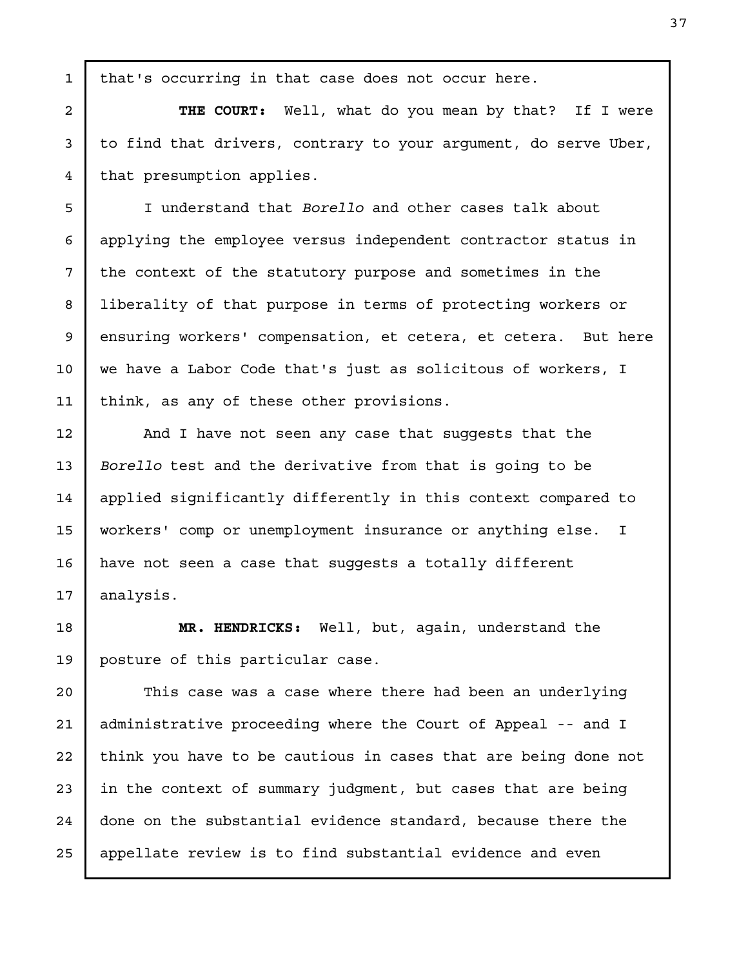that's occurring in that case does not occur here.

1

2

3

4

5

6

7

8

9

10

11

12

13

14

15

16

17

THE COURT: Well, what do you mean by that? If I were to find that drivers, contrary to your argument, do serve Uber, that presumption applies.

I understand that Borello and other cases talk about applying the employee versus independent contractor status in the context of the statutory purpose and sometimes in the liberality of that purpose in terms of protecting workers or ensuring workers' compensation, et cetera, et cetera. But here we have a Labor Code that's just as solicitous of workers, I think, as any of these other provisions.

And I have not seen any case that suggests that the Borello test and the derivative from that is going to be applied significantly differently in this context compared to workers' comp or unemployment insurance or anything else. I have not seen a case that suggests a totally different analysis.

MR. HENDRICKS: Well, but, again, understand the posture of this particular case. 18 19

This case was a case where there had been an underlying administrative proceeding where the Court of Appeal -- and I think you have to be cautious in cases that are being done not in the context of summary judgment, but cases that are being done on the substantial evidence standard, because there the appellate review is to find substantial evidence and even 20 21 22 23 24 25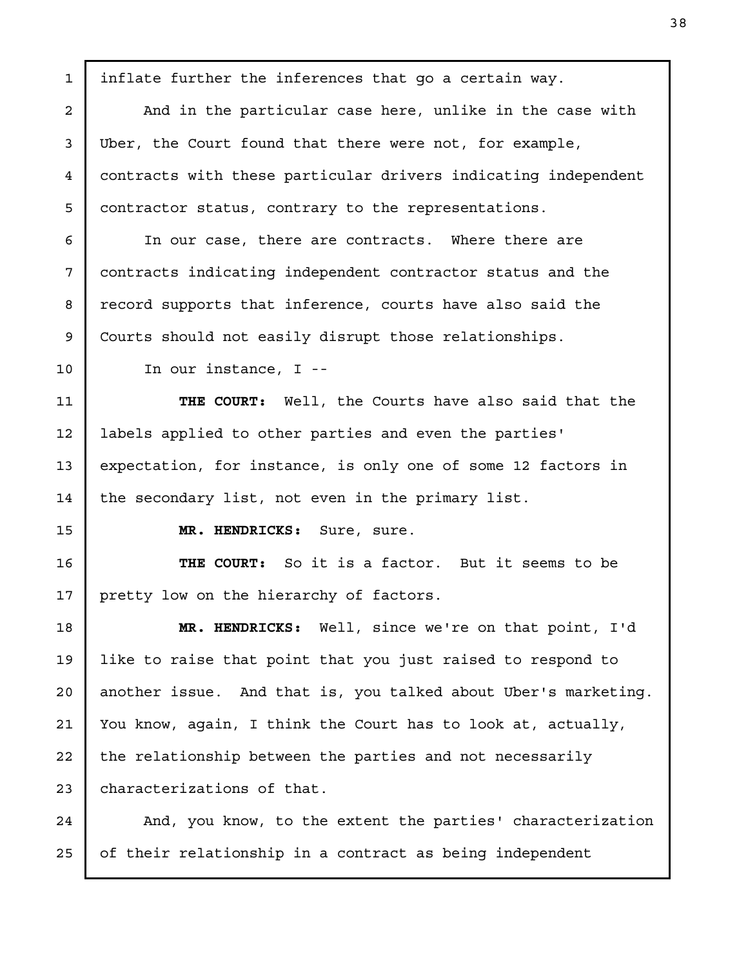inflate further the inferences that go a certain way. And in the particular case here, unlike in the case with Uber, the Court found that there were not, for example, contracts with these particular drivers indicating independent contractor status, contrary to the representations. In our case, there are contracts. Where there are contracts indicating independent contractor status and the record supports that inference, courts have also said the Courts should not easily disrupt those relationships. In our instance, I -- THE COURT: Well, the Courts have also said that the labels applied to other parties and even the parties' expectation, for instance, is only one of some 12 factors in the secondary list, not even in the primary list. MR. HENDRICKS: Sure, sure. THE COURT: So it is a factor. But it seems to be pretty low on the hierarchy of factors. MR. HENDRICKS: Well, since we're on that point, I'd like to raise that point that you just raised to respond to another issue. And that is, you talked about Uber's marketing. You know, again, I think the Court has to look at, actually, the relationship between the parties and not necessarily characterizations of that. And, you know, to the extent the parties' characterization of their relationship in a contract as being independent 1 2 3 4 5 6 7 8 9 10 11 12 13 14 15 16 17 18 19 20 21 22 23 24 25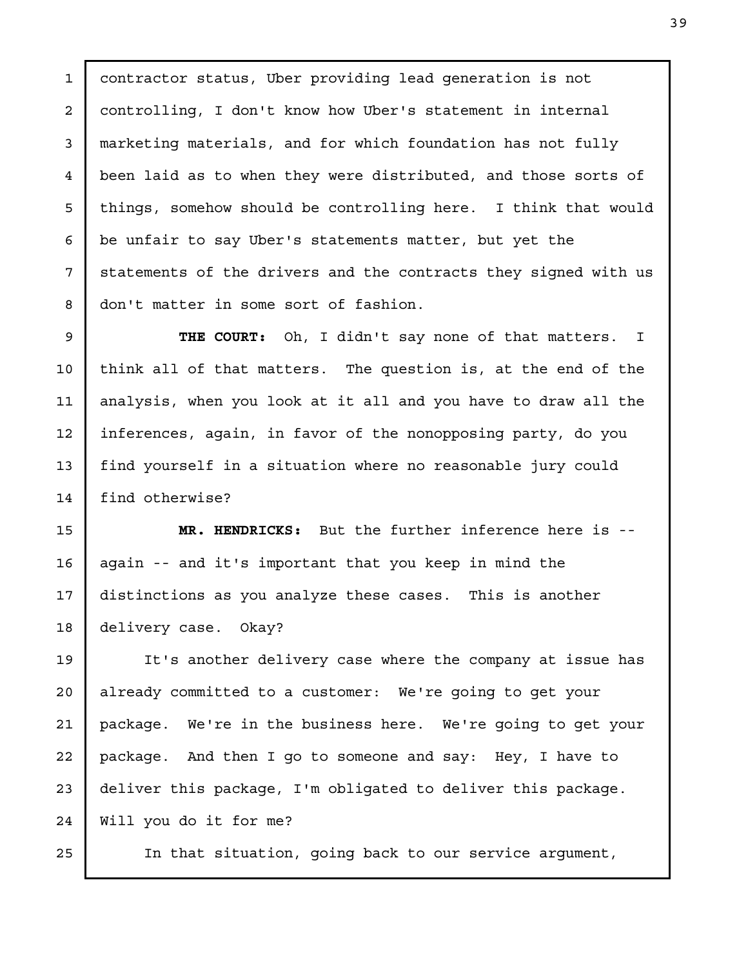contractor status, Uber providing lead generation is not controlling, I don't know how Uber's statement in internal marketing materials, and for which foundation has not fully been laid as to when they were distributed, and those sorts of things, somehow should be controlling here. I think that would be unfair to say Uber's statements matter, but yet the statements of the drivers and the contracts they signed with us don't matter in some sort of fashion.

THE COURT: Oh, I didn't say none of that matters. I think all of that matters. The question is, at the end of the analysis, when you look at it all and you have to draw all the inferences, again, in favor of the nonopposing party, do you find yourself in a situation where no reasonable jury could find otherwise?

MR. HENDRICKS: But the further inference here is - again -- and it's important that you keep in mind the distinctions as you analyze these cases. This is another delivery case. Okay?

It's another delivery case where the company at issue has already committed to a customer: We're going to get your package. We're in the business here. We're going to get your package. And then I go to someone and say: Hey, I have to deliver this package, I'm obligated to deliver this package. Will you do it for me? 24

In that situation, going back to our service argument,

25

1

2

3

4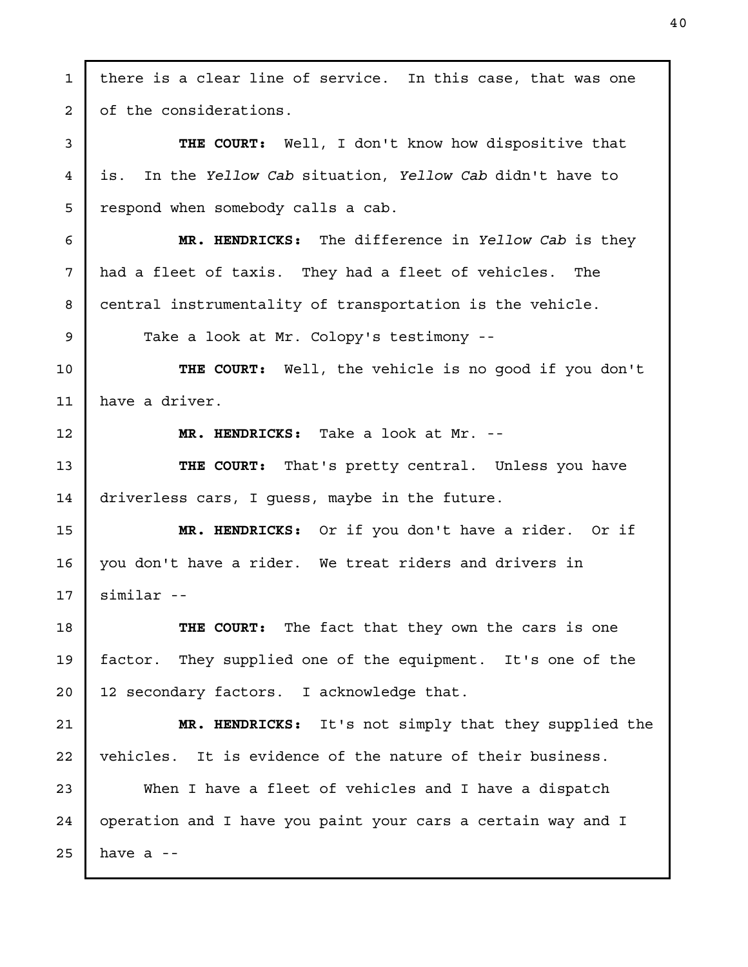there is a clear line of service. In this case, that was one of the considerations. THE COURT: Well, I don't know how dispositive that is. In the Yellow Cab situation, Yellow Cab didn't have to respond when somebody calls a cab. MR. HENDRICKS: The difference in Yellow Cab is they had a fleet of taxis. They had a fleet of vehicles. The central instrumentality of transportation is the vehicle. Take a look at Mr. Colopy's testimony -- THE COURT: Well, the vehicle is no good if you don't have a driver. MR. HENDRICKS: Take a look at Mr. -- THE COURT: That's pretty central. Unless you have driverless cars, I guess, maybe in the future. MR. HENDRICKS: Or if you don't have a rider. Or if you don't have a rider. We treat riders and drivers in similar -- THE COURT: The fact that they own the cars is one factor. They supplied one of the equipment. It's one of the 12 secondary factors. I acknowledge that. MR. HENDRICKS: It's not simply that they supplied the vehicles. It is evidence of the nature of their business. When I have a fleet of vehicles and I have a dispatch operation and I have you paint your cars a certain way and I have a -- 1 2 3 4 5 6 7 8 9 10 11 12 13 14 15 16 17 18 19 20 21 22 23 24 25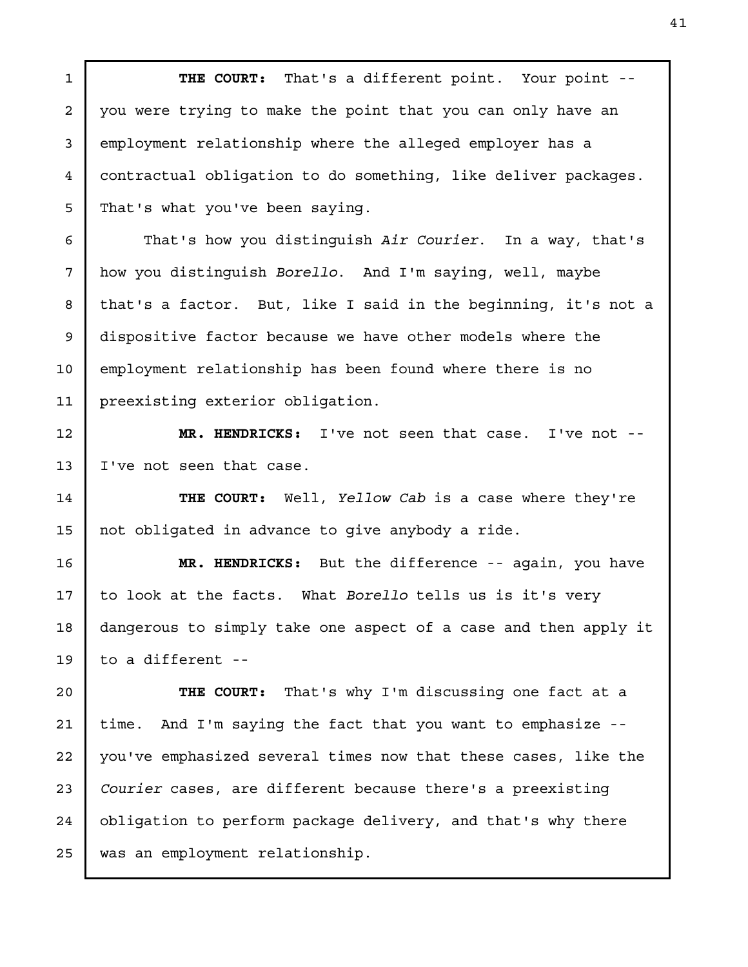THE COURT: That's a different point. Your point - you were trying to make the point that you can only have an employment relationship where the alleged employer has a contractual obligation to do something, like deliver packages. That's what you've been saying. That's how you distinguish Air Courier. In a way, that's how you distinguish Borello. And I'm saying, well, maybe that's a factor. But, like I said in the beginning, it's not a dispositive factor because we have other models where the employment relationship has been found where there is no preexisting exterior obligation. MR. HENDRICKS: I've not seen that case. I've not -- I've not seen that case. THE COURT: Well, Yellow Cab is a case where they're not obligated in advance to give anybody a ride. MR. HENDRICKS: But the difference -- again, you have to look at the facts. What Borello tells us is it's very dangerous to simply take one aspect of a case and then apply it 1 2 3 4 5 6 7 8 9 10 11 12 13 14 15 16 17 18

to a different -- 19

THE COURT: That's why I'm discussing one fact at a time. And I'm saying the fact that you want to emphasize - you've emphasized several times now that these cases, like the Courier cases, are different because there's a preexisting obligation to perform package delivery, and that's why there was an employment relationship. 20 21 22 23 24 25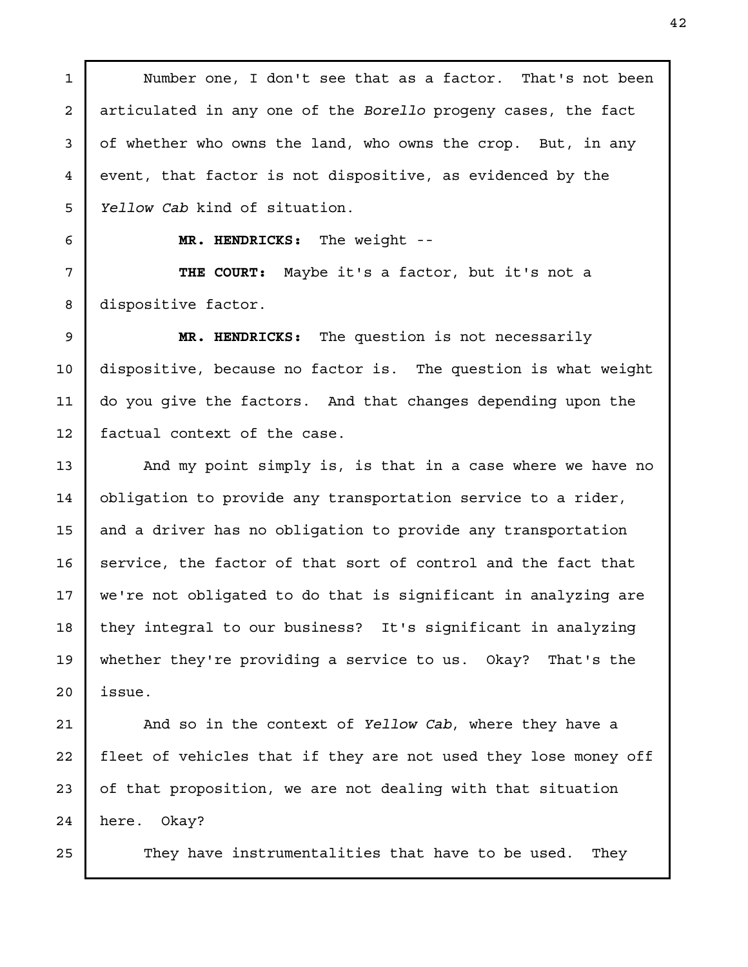Number one, I don't see that as a factor. That's not been articulated in any one of the Borello progeny cases, the fact of whether who owns the land, who owns the crop. But, in any event, that factor is not dispositive, as evidenced by the Yellow Cab kind of situation.

1

2

3

4

MR. HENDRICKS: The weight --

THE COURT: Maybe it's a factor, but it's not a dispositive factor.

MR. HENDRICKS: The question is not necessarily dispositive, because no factor is. The question is what weight do you give the factors. And that changes depending upon the factual context of the case.

And my point simply is, is that in a case where we have no obligation to provide any transportation service to a rider, and a driver has no obligation to provide any transportation service, the factor of that sort of control and the fact that we're not obligated to do that is significant in analyzing are they integral to our business? It's significant in analyzing whether they're providing a service to us. Okay? That's the issue.

And so in the context of Yellow Cab, where they have a fleet of vehicles that if they are not used they lose money off of that proposition, we are not dealing with that situation here. Okay?

They have instrumentalities that have to be used. They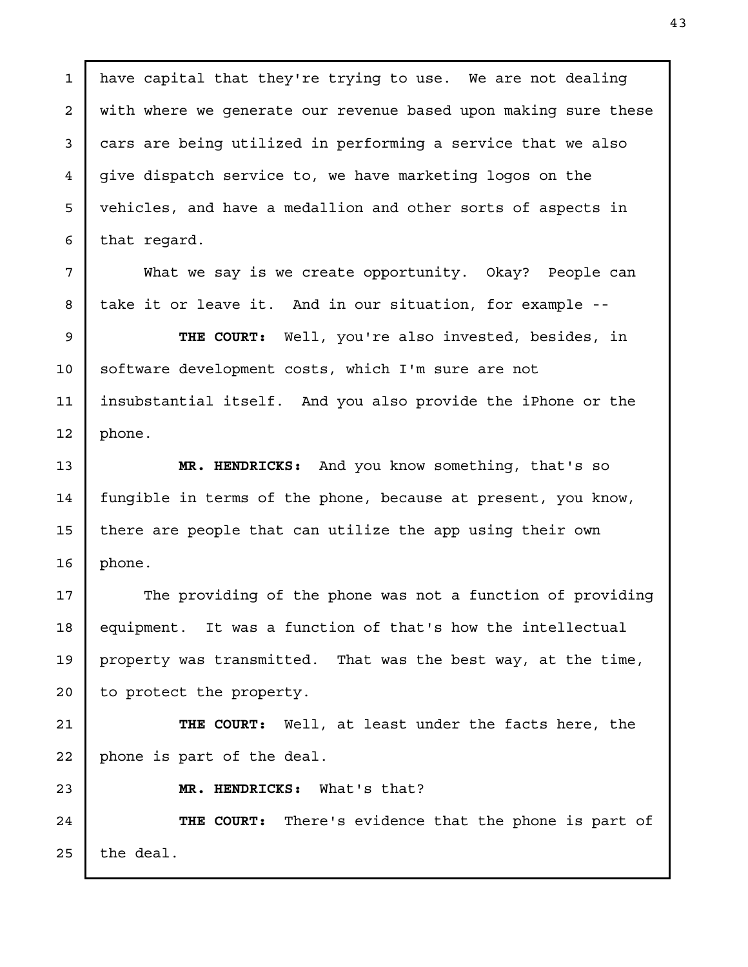have capital that they're trying to use. We are not dealing with where we generate our revenue based upon making sure these cars are being utilized in performing a service that we also give dispatch service to, we have marketing logos on the vehicles, and have a medallion and other sorts of aspects in that regard. 1 2 3 4 5

What we say is we create opportunity. Okay? People can take it or leave it. And in our situation, for example --

THE COURT: Well, you're also invested, besides, in software development costs, which I'm sure are not insubstantial itself. And you also provide the iPhone or the phone. 9 10 11 12

MR. HENDRICKS: And you know something, that's so fungible in terms of the phone, because at present, you know, there are people that can utilize the app using their own phone. 13 14 15 16

The providing of the phone was not a function of providing equipment. It was a function of that's how the intellectual property was transmitted. That was the best way, at the time, to protect the property. 17 18 19 20

THE COURT: Well, at least under the facts here, the phone is part of the deal. 21 22

23

6

7

8

MR. HENDRICKS: What's that?

THE COURT: There's evidence that the phone is part of the deal. 24 25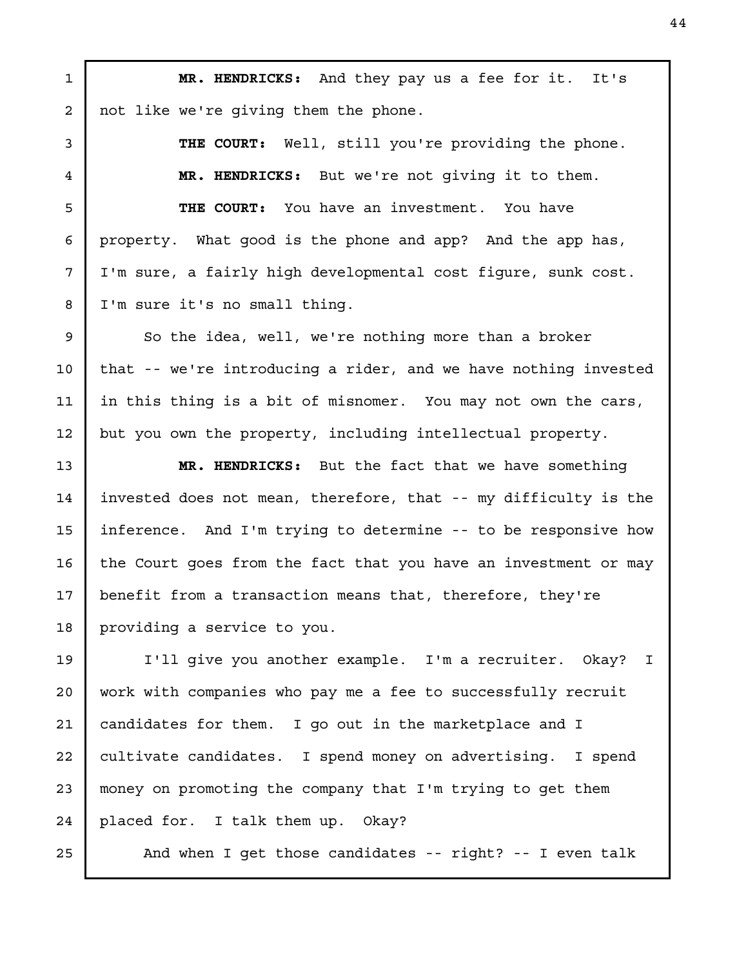MR. HENDRICKS: And they pay us a fee for it. It's not like we're giving them the phone. 1 2

> THE COURT: Well, still you're providing the phone. MR. HENDRICKS: But we're not giving it to them.

THE COURT: You have an investment. You have property. What good is the phone and app? And the app has, I'm sure, a fairly high developmental cost figure, sunk cost. I'm sure it's no small thing.

So the idea, well, we're nothing more than a broker that -- we're introducing a rider, and we have nothing invested in this thing is a bit of misnomer. You may not own the cars, but you own the property, including intellectual property.

MR. HENDRICKS: But the fact that we have something invested does not mean, therefore, that -- my difficulty is the inference. And I'm trying to determine -- to be responsive how the Court goes from the fact that you have an investment or may benefit from a transaction means that, therefore, they're providing a service to you.

I'll give you another example. I'm a recruiter. Okay? I work with companies who pay me a fee to successfully recruit candidates for them. I go out in the marketplace and I cultivate candidates. I spend money on advertising. I spend money on promoting the company that I'm trying to get them placed for. I talk them up. Okay? 20 21 22 23 24

And when I get those candidates -- right? -- I even talk

25

3

4

5

6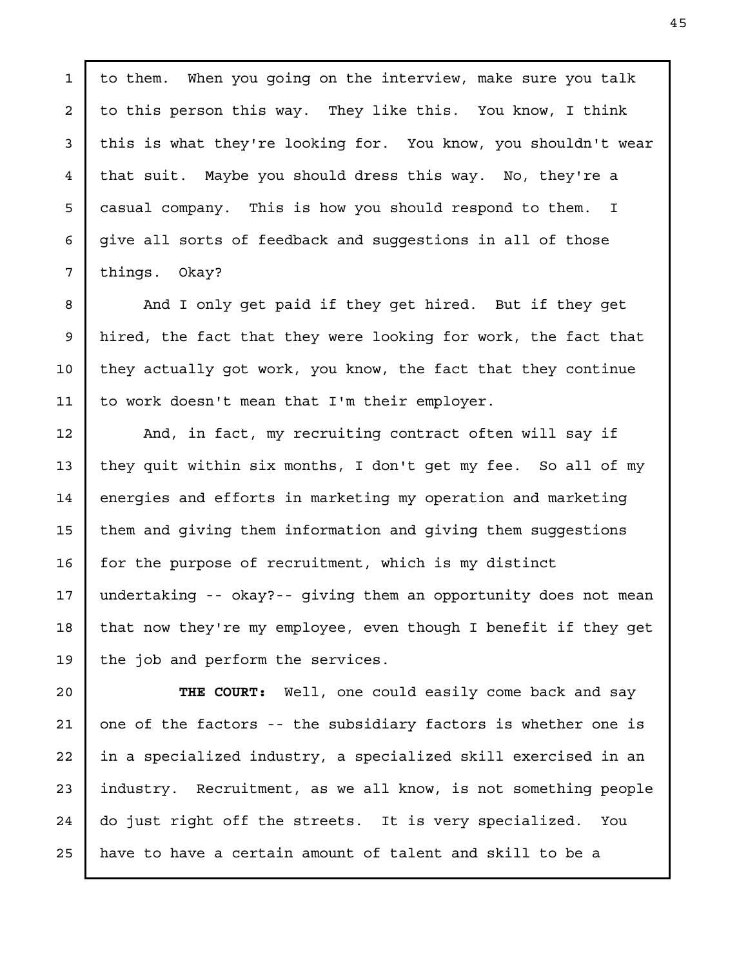to them. When you going on the interview, make sure you talk to this person this way. They like this. You know, I think this is what they're looking for. You know, you shouldn't wear that suit. Maybe you should dress this way. No, they're a casual company. This is how you should respond to them. I give all sorts of feedback and suggestions in all of those things. Okay?

1

2

3

4

5

6

7

8

9

10

11

And I only get paid if they get hired. But if they get hired, the fact that they were looking for work, the fact that they actually got work, you know, the fact that they continue to work doesn't mean that I'm their employer.

And, in fact, my recruiting contract often will say if they quit within six months, I don't get my fee. So all of my energies and efforts in marketing my operation and marketing them and giving them information and giving them suggestions for the purpose of recruitment, which is my distinct undertaking -- okay?-- giving them an opportunity does not mean that now they're my employee, even though I benefit if they get the job and perform the services. 12 13 14 15 16 17 18 19

THE COURT: Well, one could easily come back and say one of the factors -- the subsidiary factors is whether one is in a specialized industry, a specialized skill exercised in an industry. Recruitment, as we all know, is not something people do just right off the streets. It is very specialized. You have to have a certain amount of talent and skill to be a 20 21 22 23 24 25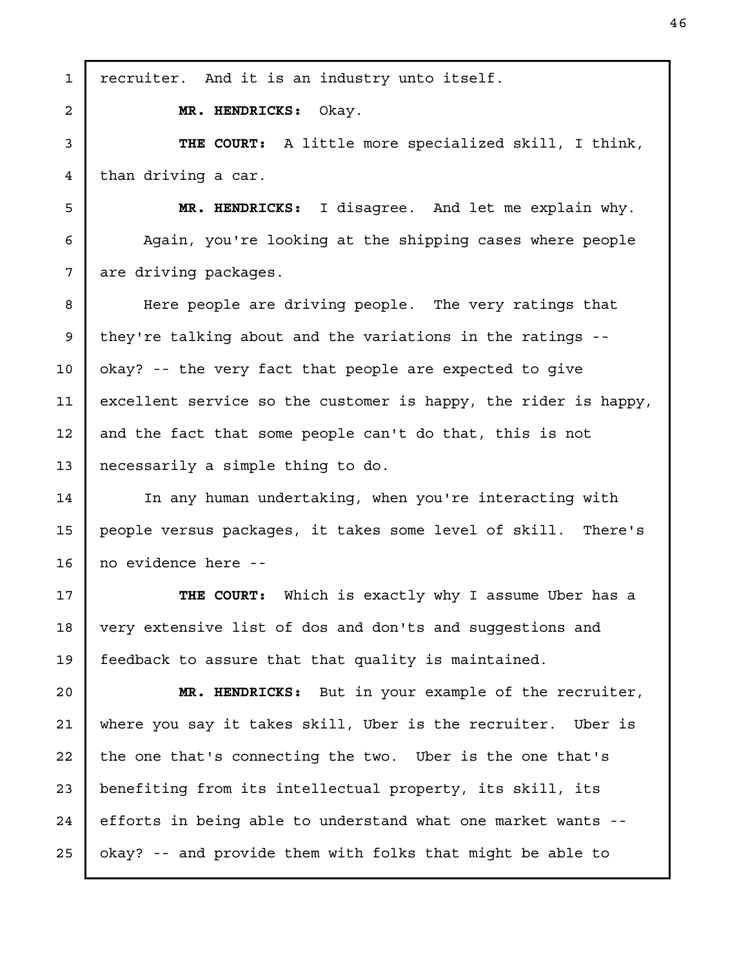recruiter. And it is an industry unto itself. MR. HENDRICKS: Okay. THE COURT: A little more specialized skill, I think, than driving a car. MR. HENDRICKS: I disagree. And let me explain why. Again, you're looking at the shipping cases where people are driving packages. Here people are driving people. The very ratings that they're talking about and the variations in the ratings - okay? -- the very fact that people are expected to give excellent service so the customer is happy, the rider is happy, and the fact that some people can't do that, this is not necessarily a simple thing to do. In any human undertaking, when you're interacting with people versus packages, it takes some level of skill. There's no evidence here -- THE COURT: Which is exactly why I assume Uber has a very extensive list of dos and don'ts and suggestions and feedback to assure that that quality is maintained. MR. HENDRICKS: But in your example of the recruiter, where you say it takes skill, Uber is the recruiter. Uber is the one that's connecting the two. Uber is the one that's benefiting from its intellectual property, its skill, its efforts in being able to understand what one market wants - okay? -- and provide them with folks that might be able to 1 2 3 4 5 6 7 8 9 10 11 12 13 14 15 16 17 18 19 20 21 22 23 24 25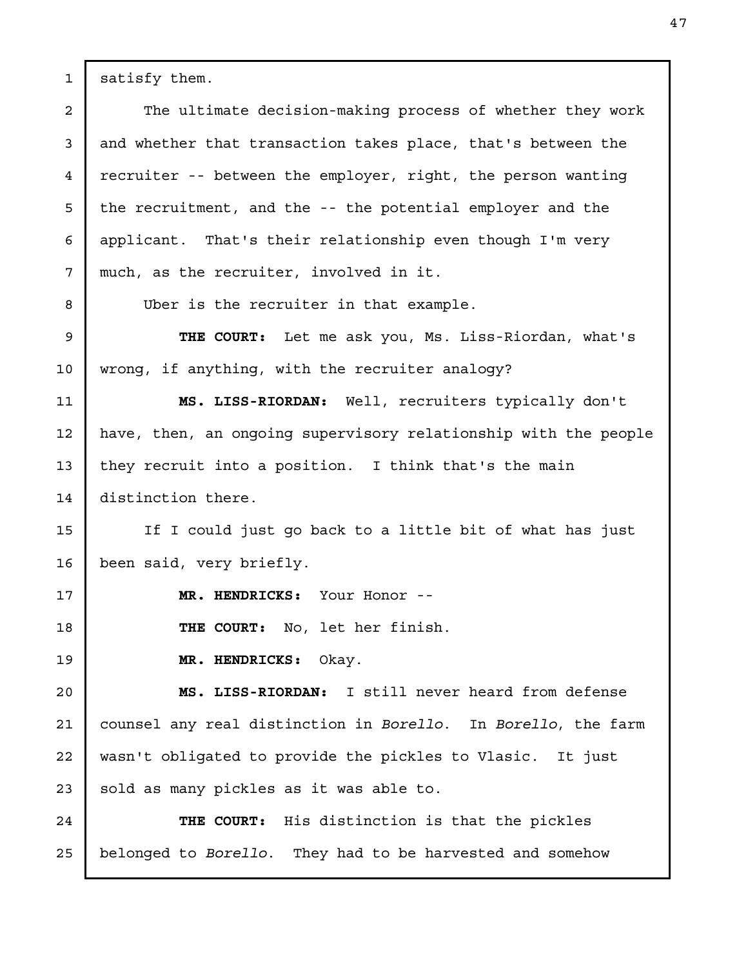satisfy them.

1

2

3

4

5

6

7

8

17

18

19

The ultimate decision-making process of whether they work and whether that transaction takes place, that's between the recruiter -- between the employer, right, the person wanting the recruitment, and the -- the potential employer and the applicant. That's their relationship even though I'm very much, as the recruiter, involved in it.

Uber is the recruiter in that example.

THE COURT: Let me ask you, Ms. Liss-Riordan, what's wrong, if anything, with the recruiter analogy? 9 10

MS. LISS-RIORDAN: Well, recruiters typically don't have, then, an ongoing supervisory relationship with the people they recruit into a position. I think that's the main distinction there. 11 12 13 14

If I could just go back to a little bit of what has just been said, very briefly. 15 16

MR. HENDRICKS: Your Honor --

THE COURT: No, let her finish.

MR. HENDRICKS: Okay.

MS. LISS-RIORDAN: I still never heard from defense counsel any real distinction in Borello. In Borello, the farm wasn't obligated to provide the pickles to Vlasic. It just sold as many pickles as it was able to. 20 21 22 23

THE COURT: His distinction is that the pickles belonged to Borello. They had to be harvested and somehow 24 25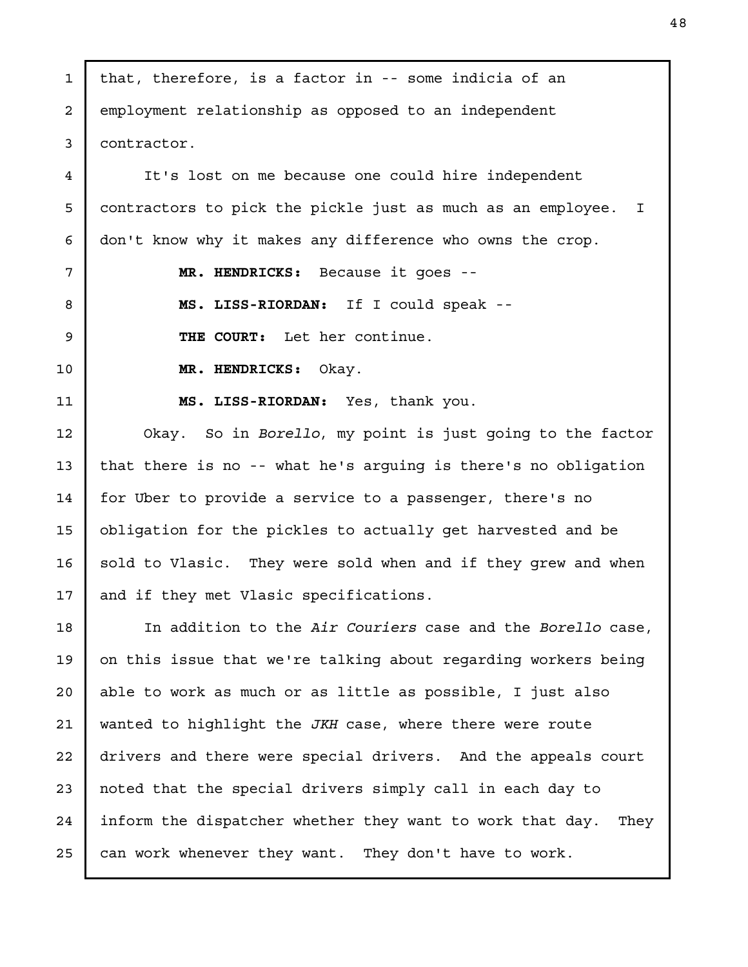that, therefore, is a factor in -- some indicia of an employment relationship as opposed to an independent contractor. It's lost on me because one could hire independent contractors to pick the pickle just as much as an employee. I don't know why it makes any difference who owns the crop. MR. HENDRICKS: Because it goes -- MS. LISS-RIORDAN: If I could speak -- THE COURT: Let her continue. MR. HENDRICKS: Okay. MS. LISS-RIORDAN: Yes, thank you. Okay. So in Borello, my point is just going to the factor that there is no -- what he's arguing is there's no obligation for Uber to provide a service to a passenger, there's no obligation for the pickles to actually get harvested and be sold to Vlasic. They were sold when and if they grew and when and if they met Vlasic specifications. In addition to the Air Couriers case and the Borello case, on this issue that we're talking about regarding workers being able to work as much or as little as possible, I just also wanted to highlight the JKH case, where there were route drivers and there were special drivers. And the appeals court noted that the special drivers simply call in each day to inform the dispatcher whether they want to work that day. They can work whenever they want. They don't have to work. 1 2 3 4 5 6 7 8 9 10 11 12 13 14 15 16 17 18 19 20 21 22 23 24 25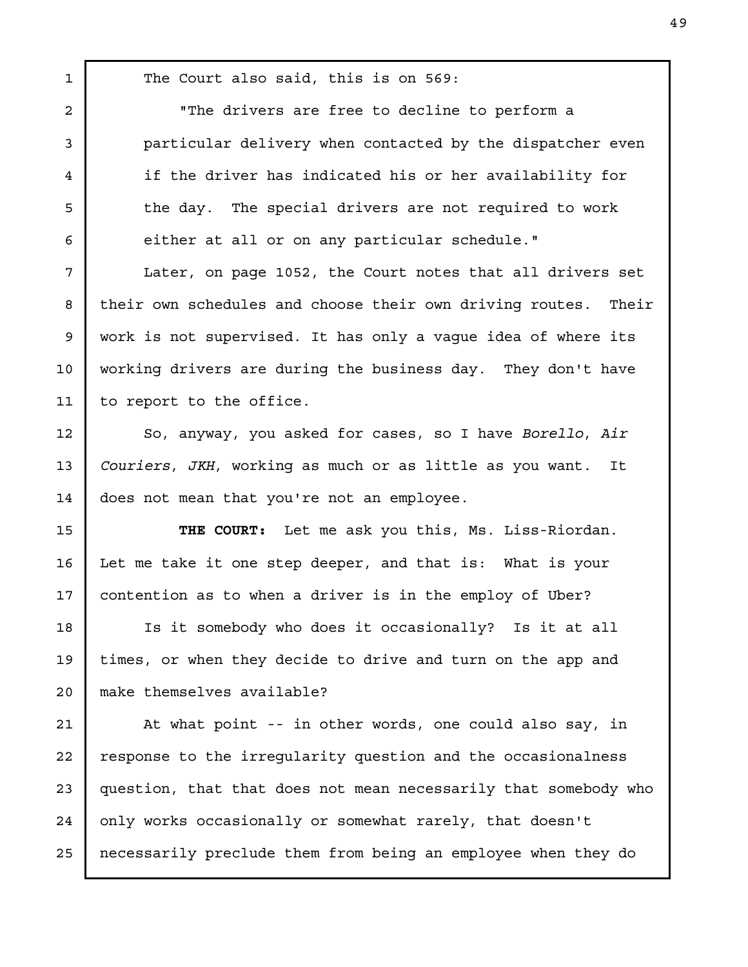The Court also said, this is on 569:

1

"The drivers are free to decline to perform a particular delivery when contacted by the dispatcher even if the driver has indicated his or her availability for the day. The special drivers are not required to work either at all or on any particular schedule." Later, on page 1052, the Court notes that all drivers set their own schedules and choose their own driving routes. Their work is not supervised. It has only a vague idea of where its working drivers are during the business day. They don't have to report to the office. So, anyway, you asked for cases, so I have Borello, Air Couriers, JKH, working as much or as little as you want. It does not mean that you're not an employee. THE COURT: Let me ask you this, Ms. Liss-Riordan. Let me take it one step deeper, and that is: What is your contention as to when a driver is in the employ of Uber? Is it somebody who does it occasionally? Is it at all times, or when they decide to drive and turn on the app and make themselves available? At what point -- in other words, one could also say, in response to the irregularity question and the occasionalness question, that that does not mean necessarily that somebody who only works occasionally or somewhat rarely, that doesn't necessarily preclude them from being an employee when they do 2 3 4 5 6 7 8 9 10 11 12 13 14 15 16 17 18 19 20 21 22 23 24 25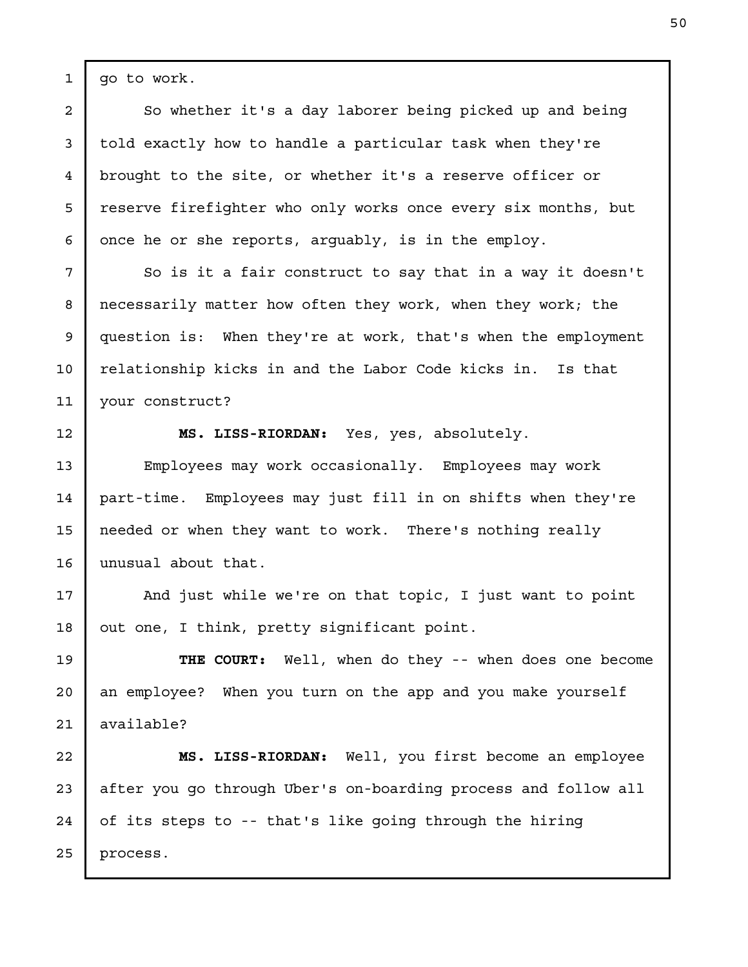go to work.

So whether it's a day laborer being picked up and being told exactly how to handle a particular task when they're brought to the site, or whether it's a reserve officer or reserve firefighter who only works once every six months, but once he or she reports, arguably, is in the employ.

So is it a fair construct to say that in a way it doesn't necessarily matter how often they work, when they work; the question is: When they're at work, that's when the employment relationship kicks in and the Labor Code kicks in. Is that your construct?

12

13

14

15

16

1

2

3

4

5

6

7

8

9

10

11

MS. LISS-RIORDAN: Yes, yes, absolutely.

Employees may work occasionally. Employees may work part-time. Employees may just fill in on shifts when they're needed or when they want to work. There's nothing really unusual about that.

And just while we're on that topic, I just want to point out one, I think, pretty significant point. 17 18

THE COURT: Well, when do they -- when does one become an employee? When you turn on the app and you make yourself available? 19 20 21

MS. LISS-RIORDAN: Well, you first become an employee after you go through Uber's on-boarding process and follow all of its steps to -- that's like going through the hiring process. 22 23 24 25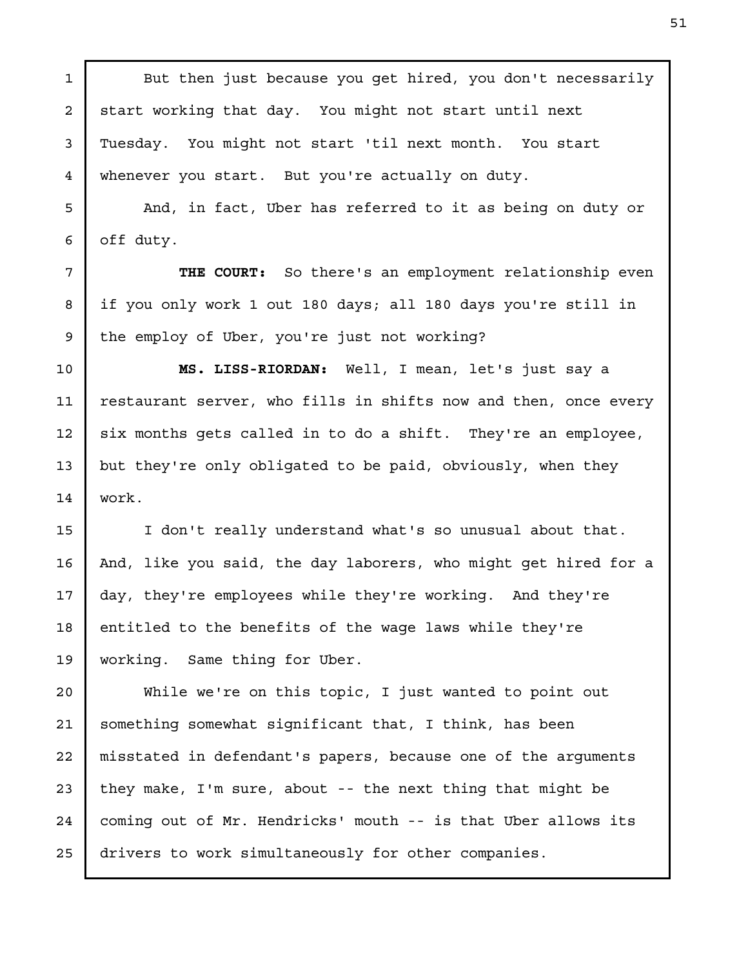But then just because you get hired, you don't necessarily start working that day. You might not start until next Tuesday. You might not start 'til next month. You start whenever you start. But you're actually on duty.

1

2

3

4

5

6

7

8

9

10

11

12

13

14

15

16

17

18

19

And, in fact, Uber has referred to it as being on duty or off duty.

THE COURT: So there's an employment relationship even if you only work 1 out 180 days; all 180 days you're still in the employ of Uber, you're just not working?

MS. LISS-RIORDAN: Well, I mean, let's just say a restaurant server, who fills in shifts now and then, once every six months gets called in to do a shift. They're an employee, but they're only obligated to be paid, obviously, when they work.

I don't really understand what's so unusual about that. And, like you said, the day laborers, who might get hired for a day, they're employees while they're working. And they're entitled to the benefits of the wage laws while they're working. Same thing for Uber.

While we're on this topic, I just wanted to point out something somewhat significant that, I think, has been misstated in defendant's papers, because one of the arguments they make, I'm sure, about -- the next thing that might be coming out of Mr. Hendricks' mouth -- is that Uber allows its drivers to work simultaneously for other companies. 20 21 22 23 24 25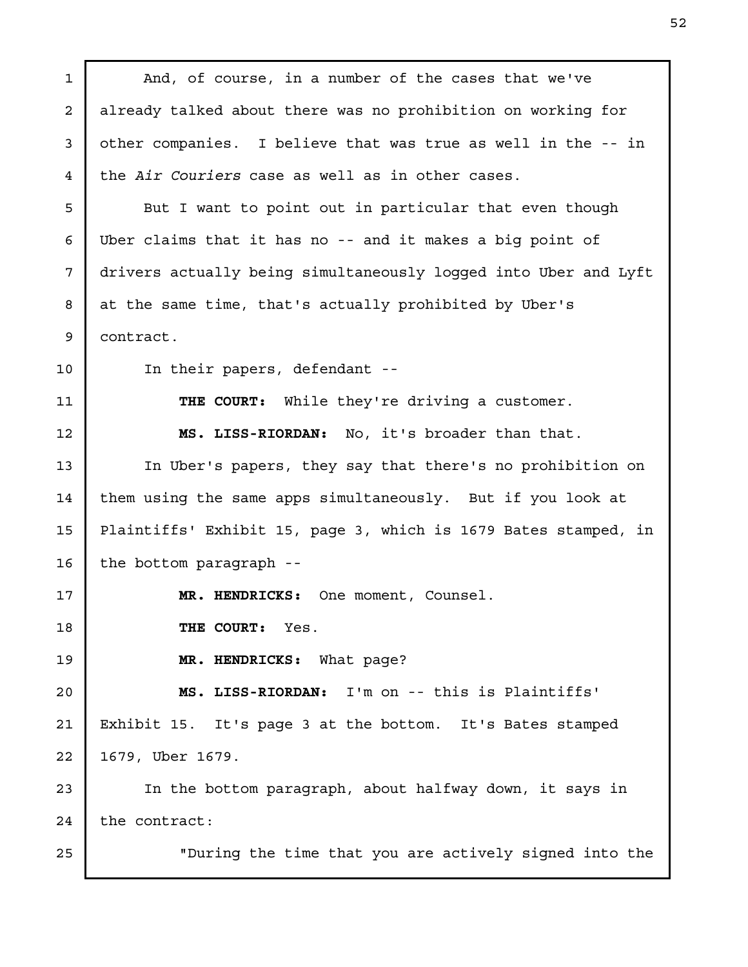And, of course, in a number of the cases that we've already talked about there was no prohibition on working for other companies. I believe that was true as well in the -- in the Air Couriers case as well as in other cases. But I want to point out in particular that even though Uber claims that it has no -- and it makes a big point of drivers actually being simultaneously logged into Uber and Lyft at the same time, that's actually prohibited by Uber's contract. In their papers, defendant -- THE COURT: While they're driving a customer. MS. LISS-RIORDAN: No, it's broader than that. In Uber's papers, they say that there's no prohibition on them using the same apps simultaneously. But if you look at Plaintiffs' Exhibit 15, page 3, which is 1679 Bates stamped, in the bottom paragraph -- MR. HENDRICKS: One moment, Counsel. THE COURT: Yes. MR. HENDRICKS: What page? MS. LISS-RIORDAN: I'm on -- this is Plaintiffs' Exhibit 15. It's page 3 at the bottom. It's Bates stamped 1679, Uber 1679. In the bottom paragraph, about halfway down, it says in the contract: "During the time that you are actively signed into the 1 2 3 4 5 6 7 8 9 10 11 12 13 14 15 16 17 18 19 20 21 22 23 24 25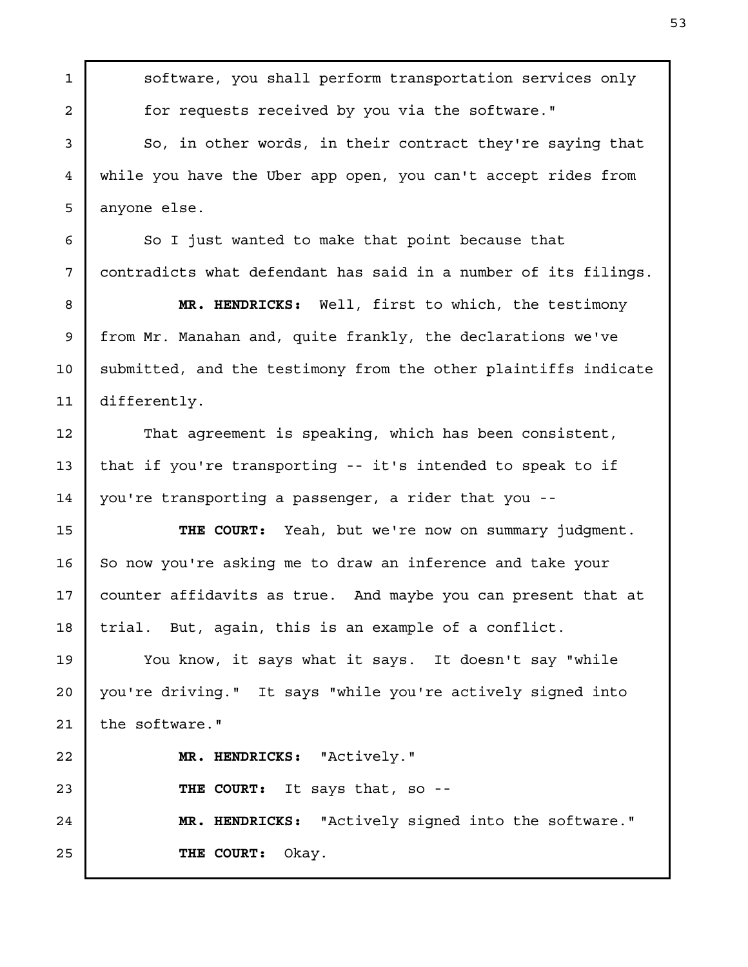software, you shall perform transportation services only for requests received by you via the software." So, in other words, in their contract they're saying that while you have the Uber app open, you can't accept rides from anyone else. So I just wanted to make that point because that contradicts what defendant has said in a number of its filings. MR. HENDRICKS: Well, first to which, the testimony from Mr. Manahan and, quite frankly, the declarations we've submitted, and the testimony from the other plaintiffs indicate differently. That agreement is speaking, which has been consistent, that if you're transporting -- it's intended to speak to if you're transporting a passenger, a rider that you -- THE COURT: Yeah, but we're now on summary judgment. So now you're asking me to draw an inference and take your counter affidavits as true. And maybe you can present that at trial. But, again, this is an example of a conflict. You know, it says what it says. It doesn't say "while you're driving." It says "while you're actively signed into the software." MR. HENDRICKS: "Actively." THE COURT: It says that, so --MR. HENDRICKS: "Actively signed into the software." THE COURT: Okay. 1 2 3 4 5 6 7 8 9 10 11 12 13 14 15 16 17 18 19 20 21 22 23 24 25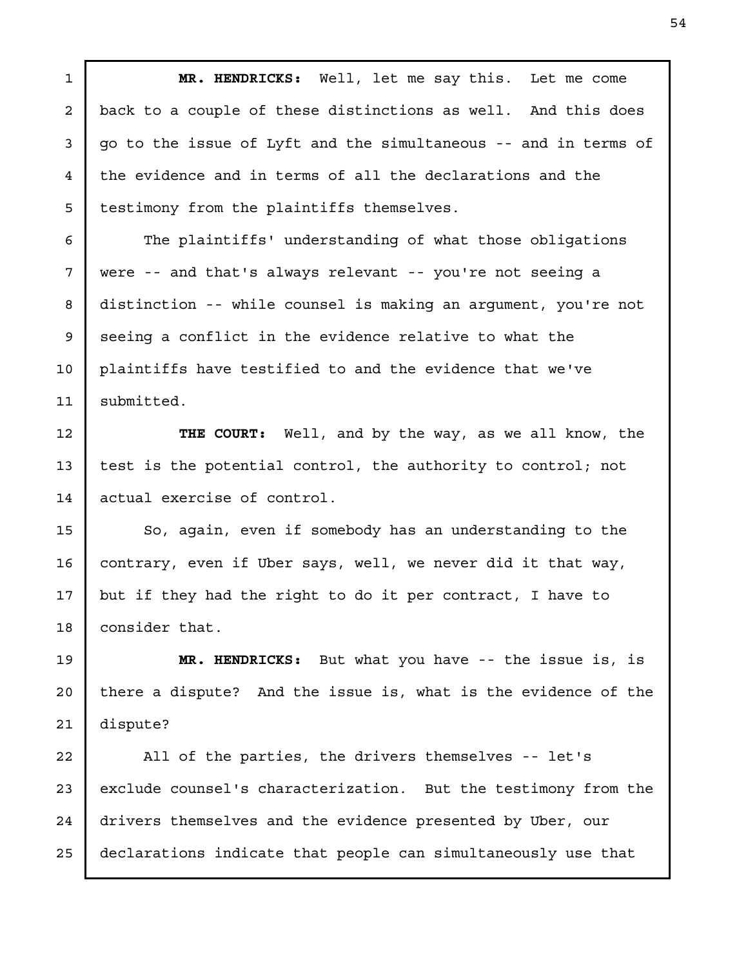MR. HENDRICKS: Well, let me say this. Let me come back to a couple of these distinctions as well. And this does go to the issue of Lyft and the simultaneous -- and in terms of the evidence and in terms of all the declarations and the testimony from the plaintiffs themselves.

The plaintiffs' understanding of what those obligations were -- and that's always relevant -- you're not seeing a distinction -- while counsel is making an argument, you're not seeing a conflict in the evidence relative to what the plaintiffs have testified to and the evidence that we've submitted.

THE COURT: Well, and by the way, as we all know, the test is the potential control, the authority to control; not actual exercise of control.

So, again, even if somebody has an understanding to the contrary, even if Uber says, well, we never did it that way, but if they had the right to do it per contract, I have to consider that. 15 16

MR. HENDRICKS: But what you have -- the issue is, is there a dispute? And the issue is, what is the evidence of the dispute?

All of the parties, the drivers themselves -- let's exclude counsel's characterization. But the testimony from the drivers themselves and the evidence presented by Uber, our declarations indicate that people can simultaneously use that 24 25

1

2

3

4

5

6

7

8

9

10

11

12

13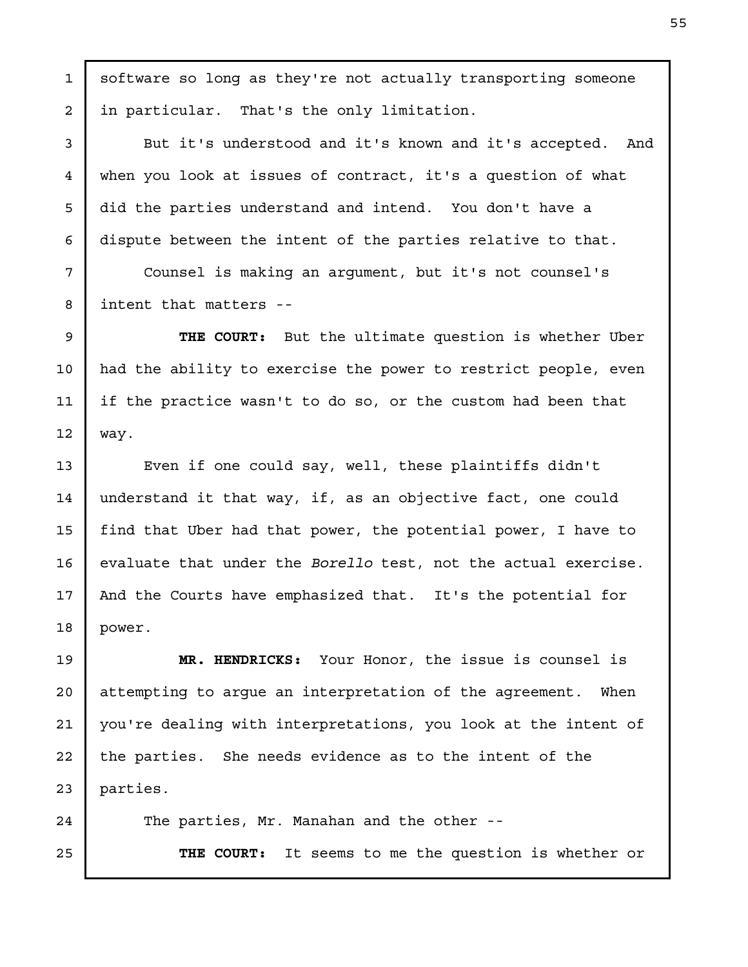software so long as they're not actually transporting someone in particular. That's the only limitation.

But it's understood and it's known and it's accepted. And when you look at issues of contract, it's a question of what did the parties understand and intend. You don't have a dispute between the intent of the parties relative to that.

Counsel is making an argument, but it's not counsel's intent that matters --

THE COURT: But the ultimate question is whether Uber had the ability to exercise the power to restrict people, even if the practice wasn't to do so, or the custom had been that

Even if one could say, well, these plaintiffs didn't understand it that way, if, as an objective fact, one could find that Uber had that power, the potential power, I have to evaluate that under the Borello test, not the actual exercise. And the Courts have emphasized that. It's the potential for

MR. HENDRICKS: Your Honor, the issue is counsel is attempting to argue an interpretation of the agreement. When you're dealing with interpretations, you look at the intent of the parties. She needs evidence as to the intent of the

The parties, Mr. Manahan and the other --

THE COURT: It seems to me the question is whether or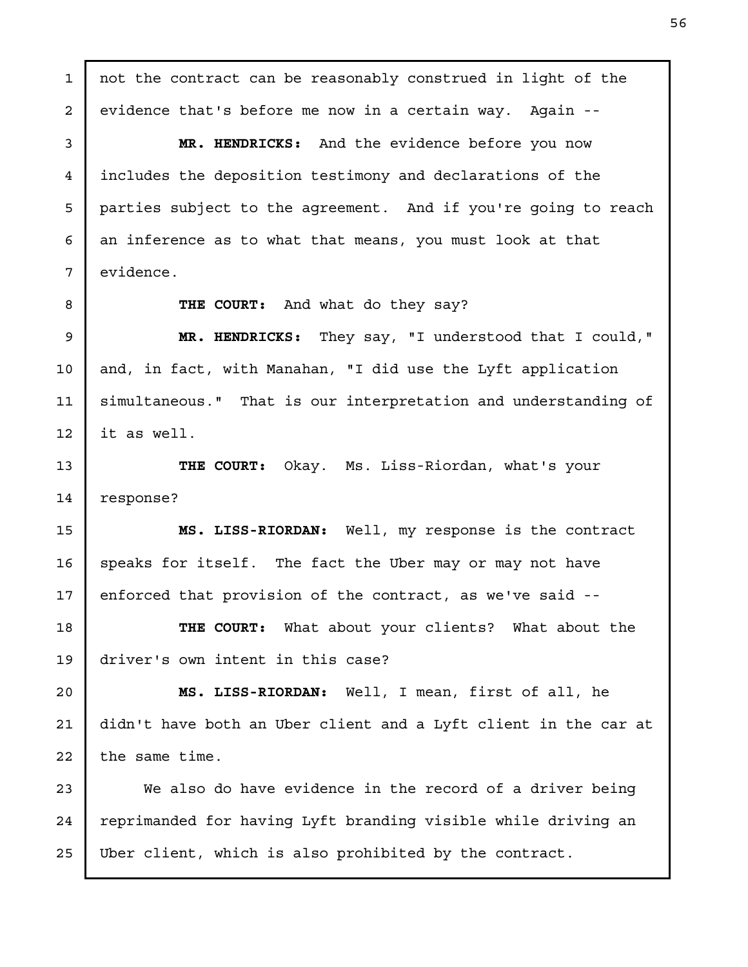not the contract can be reasonably construed in light of the evidence that's before me now in a certain way. Again -- MR. HENDRICKS: And the evidence before you now includes the deposition testimony and declarations of the parties subject to the agreement. And if you're going to reach an inference as to what that means, you must look at that evidence. THE COURT: And what do they say? MR. HENDRICKS: They say, "I understood that I could," and, in fact, with Manahan, "I did use the Lyft application simultaneous." That is our interpretation and understanding of it as well. THE COURT: Okay. Ms. Liss-Riordan, what's your response? MS. LISS-RIORDAN: Well, my response is the contract speaks for itself. The fact the Uber may or may not have enforced that provision of the contract, as we've said -- THE COURT: What about your clients? What about the driver's own intent in this case? MS. LISS-RIORDAN: Well, I mean, first of all, he didn't have both an Uber client and a Lyft client in the car at the same time. We also do have evidence in the record of a driver being reprimanded for having Lyft branding visible while driving an Uber client, which is also prohibited by the contract. 1 2 3 4 5 6 7 8 9 10 11 12 13 14 15 16 17 18 19 20 21 22 23 24 25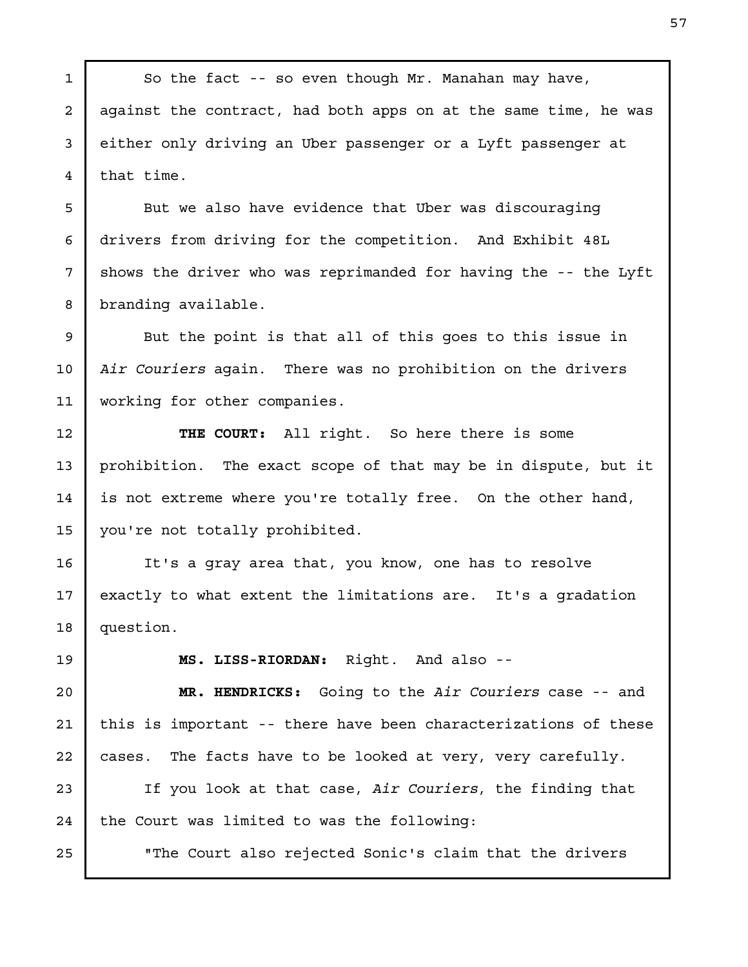So the fact -- so even though Mr. Manahan may have, against the contract, had both apps on at the same time, he was either only driving an Uber passenger or a Lyft passenger at that time. But we also have evidence that Uber was discouraging drivers from driving for the competition. And Exhibit 48L shows the driver who was reprimanded for having the -- the Lyft branding available. But the point is that all of this goes to this issue in Air Couriers again. There was no prohibition on the drivers working for other companies. THE COURT: All right. So here there is some prohibition. The exact scope of that may be in dispute, but it is not extreme where you're totally free. On the other hand, you're not totally prohibited. It's a gray area that, you know, one has to resolve exactly to what extent the limitations are. It's a gradation question. MS. LISS-RIORDAN: Right. And also -- MR. HENDRICKS: Going to the Air Couriers case -- and this is important -- there have been characterizations of these cases. The facts have to be looked at very, very carefully. If you look at that case, Air Couriers, the finding that the Court was limited to was the following: "The Court also rejected Sonic's claim that the drivers 1 2 3 4 5 6 7 8 9 10 11 12 13 14 15 16 17 18 19 20 21 22 23 24 25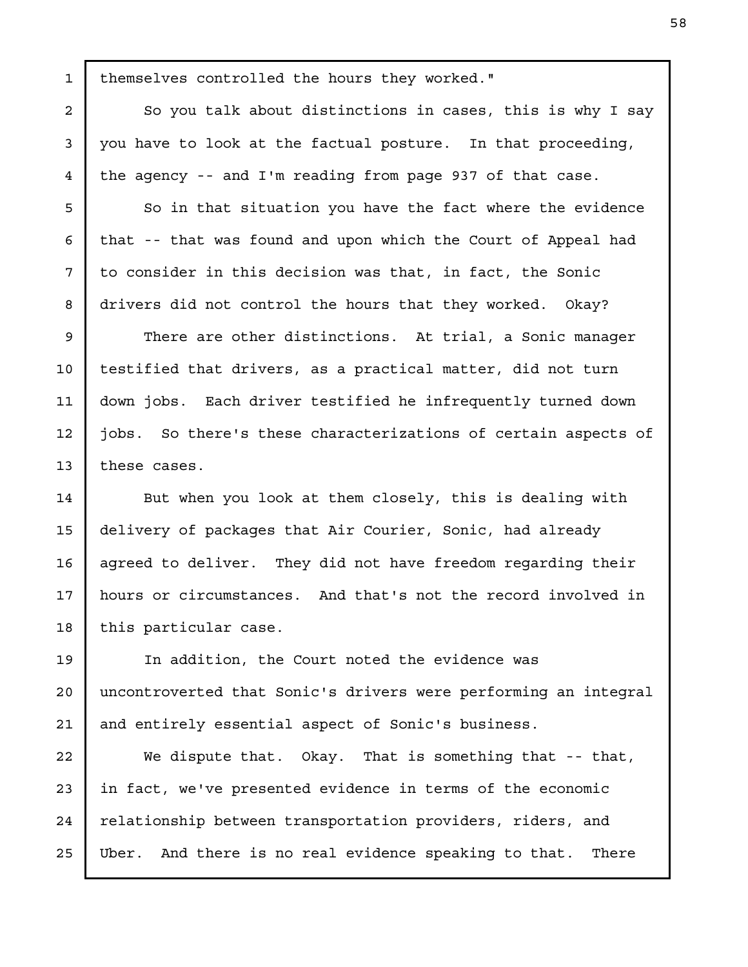themselves controlled the hours they worked."

So you talk about distinctions in cases, this is why I say you have to look at the factual posture. In that proceeding, the agency -- and I'm reading from page 937 of that case.

So in that situation you have the fact where the evidence that -- that was found and upon which the Court of Appeal had to consider in this decision was that, in fact, the Sonic drivers did not control the hours that they worked. Okay?

There are other distinctions. At trial, a Sonic manager testified that drivers, as a practical matter, did not turn down jobs. Each driver testified he infrequently turned down jobs. So there's these characterizations of certain aspects of these cases.

But when you look at them closely, this is dealing with delivery of packages that Air Courier, Sonic, had already agreed to deliver. They did not have freedom regarding their hours or circumstances. And that's not the record involved in this particular case. 14 15 16 17 18

In addition, the Court noted the evidence was uncontroverted that Sonic's drivers were performing an integral and entirely essential aspect of Sonic's business. 19

We dispute that. Okay. That is something that -- that, in fact, we've presented evidence in terms of the economic relationship between transportation providers, riders, and Uber. And there is no real evidence speaking to that. There 25

1

2

3

4

5

6

7

8

9

10

11

12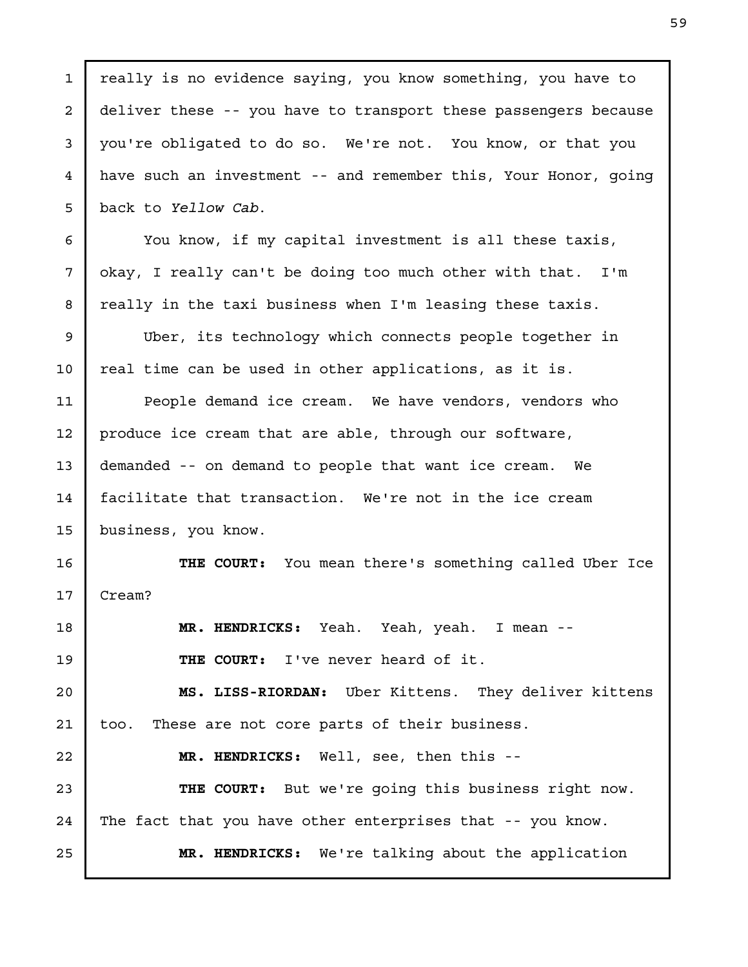| $\mathbf{1}$   | really is no evidence saying, you know something, you have to   |
|----------------|-----------------------------------------------------------------|
| 2              | deliver these -- you have to transport these passengers because |
| 3              | you're obligated to do so. We're not. You know, or that you     |
| $\overline{4}$ | have such an investment -- and remember this, Your Honor, going |
| 5              | back to Yellow Cab.                                             |
| 6              | You know, if my capital investment is all these taxis,          |
| 7              | okay, I really can't be doing too much other with that. I'm     |
| 8              | really in the taxi business when I'm leasing these taxis.       |
| 9              | Uber, its technology which connects people together in          |
| 10             | real time can be used in other applications, as it is.          |
| 11             | People demand ice cream. We have vendors, vendors who           |
| 12             | produce ice cream that are able, through our software,          |
| 13             | demanded -- on demand to people that want ice cream. We         |
| 14             | facilitate that transaction. We're not in the ice cream         |
| 15             | business, you know.                                             |
| 16             | THE COURT: You mean there's something called Uber Ice           |
| 17             | Cream?                                                          |
| 18             | MR. HENDRICKS: Yeah. Yeah, yeah. I mean --                      |
| 19             | THE COURT: I've never heard of it.                              |
| 20             | MS. LISS-RIORDAN: Uber Kittens. They deliver kittens            |
| 21             | These are not core parts of their business.<br>too.             |
| 22             | MR. HENDRICKS: Well, see, then this --                          |
| 23             | THE COURT: But we're going this business right now.             |
| 24             | The fact that you have other enterprises that -- you know.      |
| 25             | MR. HENDRICKS: We're talking about the application              |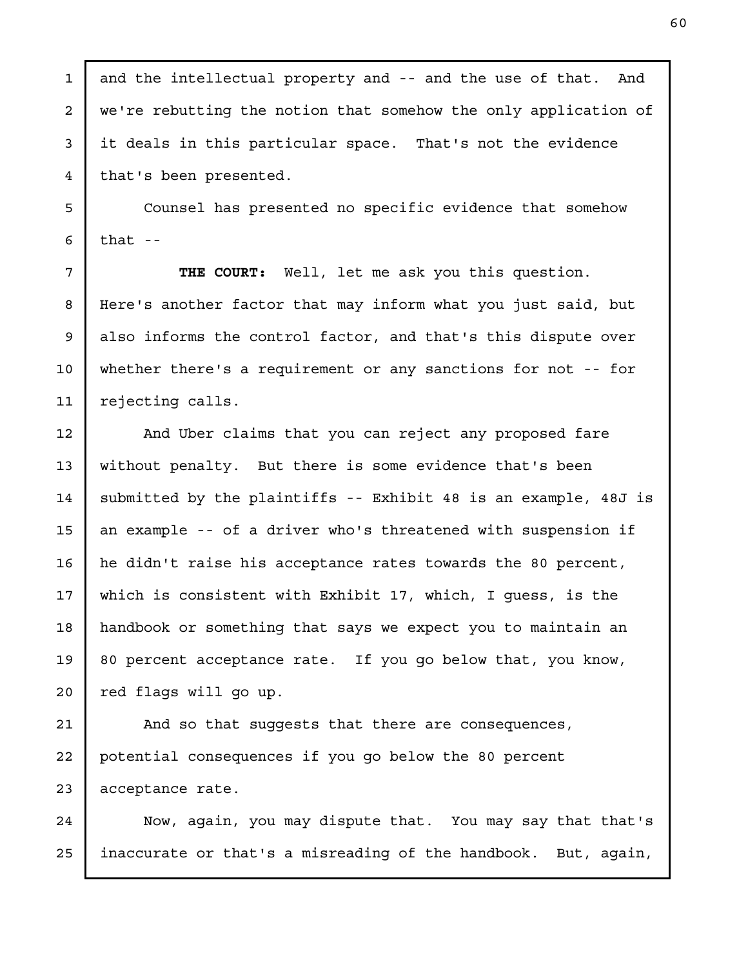and the intellectual property and -- and the use of that. And we're rebutting the notion that somehow the only application of it deals in this particular space. That's not the evidence that's been presented.

1

2

3

4

5

6

7

8

9

10

11

12

13

14

15

16

17

18

19

20

Counsel has presented no specific evidence that somehow that  $-$ 

THE COURT: Well, let me ask you this question. Here's another factor that may inform what you just said, but also informs the control factor, and that's this dispute over whether there's a requirement or any sanctions for not -- for rejecting calls.

And Uber claims that you can reject any proposed fare without penalty. But there is some evidence that's been submitted by the plaintiffs -- Exhibit 48 is an example, 48J is an example -- of a driver who's threatened with suspension if he didn't raise his acceptance rates towards the 80 percent, which is consistent with Exhibit 17, which, I guess, is the handbook or something that says we expect you to maintain an 80 percent acceptance rate. If you go below that, you know, red flags will go up.

And so that suggests that there are consequences, potential consequences if you go below the 80 percent acceptance rate. 21 22 23

Now, again, you may dispute that. You may say that that's inaccurate or that's a misreading of the handbook. But, again, 24 25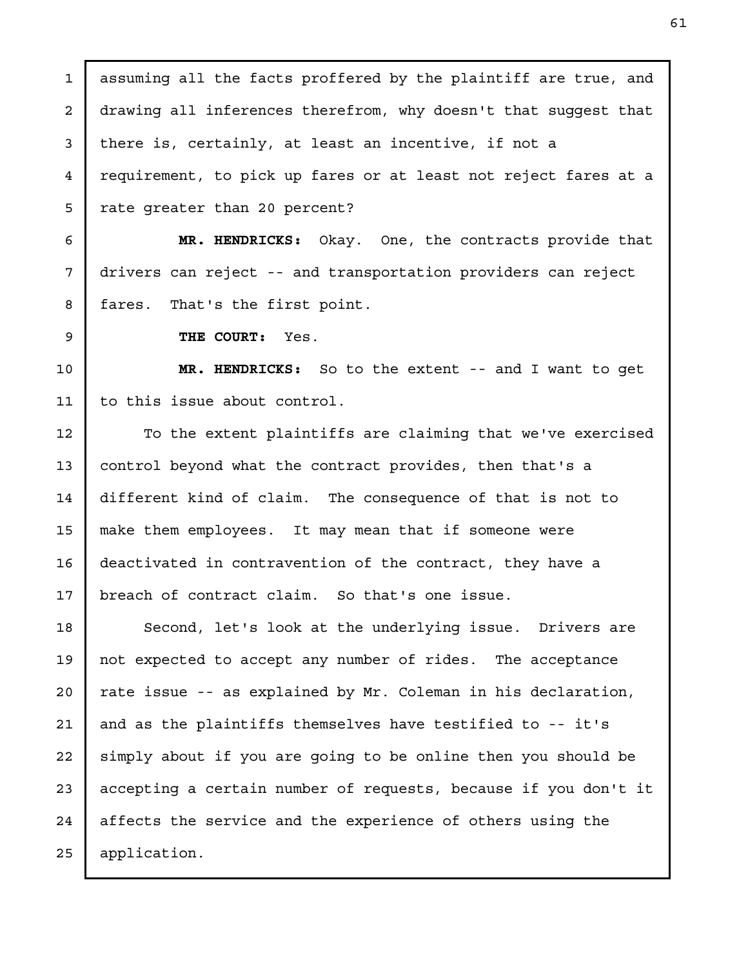assuming all the facts proffered by the plaintiff are true, and drawing all inferences therefrom, why doesn't that suggest that there is, certainly, at least an incentive, if not a requirement, to pick up fares or at least not reject fares at a rate greater than 20 percent? MR. HENDRICKS: Okay. One, the contracts provide that drivers can reject -- and transportation providers can reject fares. That's the first point. THE COURT: Yes. MR. HENDRICKS: So to the extent -- and I want to get to this issue about control. To the extent plaintiffs are claiming that we've exercised control beyond what the contract provides, then that's a different kind of claim. The consequence of that is not to make them employees. It may mean that if someone were deactivated in contravention of the contract, they have a breach of contract claim. So that's one issue. Second, let's look at the underlying issue. Drivers are not expected to accept any number of rides. The acceptance rate issue -- as explained by Mr. Coleman in his declaration, and as the plaintiffs themselves have testified to -- it's simply about if you are going to be online then you should be accepting a certain number of requests, because if you don't it affects the service and the experience of others using the application. 1 2 3 4 5 6 7 8 9 10 11 12 13 14 15 16 17 18 19 20 21 22 23 24 25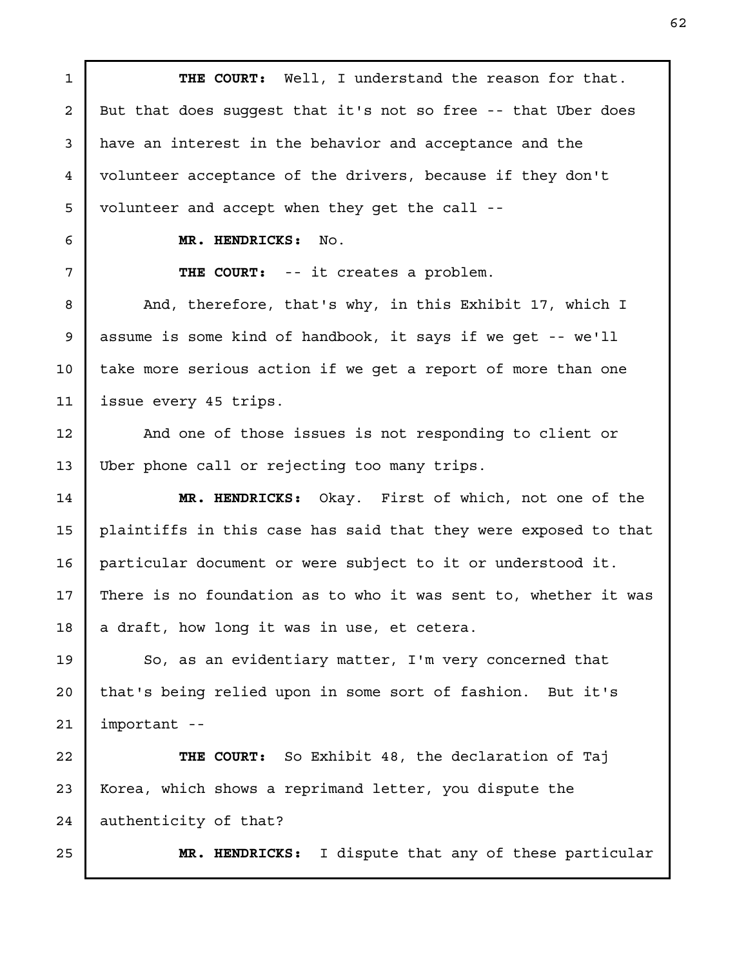THE COURT: Well, I understand the reason for that. But that does suggest that it's not so free -- that Uber does have an interest in the behavior and acceptance and the volunteer acceptance of the drivers, because if they don't volunteer and accept when they get the call --

1

2

3

4

5

6

7

8

9

10

11

12

13

MR. HENDRICKS: No.

THE COURT: -- it creates a problem.

And, therefore, that's why, in this Exhibit 17, which I assume is some kind of handbook, it says if we get -- we'll take more serious action if we get a report of more than one issue every 45 trips.

And one of those issues is not responding to client or Uber phone call or rejecting too many trips.

MR. HENDRICKS: Okay. First of which, not one of the plaintiffs in this case has said that they were exposed to that particular document or were subject to it or understood it. There is no foundation as to who it was sent to, whether it was a draft, how long it was in use, et cetera. 14 15 16 17 18

So, as an evidentiary matter, I'm very concerned that that's being relied upon in some sort of fashion. But it's important -- 19 20 21

THE COURT: So Exhibit 48, the declaration of Taj Korea, which shows a reprimand letter, you dispute the authenticity of that? 22 23 24

25

MR. HENDRICKS: I dispute that any of these particular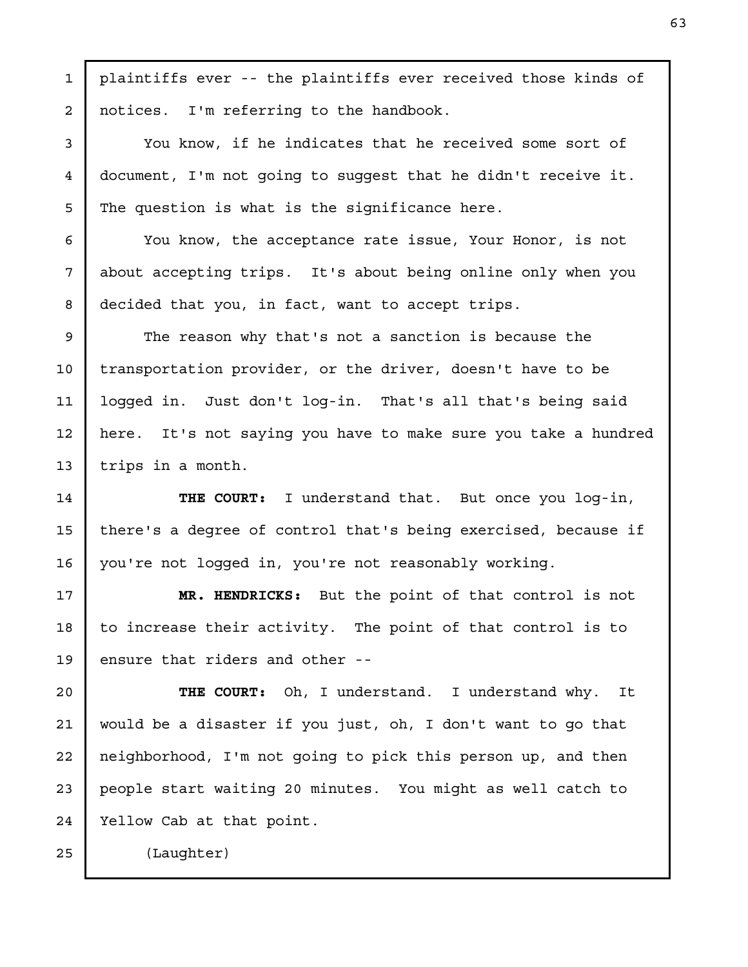plaintiffs ever -- the plaintiffs ever received those kinds of notices. I'm referring to the handbook.

You know, if he indicates that he received some sort of document, I'm not going to suggest that he didn't receive it. The question is what is the significance here.

You know, the acceptance rate issue, Your Honor, is not about accepting trips. It's about being online only when you decided that you, in fact, want to accept trips.

The reason why that's not a sanction is because the transportation provider, or the driver, doesn't have to be logged in. Just don't log-in. That's all that's being said here. It's not saying you have to make sure you take a hundred trips in a month. 9 10 11 12 13

THE COURT: I understand that. But once you log-in, there's a degree of control that's being exercised, because if you're not logged in, you're not reasonably working.

MR. HENDRICKS: But the point of that control is not to increase their activity. The point of that control is to ensure that riders and other -- 17 18 19

THE COURT: Oh, I understand. I understand why. It would be a disaster if you just, oh, I don't want to go that neighborhood, I'm not going to pick this person up, and then people start waiting 20 minutes. You might as well catch to Yellow Cab at that point. 20 21 22 23 24

25

1

2

3

4

5

6

7

8

14

15

16

(Laughter)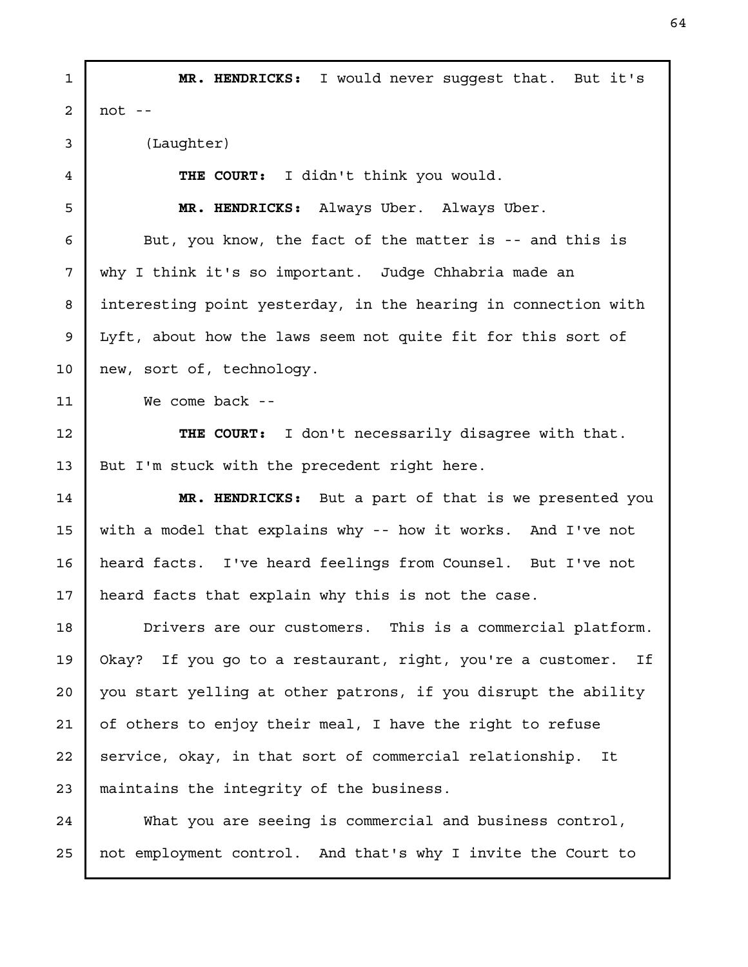MR. HENDRICKS: I would never suggest that. But it's not  $-$ (Laughter) THE COURT: I didn't think you would. MR. HENDRICKS: Always Uber. Always Uber. But, you know, the fact of the matter is -- and this is why I think it's so important. Judge Chhabria made an interesting point yesterday, in the hearing in connection with Lyft, about how the laws seem not quite fit for this sort of new, sort of, technology. We come back --THE COURT: I don't necessarily disagree with that. But I'm stuck with the precedent right here. MR. HENDRICKS: But a part of that is we presented you with a model that explains why -- how it works. And I've not heard facts. I've heard feelings from Counsel. But I've not heard facts that explain why this is not the case. Drivers are our customers. This is a commercial platform. Okay? If you go to a restaurant, right, you're a customer. If you start yelling at other patrons, if you disrupt the ability of others to enjoy their meal, I have the right to refuse service, okay, in that sort of commercial relationship. It maintains the integrity of the business. What you are seeing is commercial and business control, not employment control. And that's why I invite the Court to 1 2 3 4 5 6 7 8 9 10 11 12 13 14 15 16 17 18 19 20 21 22 23 24 25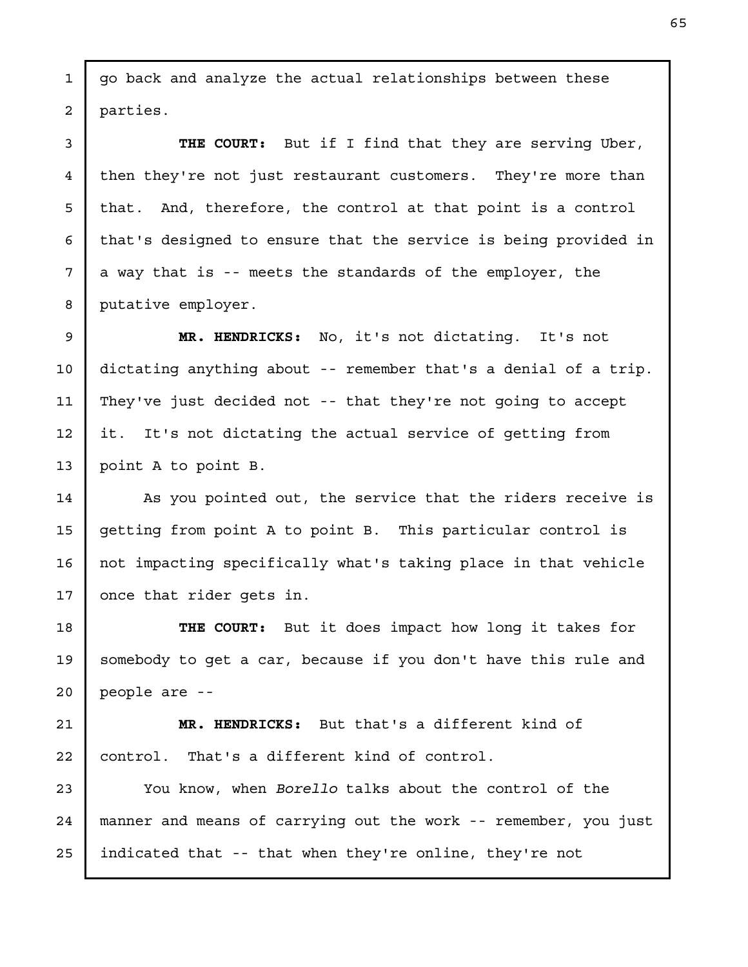go back and analyze the actual relationships between these parties.

1

2

3

4

5

6

7

8

THE COURT: But if I find that they are serving Uber, then they're not just restaurant customers. They're more than that. And, therefore, the control at that point is a control that's designed to ensure that the service is being provided in a way that is -- meets the standards of the employer, the putative employer.

MR. HENDRICKS: No, it's not dictating. It's not dictating anything about -- remember that's a denial of a trip. They've just decided not -- that they're not going to accept it. It's not dictating the actual service of getting from point A to point B. 9 10 11 12 13

As you pointed out, the service that the riders receive is getting from point A to point B. This particular control is not impacting specifically what's taking place in that vehicle once that rider gets in. 14 15 16 17

THE COURT: But it does impact how long it takes for somebody to get a car, because if you don't have this rule and people are -- 18 19 20

MR. HENDRICKS: But that's a different kind of control. That's a different kind of control. 21 22

You know, when Borello talks about the control of the manner and means of carrying out the work -- remember, you just indicated that -- that when they're online, they're not 23 24 25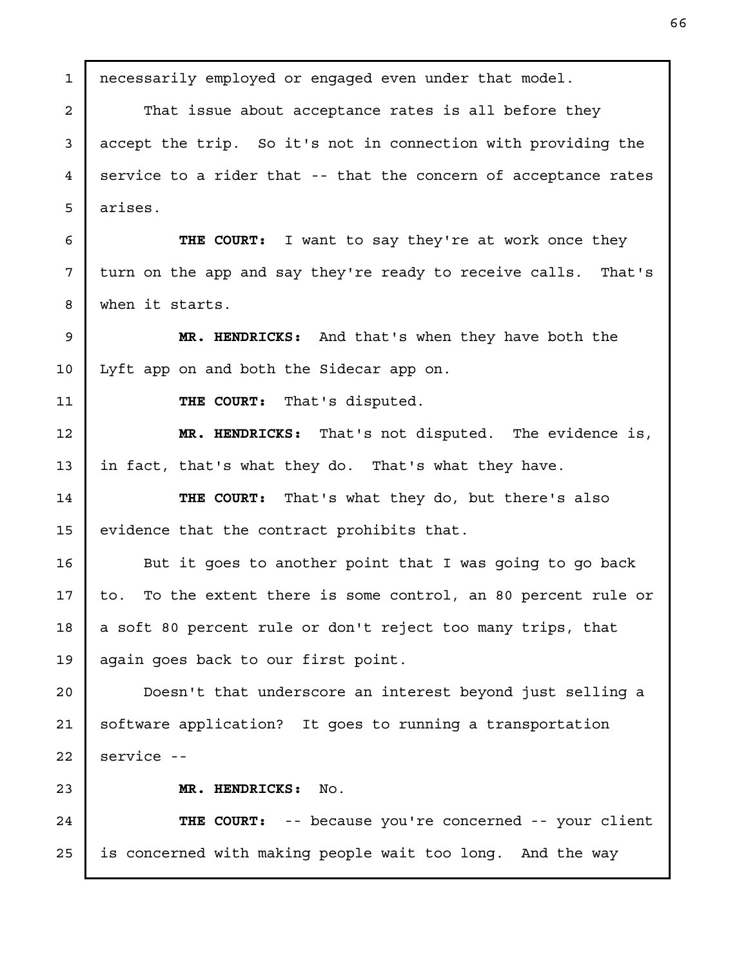necessarily employed or engaged even under that model. That issue about acceptance rates is all before they accept the trip. So it's not in connection with providing the service to a rider that -- that the concern of acceptance rates arises. THE COURT: I want to say they're at work once they turn on the app and say they're ready to receive calls. That's when it starts. MR. HENDRICKS: And that's when they have both the Lyft app on and both the Sidecar app on. THE COURT: That's disputed. MR. HENDRICKS: That's not disputed. The evidence is, in fact, that's what they do. That's what they have. THE COURT: That's what they do, but there's also evidence that the contract prohibits that. But it goes to another point that I was going to go back to. To the extent there is some control, an 80 percent rule or a soft 80 percent rule or don't reject too many trips, that again goes back to our first point. Doesn't that underscore an interest beyond just selling a software application? It goes to running a transportation service -- MR. HENDRICKS: No. THE COURT: -- because you're concerned -- your client is concerned with making people wait too long. And the way 1 2 3 4 5 6 7 8 9 10 11 12 13 14 15 16 17 18 19 20 21 22 23 24 25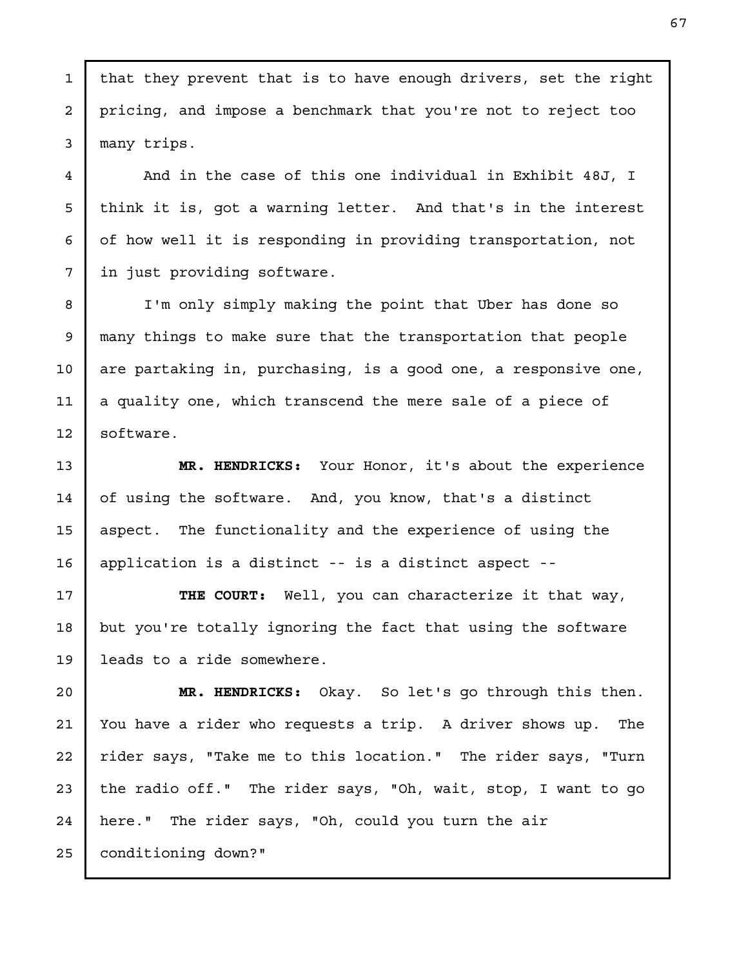that they prevent that is to have enough drivers, set the right pricing, and impose a benchmark that you're not to reject too many trips.

And in the case of this one individual in Exhibit 48J, I think it is, got a warning letter. And that's in the interest of how well it is responding in providing transportation, not in just providing software.

I'm only simply making the point that Uber has done so many things to make sure that the transportation that people are partaking in, purchasing, is a good one, a responsive one, a quality one, which transcend the mere sale of a piece of software.

MR. HENDRICKS: Your Honor, it's about the experience of using the software. And, you know, that's a distinct aspect. The functionality and the experience of using the application is a distinct -- is a distinct aspect --

THE COURT: Well, you can characterize it that way, but you're totally ignoring the fact that using the software leads to a ride somewhere.

MR. HENDRICKS: Okay. So let's go through this then. You have a rider who requests a trip. A driver shows up. The rider says, "Take me to this location." The rider says, "Turn the radio off." The rider says, "Oh, wait, stop, I want to go here." The rider says, "Oh, could you turn the air 22 23 24

25

1

2

3

4

5

6

7

8

9

10

11

12

13

conditioning down?"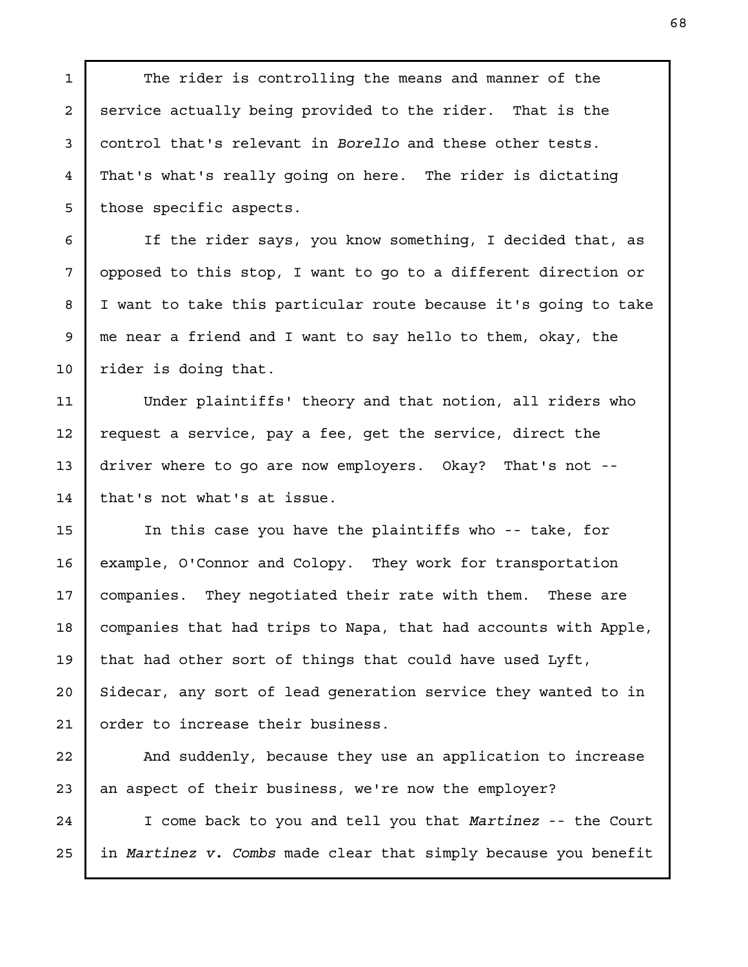The rider is controlling the means and manner of the service actually being provided to the rider. That is the control that's relevant in Borello and these other tests. That's what's really going on here. The rider is dictating those specific aspects.

If the rider says, you know something, I decided that, as opposed to this stop, I want to go to a different direction or I want to take this particular route because it's going to take me near a friend and I want to say hello to them, okay, the rider is doing that.

Under plaintiffs' theory and that notion, all riders who request a service, pay a fee, get the service, direct the driver where to go are now employers. Okay? That's not - that's not what's at issue.

In this case you have the plaintiffs who -- take, for example, O'Connor and Colopy. They work for transportation companies. They negotiated their rate with them. These are companies that had trips to Napa, that had accounts with Apple, that had other sort of things that could have used Lyft, Sidecar, any sort of lead generation service they wanted to in order to increase their business.

And suddenly, because they use an application to increase an aspect of their business, we're now the employer?

I come back to you and tell you that Martinez -- the Court in Martinez v. Combs made clear that simply because you benefit

1

2

3

4

5

6

7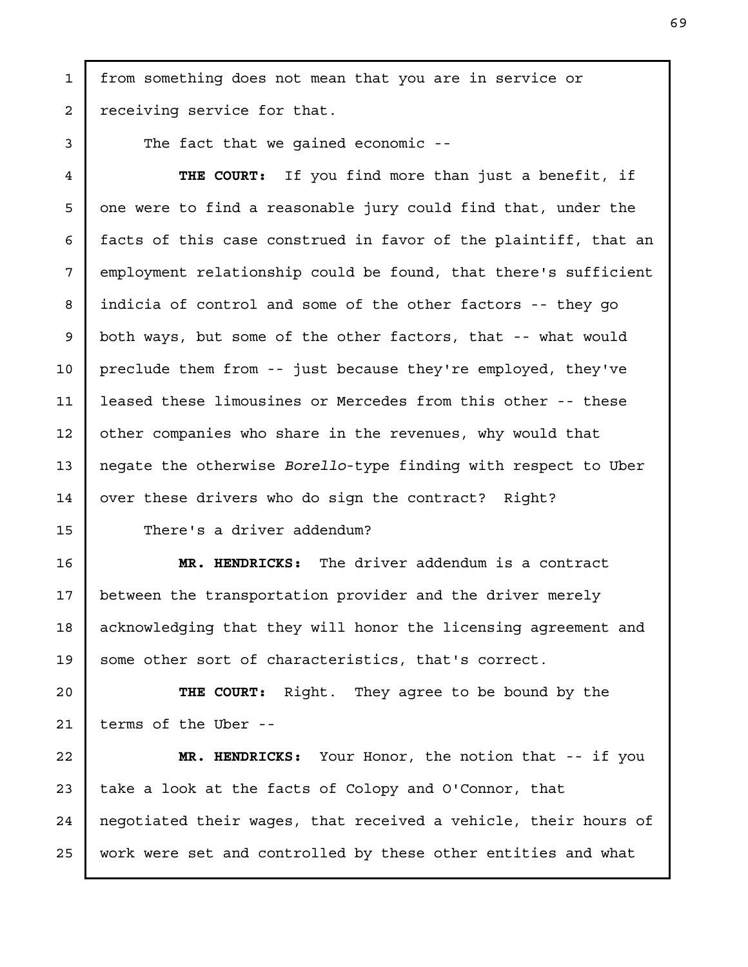from something does not mean that you are in service or receiving service for that.

The fact that we gained economic --

1

2

3

4

5

6

7

8

9

10

11

12

13

14

15

THE COURT: If you find more than just a benefit, if one were to find a reasonable jury could find that, under the facts of this case construed in favor of the plaintiff, that an employment relationship could be found, that there's sufficient indicia of control and some of the other factors -- they go both ways, but some of the other factors, that -- what would preclude them from -- just because they're employed, they've leased these limousines or Mercedes from this other -- these other companies who share in the revenues, why would that negate the otherwise Borello-type finding with respect to Uber over these drivers who do sign the contract? Right?

There's a driver addendum?

MR. HENDRICKS: The driver addendum is a contract between the transportation provider and the driver merely acknowledging that they will honor the licensing agreement and some other sort of characteristics, that's correct. 16 17 18 19

THE COURT: Right. They agree to be bound by the terms of the Uber -- 20 21

MR. HENDRICKS: Your Honor, the notion that -- if you take a look at the facts of Colopy and O'Connor, that negotiated their wages, that received a vehicle, their hours of work were set and controlled by these other entities and what 22 23 24 25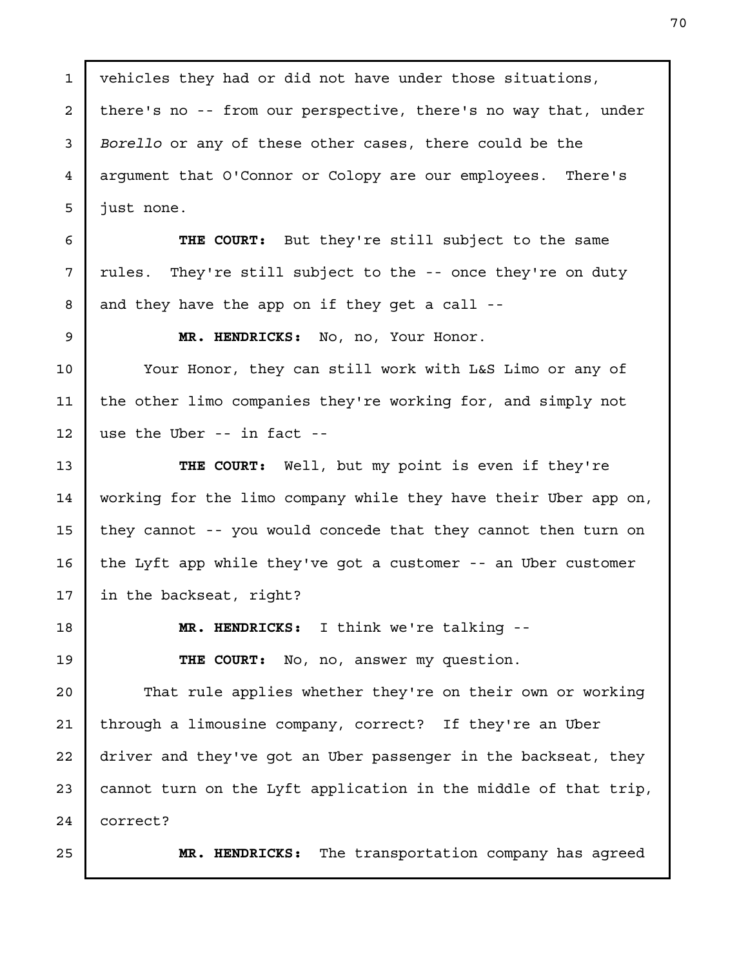vehicles they had or did not have under those situations, there's no -- from our perspective, there's no way that, under Borello or any of these other cases, there could be the argument that O'Connor or Colopy are our employees. There's just none. 1 2 3 4 5

THE COURT: But they're still subject to the same rules. They're still subject to the -- once they're on duty and they have the app on if they get a call --

6

7

8

9

13

14

16

17

MR. HENDRICKS: No, no, Your Honor.

Your Honor, they can still work with L&S Limo or any of the other limo companies they're working for, and simply not use the Uber -- in fact -- 10 11 12

THE COURT: Well, but my point is even if they're working for the limo company while they have their Uber app on, they cannot -- you would concede that they cannot then turn on the Lyft app while they've got a customer -- an Uber customer in the backseat, right? 15

18

19

MR. HENDRICKS: I think we're talking --

THE COURT: No, no, answer my question.

That rule applies whether they're on their own or working through a limousine company, correct? If they're an Uber driver and they've got an Uber passenger in the backseat, they cannot turn on the Lyft application in the middle of that trip, correct? 20 21 22 23 24

25

MR. HENDRICKS: The transportation company has agreed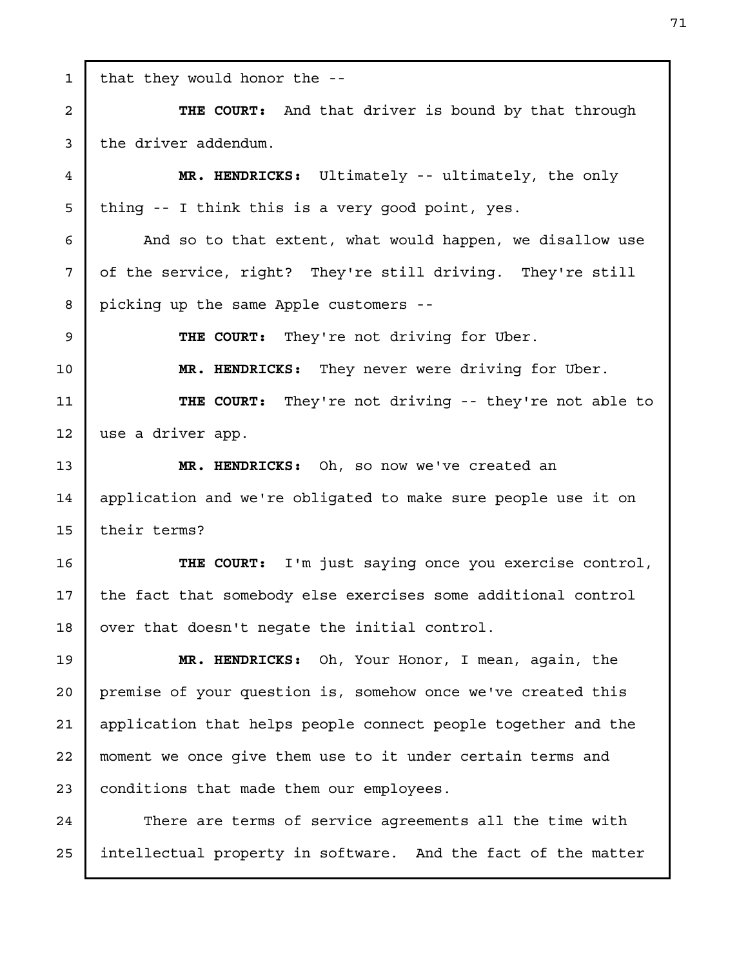that they would honor the -- THE COURT: And that driver is bound by that through the driver addendum. MR. HENDRICKS: Ultimately -- ultimately, the only thing -- I think this is a very good point, yes. And so to that extent, what would happen, we disallow use of the service, right? They're still driving. They're still picking up the same Apple customers -- THE COURT: They're not driving for Uber. MR. HENDRICKS: They never were driving for Uber. THE COURT: They're not driving -- they're not able to use a driver app. MR. HENDRICKS: Oh, so now we've created an application and we're obligated to make sure people use it on their terms? THE COURT: I'm just saying once you exercise control, the fact that somebody else exercises some additional control over that doesn't negate the initial control. MR. HENDRICKS: Oh, Your Honor, I mean, again, the premise of your question is, somehow once we've created this application that helps people connect people together and the moment we once give them use to it under certain terms and conditions that made them our employees. There are terms of service agreements all the time with intellectual property in software. And the fact of the matter 1 2 3 4 5 6 7 8 9 10 11 12 13 14 15 16 17 18 19 20 21 22 23 24 25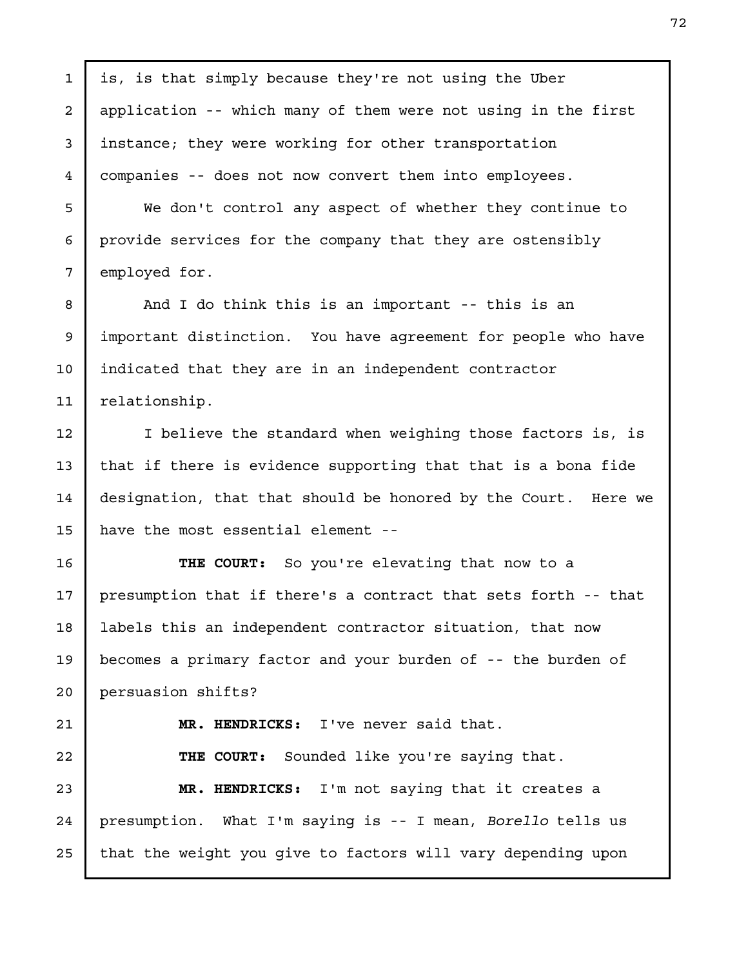is, is that simply because they're not using the Uber application -- which many of them were not using in the first instance; they were working for other transportation companies -- does not now convert them into employees. We don't control any aspect of whether they continue to provide services for the company that they are ostensibly employed for. And I do think this is an important -- this is an important distinction. You have agreement for people who have indicated that they are in an independent contractor relationship. I believe the standard when weighing those factors is, is that if there is evidence supporting that that is a bona fide designation, that that should be honored by the Court. Here we have the most essential element -- THE COURT: So you're elevating that now to a presumption that if there's a contract that sets forth -- that labels this an independent contractor situation, that now becomes a primary factor and your burden of -- the burden of persuasion shifts? MR. HENDRICKS: I've never said that. THE COURT: Sounded like you're saying that. MR. HENDRICKS: I'm not saying that it creates a presumption. What I'm saying is -- I mean, Borello tells us that the weight you give to factors will vary depending upon 1 2 3 4 5 6 7 8 9 10 11 12 13 14 15 16 17 18 19 20 21 22 23 24 25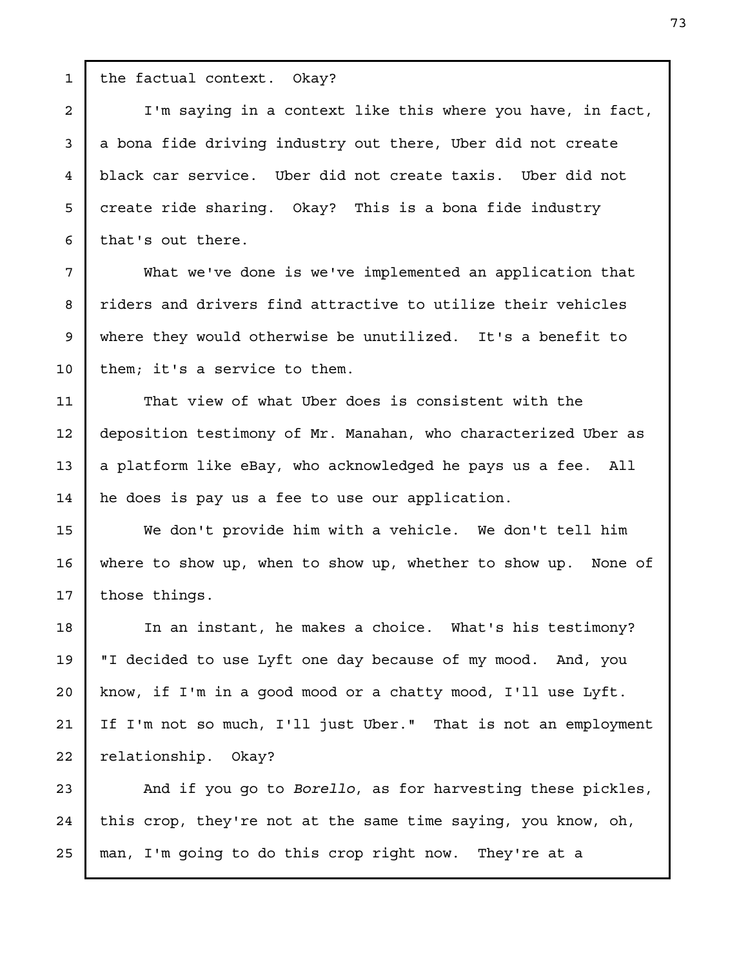the factual context. Okay?

1

2

3

4

5

6

7

8

9

10

11

12

13

14

15

16

17

18

19

20

21

22

I'm saying in a context like this where you have, in fact, a bona fide driving industry out there, Uber did not create black car service. Uber did not create taxis. Uber did not create ride sharing. Okay? This is a bona fide industry that's out there.

What we've done is we've implemented an application that riders and drivers find attractive to utilize their vehicles where they would otherwise be unutilized. It's a benefit to them; it's a service to them.

That view of what Uber does is consistent with the deposition testimony of Mr. Manahan, who characterized Uber as a platform like eBay, who acknowledged he pays us a fee. All he does is pay us a fee to use our application.

We don't provide him with a vehicle. We don't tell him where to show up, when to show up, whether to show up. None of those things.

In an instant, he makes a choice. What's his testimony? "I decided to use Lyft one day because of my mood. And, you know, if I'm in a good mood or a chatty mood, I'll use Lyft. If I'm not so much, I'll just Uber." That is not an employment relationship. Okay?

And if you go to Borello, as for harvesting these pickles, this crop, they're not at the same time saying, you know, oh, man, I'm going to do this crop right now. They're at a 23 24 25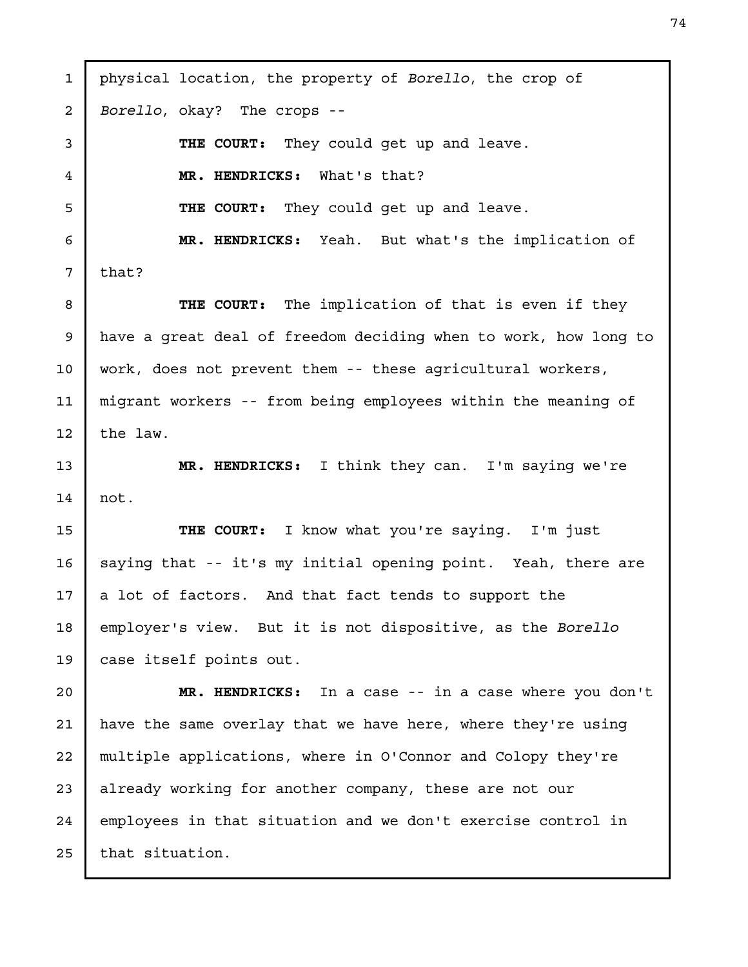physical location, the property of Borello, the crop of Borello, okay? The crops -- THE COURT: They could get up and leave. MR. HENDRICKS: What's that? THE COURT: They could get up and leave. MR. HENDRICKS: Yeah. But what's the implication of that? THE COURT: The implication of that is even if they have a great deal of freedom deciding when to work, how long to work, does not prevent them -- these agricultural workers, migrant workers -- from being employees within the meaning of the law. MR. HENDRICKS: I think they can. I'm saying we're not. THE COURT: I know what you're saying. I'm just saying that -- it's my initial opening point. Yeah, there are a lot of factors. And that fact tends to support the employer's view. But it is not dispositive, as the Borello case itself points out. MR. HENDRICKS: In a case -- in a case where you don't have the same overlay that we have here, where they're using multiple applications, where in O'Connor and Colopy they're already working for another company, these are not our employees in that situation and we don't exercise control in that situation. 1 2 3 4 5 6 7 8 9 10 11 12 13 14 15 16 17 18 19 20 21 22 23 24 25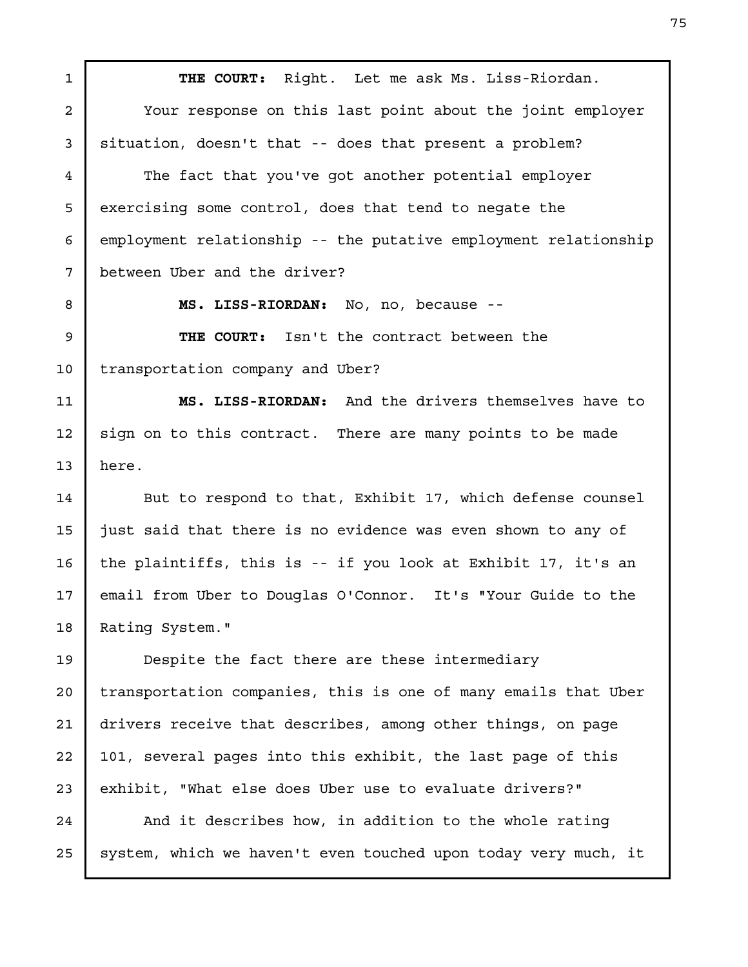THE COURT: Right. Let me ask Ms. Liss-Riordan. Your response on this last point about the joint employer situation, doesn't that -- does that present a problem? The fact that you've got another potential employer exercising some control, does that tend to negate the employment relationship -- the putative employment relationship between Uber and the driver? MS. LISS-RIORDAN: No, no, because -- THE COURT: Isn't the contract between the transportation company and Uber? MS. LISS-RIORDAN: And the drivers themselves have to sign on to this contract. There are many points to be made here. But to respond to that, Exhibit 17, which defense counsel just said that there is no evidence was even shown to any of the plaintiffs, this is -- if you look at Exhibit 17, it's an email from Uber to Douglas O'Connor. It's "Your Guide to the Rating System." Despite the fact there are these intermediary transportation companies, this is one of many emails that Uber drivers receive that describes, among other things, on page 101, several pages into this exhibit, the last page of this exhibit, "What else does Uber use to evaluate drivers?" And it describes how, in addition to the whole rating 1 2 3 4 5 6 7 8 9 10 11 12 13 14 15 16 17 18 19 20 21 22 23 24

25

system, which we haven't even touched upon today very much, it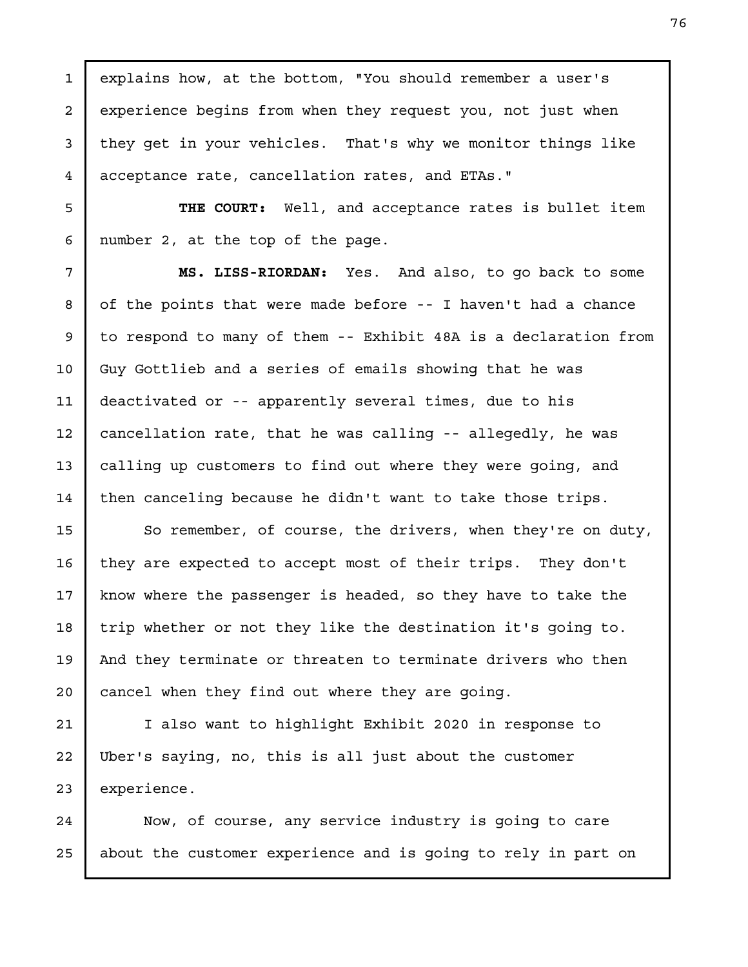explains how, at the bottom, "You should remember a user's experience begins from when they request you, not just when they get in your vehicles. That's why we monitor things like acceptance rate, cancellation rates, and ETAs."

1

2

3

4

5

6

7

8

9

10

11

12

13

14

THE COURT: Well, and acceptance rates is bullet item number 2, at the top of the page.

MS. LISS-RIORDAN: Yes. And also, to go back to some of the points that were made before -- I haven't had a chance to respond to many of them -- Exhibit 48A is a declaration from Guy Gottlieb and a series of emails showing that he was deactivated or -- apparently several times, due to his cancellation rate, that he was calling -- allegedly, he was calling up customers to find out where they were going, and then canceling because he didn't want to take those trips.

So remember, of course, the drivers, when they're on duty, they are expected to accept most of their trips. They don't know where the passenger is headed, so they have to take the trip whether or not they like the destination it's going to. And they terminate or threaten to terminate drivers who then cancel when they find out where they are going. 15 16 17 18 19 20

I also want to highlight Exhibit 2020 in response to Uber's saying, no, this is all just about the customer experience. 21 22 23

Now, of course, any service industry is going to care about the customer experience and is going to rely in part on 24 25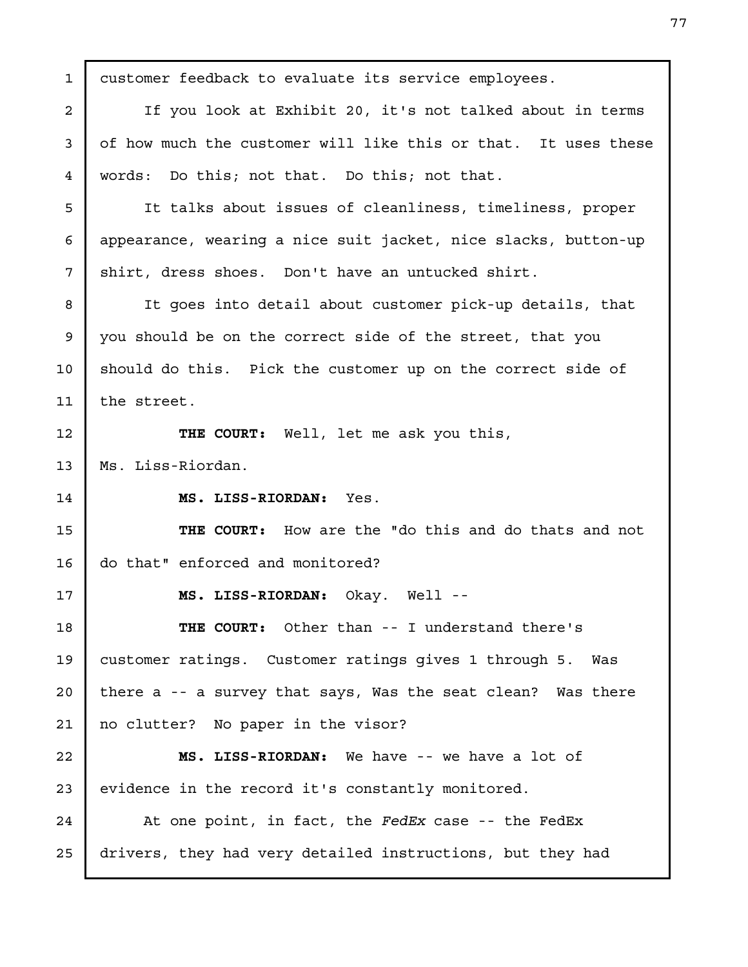| 1              | customer feedback to evaluate its service employees.           |
|----------------|----------------------------------------------------------------|
| $\overline{a}$ | If you look at Exhibit 20, it's not talked about in terms      |
| 3              | of how much the customer will like this or that. It uses these |
| 4              | words: Do this; not that. Do this; not that.                   |
| 5              | It talks about issues of cleanliness, timeliness, proper       |
| 6              | appearance, wearing a nice suit jacket, nice slacks, button-up |
| 7              | shirt, dress shoes. Don't have an untucked shirt.              |
| 8              | It goes into detail about customer pick-up details, that       |
| 9              | you should be on the correct side of the street, that you      |
| 10             | should do this. Pick the customer up on the correct side of    |
| 11             | the street.                                                    |
| 12             | THE COURT: Well, let me ask you this,                          |
| 13             | Ms. Liss-Riordan.                                              |
| 14             | MS. LISS-RIORDAN: Yes.                                         |
| 15             | THE COURT: How are the "do this and do thats and not           |
| 16             | do that" enforced and monitored?                               |
| 17             | MS. LISS-RIORDAN: Okay. Well --                                |
| 18             | <b>THE COURT:</b> Other than -- I understand there's           |
| 19             | customer ratings. Customer ratings gives 1 through 5. Was      |
| 20             | there a -- a survey that says, Was the seat clean? Was there   |
| 21             | no clutter? No paper in the visor?                             |
| 22             | MS. LISS-RIORDAN: We have -- we have a lot of                  |
| 23             | evidence in the record it's constantly monitored.              |
| 24             | At one point, in fact, the FedEx case -- the FedEx             |
| 25             | drivers, they had very detailed instructions, but they had     |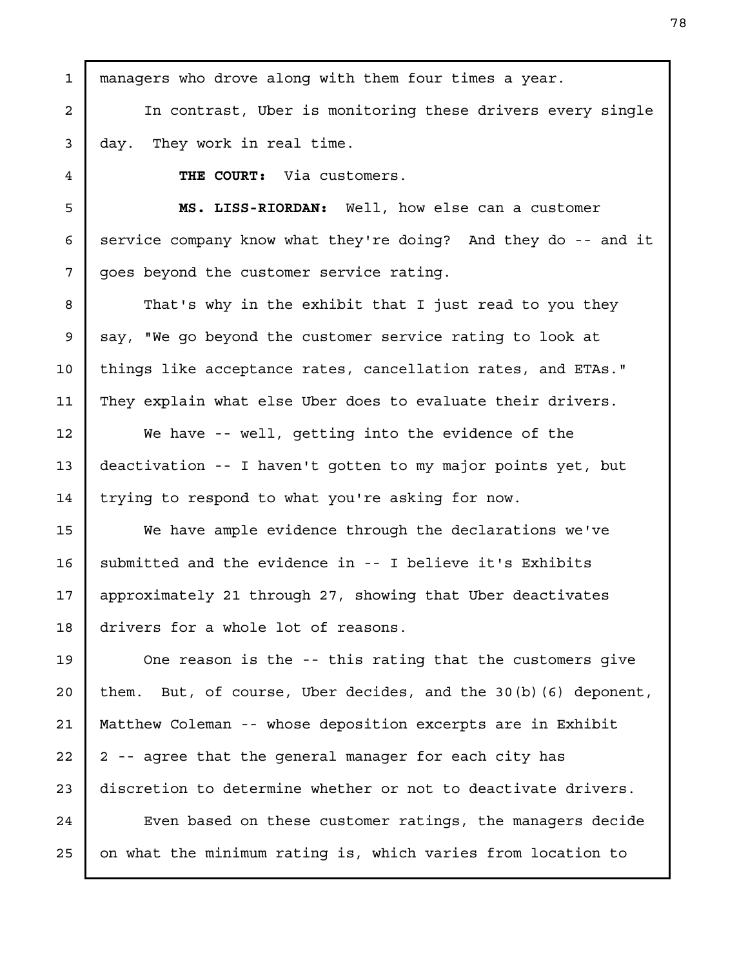managers who drove along with them four times a year. In contrast, Uber is monitoring these drivers every single day. They work in real time. THE COURT: Via customers. MS. LISS-RIORDAN: Well, how else can a customer service company know what they're doing? And they do -- and it goes beyond the customer service rating. That's why in the exhibit that I just read to you they say, "We go beyond the customer service rating to look at things like acceptance rates, cancellation rates, and ETAs." They explain what else Uber does to evaluate their drivers. We have -- well, getting into the evidence of the deactivation -- I haven't gotten to my major points yet, but trying to respond to what you're asking for now. We have ample evidence through the declarations we've submitted and the evidence in -- I believe it's Exhibits approximately 21 through 27, showing that Uber deactivates drivers for a whole lot of reasons. One reason is the -- this rating that the customers give them. But, of course, Uber decides, and the 30(b)(6) deponent, Matthew Coleman -- whose deposition excerpts are in Exhibit 2 -- agree that the general manager for each city has discretion to determine whether or not to deactivate drivers. Even based on these customer ratings, the managers decide on what the minimum rating is, which varies from location to 1 2 3 4 5 6 7 8 9 10 11 12 13 14 15 16 17 18 19 20 21 22 23 24 25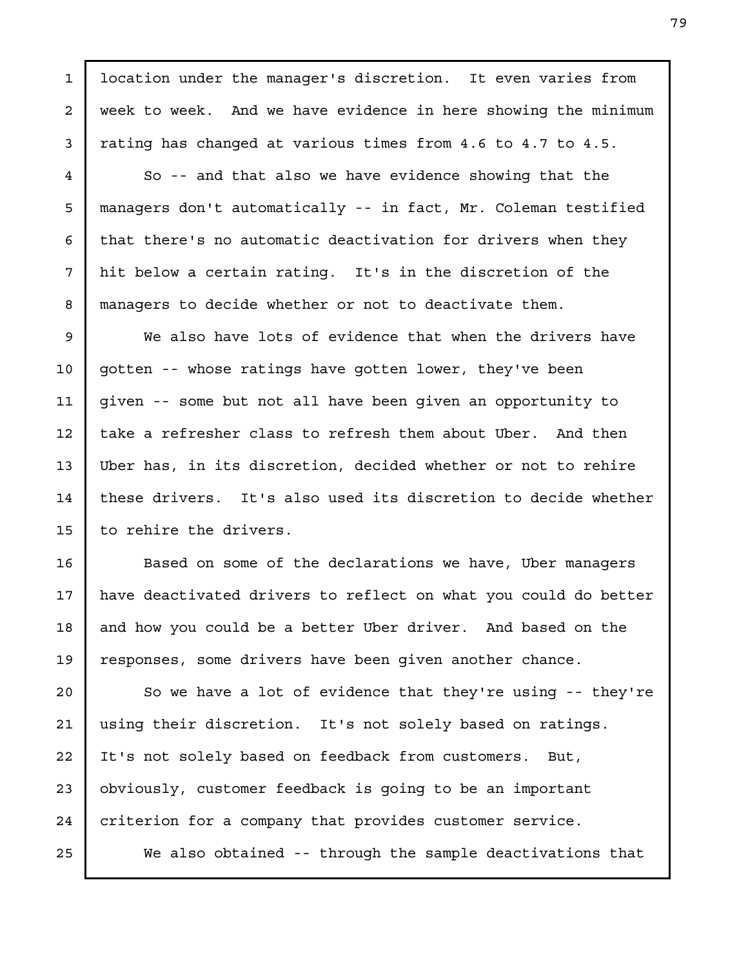location under the manager's discretion. It even varies from week to week. And we have evidence in here showing the minimum rating has changed at various times from 4.6 to 4.7 to 4.5.

So -- and that also we have evidence showing that the managers don't automatically -- in fact, Mr. Coleman testified that there's no automatic deactivation for drivers when they hit below a certain rating. It's in the discretion of the managers to decide whether or not to deactivate them.

We also have lots of evidence that when the drivers have gotten -- whose ratings have gotten lower, they've been given -- some but not all have been given an opportunity to take a refresher class to refresh them about Uber. And then Uber has, in its discretion, decided whether or not to rehire these drivers. It's also used its discretion to decide whether to rehire the drivers. 9 10 11 12 13 14 15

Based on some of the declarations we have, Uber managers have deactivated drivers to reflect on what you could do better and how you could be a better Uber driver. And based on the responses, some drivers have been given another chance.

So we have a lot of evidence that they're using -- they're using their discretion. It's not solely based on ratings. It's not solely based on feedback from customers. But, obviously, customer feedback is going to be an important criterion for a company that provides customer service. We also obtained -- through the sample deactivations that 20 21 22 23 25

16

17

18

19

1

2

3

4

5

6

7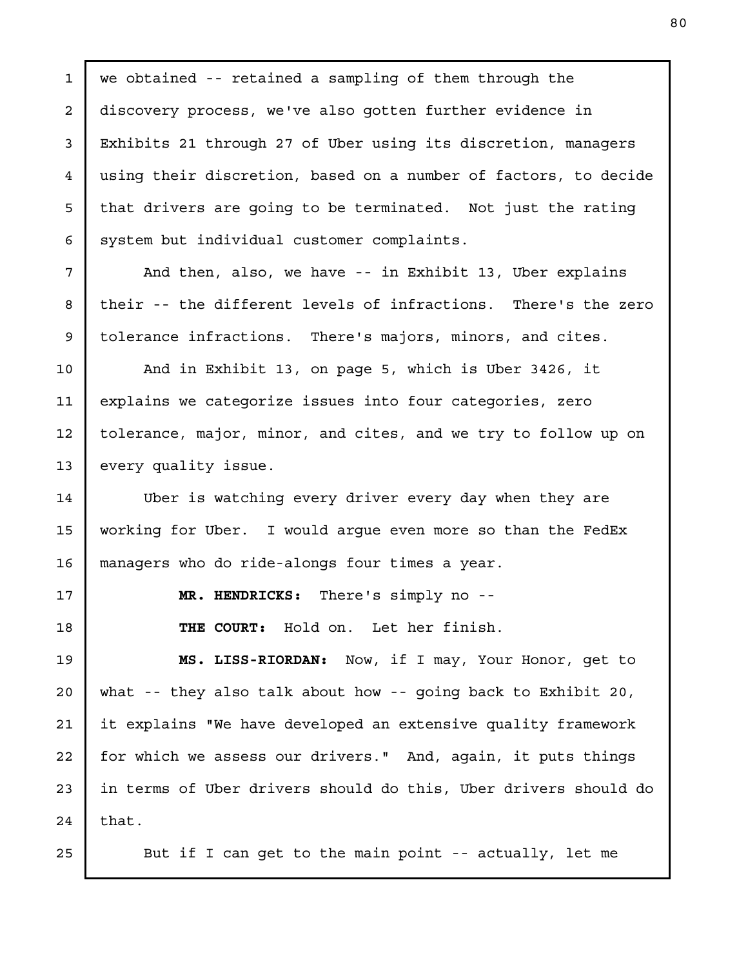we obtained -- retained a sampling of them through the discovery process, we've also gotten further evidence in Exhibits 21 through 27 of Uber using its discretion, managers using their discretion, based on a number of factors, to decide that drivers are going to be terminated. Not just the rating system but individual customer complaints. And then, also, we have -- in Exhibit 13, Uber explains

their -- the different levels of infractions. There's the zero tolerance infractions. There's majors, minors, and cites.

And in Exhibit 13, on page 5, which is Uber 3426, it explains we categorize issues into four categories, zero tolerance, major, minor, and cites, and we try to follow up on every quality issue.

Uber is watching every driver every day when they are working for Uber. I would argue even more so than the FedEx managers who do ride-alongs four times a year.

17

1

2

3

4

5

6

7

8

9

10

11

12

13

14

15

16

18

MR. HENDRICKS: There's simply no --

THE COURT: Hold on. Let her finish.

MS. LISS-RIORDAN: Now, if I may, Your Honor, get to what -- they also talk about how -- going back to Exhibit 20, it explains "We have developed an extensive quality framework for which we assess our drivers." And, again, it puts things in terms of Uber drivers should do this, Uber drivers should do that. 19 20 21 22 23 24

25

But if I can get to the main point -- actually, let me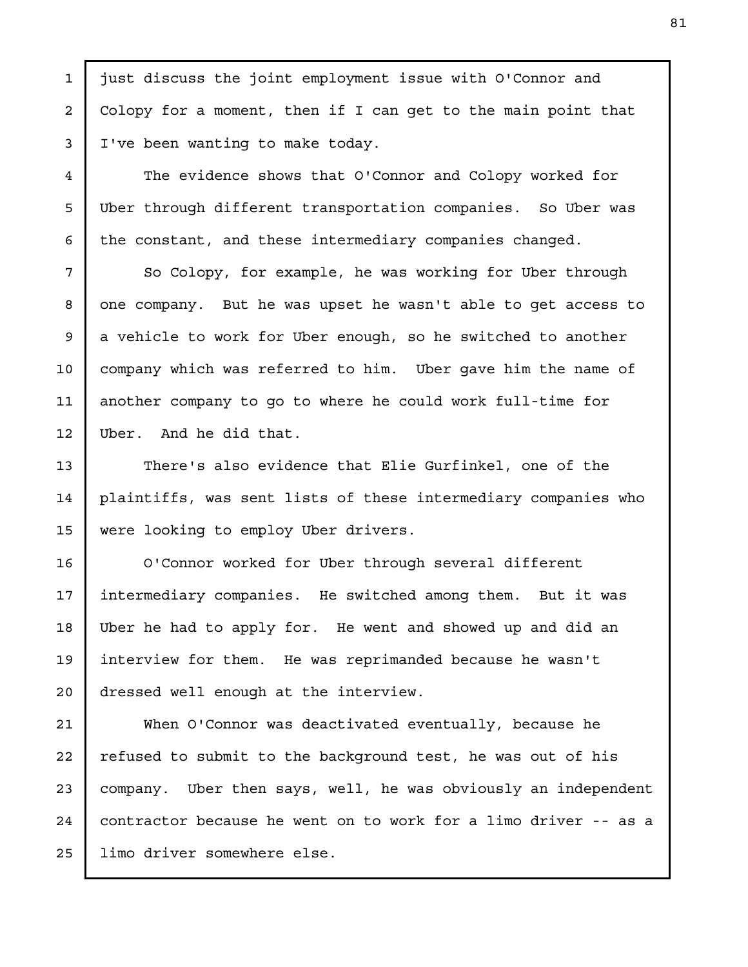just discuss the joint employment issue with O'Connor and Colopy for a moment, then if I can get to the main point that I've been wanting to make today.

The evidence shows that O'Connor and Colopy worked for Uber through different transportation companies. So Uber was the constant, and these intermediary companies changed.

So Colopy, for example, he was working for Uber through one company. But he was upset he wasn't able to get access to a vehicle to work for Uber enough, so he switched to another company which was referred to him. Uber gave him the name of another company to go to where he could work full-time for Uber. And he did that.

There's also evidence that Elie Gurfinkel, one of the plaintiffs, was sent lists of these intermediary companies who were looking to employ Uber drivers.

O'Connor worked for Uber through several different intermediary companies. He switched among them. But it was Uber he had to apply for. He went and showed up and did an interview for them. He was reprimanded because he wasn't dressed well enough at the interview.

When O'Connor was deactivated eventually, because he refused to submit to the background test, he was out of his company. Uber then says, well, he was obviously an independent contractor because he went on to work for a limo driver -- as a limo driver somewhere else.

1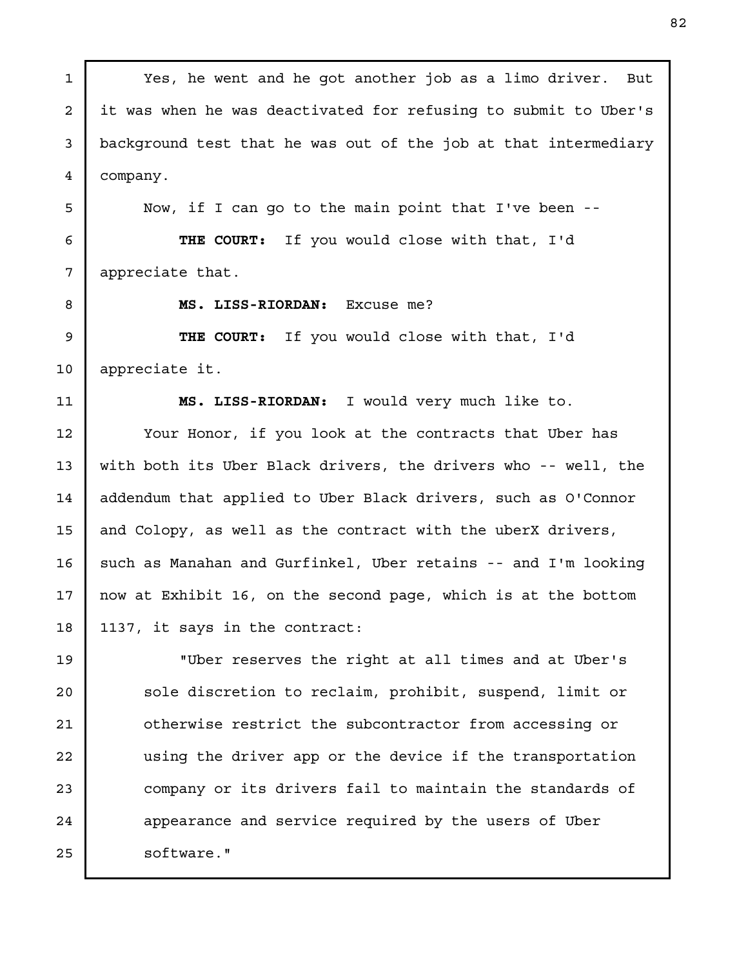Yes, he went and he got another job as a limo driver. But it was when he was deactivated for refusing to submit to Uber's background test that he was out of the job at that intermediary company. Now, if I can go to the main point that I've been -- THE COURT: If you would close with that, I'd appreciate that. MS. LISS-RIORDAN: Excuse me? THE COURT: If you would close with that, I'd appreciate it. MS. LISS-RIORDAN: I would very much like to. Your Honor, if you look at the contracts that Uber has with both its Uber Black drivers, the drivers who -- well, the addendum that applied to Uber Black drivers, such as O'Connor and Colopy, as well as the contract with the uberX drivers, such as Manahan and Gurfinkel, Uber retains -- and I'm looking now at Exhibit 16, on the second page, which is at the bottom 1137, it says in the contract: "Uber reserves the right at all times and at Uber's sole discretion to reclaim, prohibit, suspend, limit or otherwise restrict the subcontractor from accessing or using the driver app or the device if the transportation company or its drivers fail to maintain the standards of appearance and service required by the users of Uber software." 1 2 3 4 5 6 7 8 9 10 11 12 13 14 15 16 17 18 19 20 21 22 23 24 25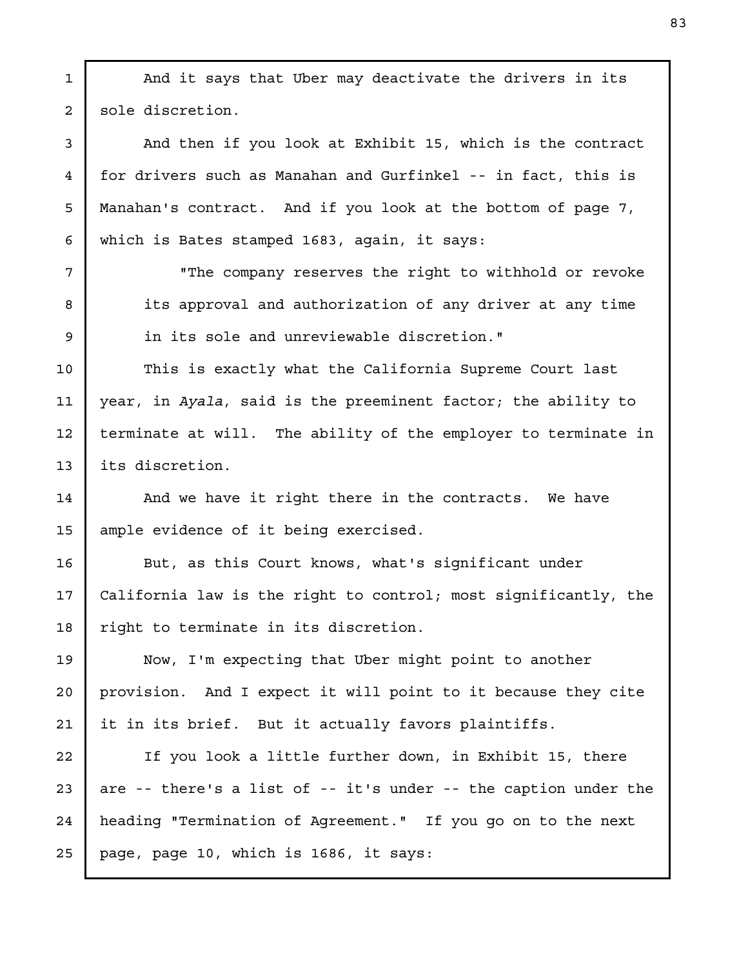And it says that Uber may deactivate the drivers in its sole discretion. And then if you look at Exhibit 15, which is the contract for drivers such as Manahan and Gurfinkel -- in fact, this is Manahan's contract. And if you look at the bottom of page 7, which is Bates stamped 1683, again, it says: "The company reserves the right to withhold or revoke its approval and authorization of any driver at any time in its sole and unreviewable discretion." This is exactly what the California Supreme Court last year, in Ayala, said is the preeminent factor; the ability to terminate at will. The ability of the employer to terminate in its discretion. And we have it right there in the contracts. We have ample evidence of it being exercised. But, as this Court knows, what's significant under California law is the right to control; most significantly, the right to terminate in its discretion. Now, I'm expecting that Uber might point to another provision. And I expect it will point to it because they cite it in its brief. But it actually favors plaintiffs. If you look a little further down, in Exhibit 15, there are -- there's a list of -- it's under -- the caption under the heading "Termination of Agreement." If you go on to the next page, page 10, which is 1686, it says: 1 2 3 4 5 6 7 8 9 10 11 12 13 14 15 16 17 18 19 20 21 22 23 24 25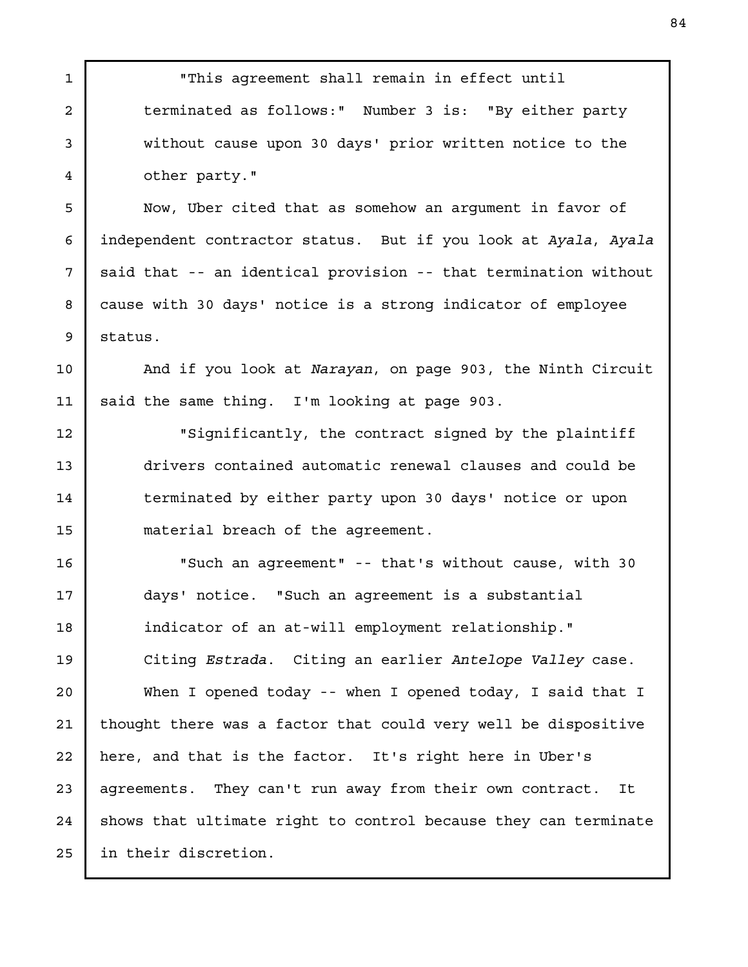"This agreement shall remain in effect until terminated as follows:" Number 3 is: "By either party without cause upon 30 days' prior written notice to the other party." Now, Uber cited that as somehow an argument in favor of independent contractor status. But if you look at Ayala, Ayala said that -- an identical provision -- that termination without cause with 30 days' notice is a strong indicator of employee status. And if you look at Narayan, on page 903, the Ninth Circuit said the same thing. I'm looking at page 903. "Significantly, the contract signed by the plaintiff drivers contained automatic renewal clauses and could be terminated by either party upon 30 days' notice or upon material breach of the agreement. "Such an agreement" -- that's without cause, with 30 days' notice. "Such an agreement is a substantial indicator of an at-will employment relationship." Citing Estrada. Citing an earlier Antelope Valley case. When I opened today -- when I opened today, I said that I thought there was a factor that could very well be dispositive here, and that is the factor. It's right here in Uber's agreements. They can't run away from their own contract. It shows that ultimate right to control because they can terminate in their discretion. 1 2 3 4 5 6 7 8 9 10 11 12 13 14 15 16 17 18 19 20 21 22 23 24 25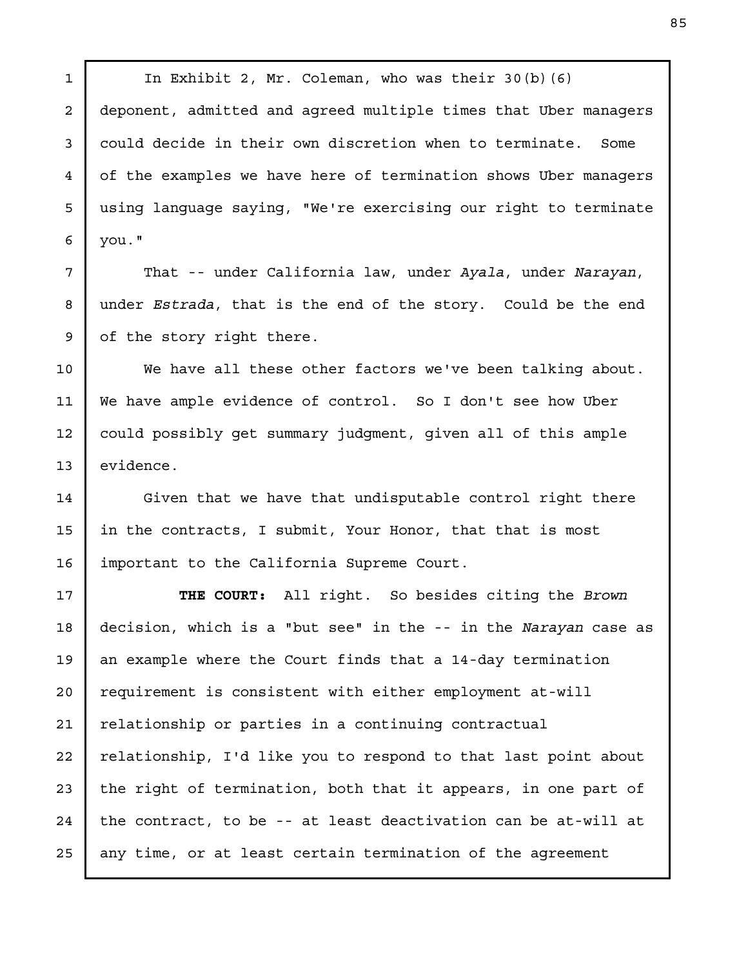In Exhibit 2, Mr. Coleman, who was their 30(b)(6) deponent, admitted and agreed multiple times that Uber managers could decide in their own discretion when to terminate. Some of the examples we have here of termination shows Uber managers using language saying, "We're exercising our right to terminate you."

1

2

3

4

5

6

7

8

9

10

11

12

13

14

15

16

That -- under California law, under Ayala, under Narayan, under Estrada, that is the end of the story. Could be the end of the story right there.

We have all these other factors we've been talking about. We have ample evidence of control. So I don't see how Uber could possibly get summary judgment, given all of this ample evidence.

Given that we have that undisputable control right there in the contracts, I submit, Your Honor, that that is most important to the California Supreme Court.

THE COURT: All right. So besides citing the Brown decision, which is a "but see" in the -- in the Narayan case as an example where the Court finds that a 14-day termination requirement is consistent with either employment at-will relationship or parties in a continuing contractual relationship, I'd like you to respond to that last point about the right of termination, both that it appears, in one part of the contract, to be -- at least deactivation can be at-will at any time, or at least certain termination of the agreement 17 18 19 20 21 22 23 24 25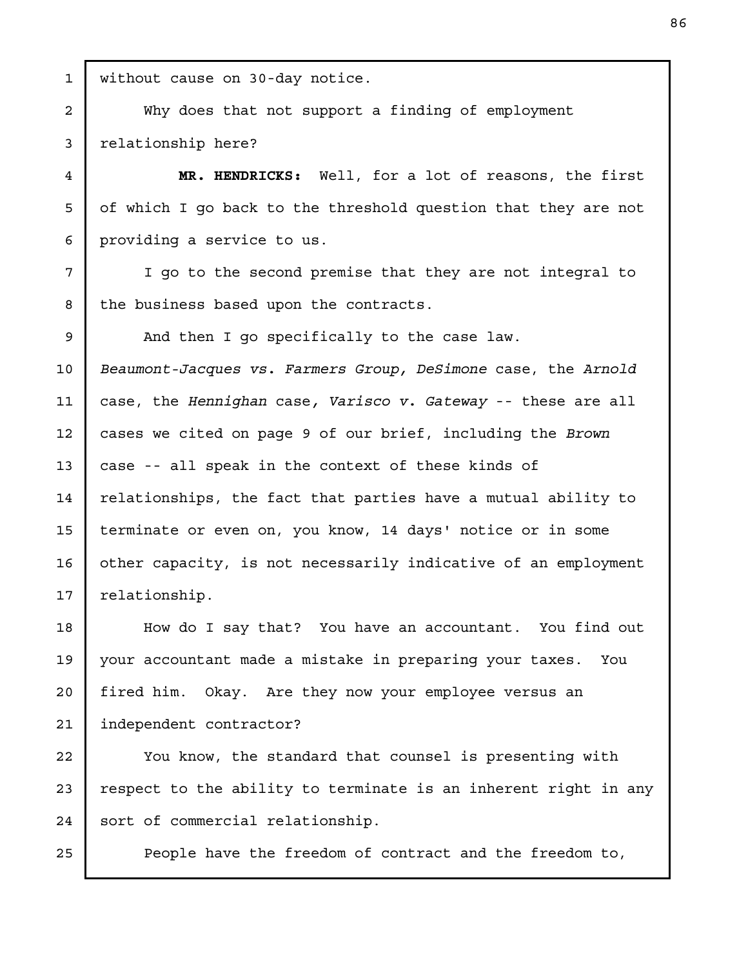without cause on 30-day notice. Why does that not support a finding of employment relationship here? MR. HENDRICKS: Well, for a lot of reasons, the first of which I go back to the threshold question that they are not providing a service to us. I go to the second premise that they are not integral to the business based upon the contracts. And then I go specifically to the case law. Beaumont-Jacques vs. Farmers Group, DeSimone case, the Arnold case, the Hennighan case, Varisco v. Gateway -- these are all cases we cited on page 9 of our brief, including the Brown case -- all speak in the context of these kinds of relationships, the fact that parties have a mutual ability to terminate or even on, you know, 14 days' notice or in some other capacity, is not necessarily indicative of an employment relationship. How do I say that? You have an accountant. You find out your accountant made a mistake in preparing your taxes. You fired him. Okay. Are they now your employee versus an independent contractor? You know, the standard that counsel is presenting with respect to the ability to terminate is an inherent right in any 1 2 3 4 5 6 7 8 9 10 11 12 13 14 15 16 17 18 19 20 21 22 23

People have the freedom of contract and the freedom to,

sort of commercial relationship.

24

25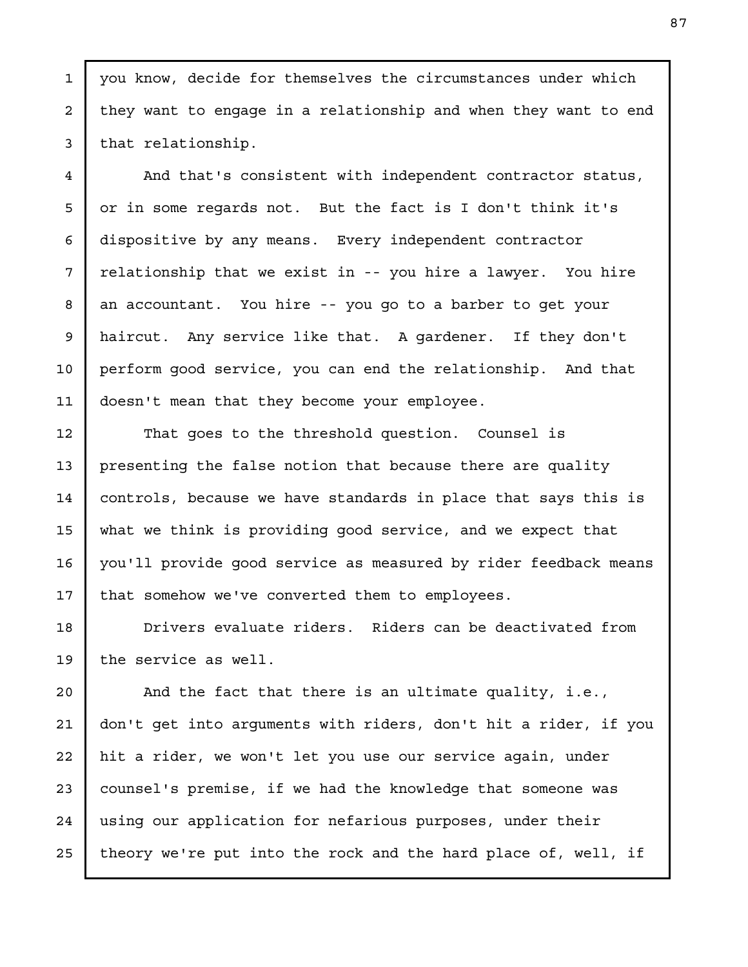you know, decide for themselves the circumstances under which they want to engage in a relationship and when they want to end that relationship.

1

2

3

4

5

6

7

8

9

10

11

12

13

14

15

16

17

And that's consistent with independent contractor status, or in some regards not. But the fact is I don't think it's dispositive by any means. Every independent contractor relationship that we exist in -- you hire a lawyer. You hire an accountant. You hire -- you go to a barber to get your haircut. Any service like that. A gardener. If they don't perform good service, you can end the relationship. And that doesn't mean that they become your employee.

That goes to the threshold question. Counsel is presenting the false notion that because there are quality controls, because we have standards in place that says this is what we think is providing good service, and we expect that you'll provide good service as measured by rider feedback means that somehow we've converted them to employees.

Drivers evaluate riders. Riders can be deactivated from the service as well. 18 19

And the fact that there is an ultimate quality, i.e., don't get into arguments with riders, don't hit a rider, if you hit a rider, we won't let you use our service again, under counsel's premise, if we had the knowledge that someone was using our application for nefarious purposes, under their theory we're put into the rock and the hard place of, well, if 20 21 22 23 24 25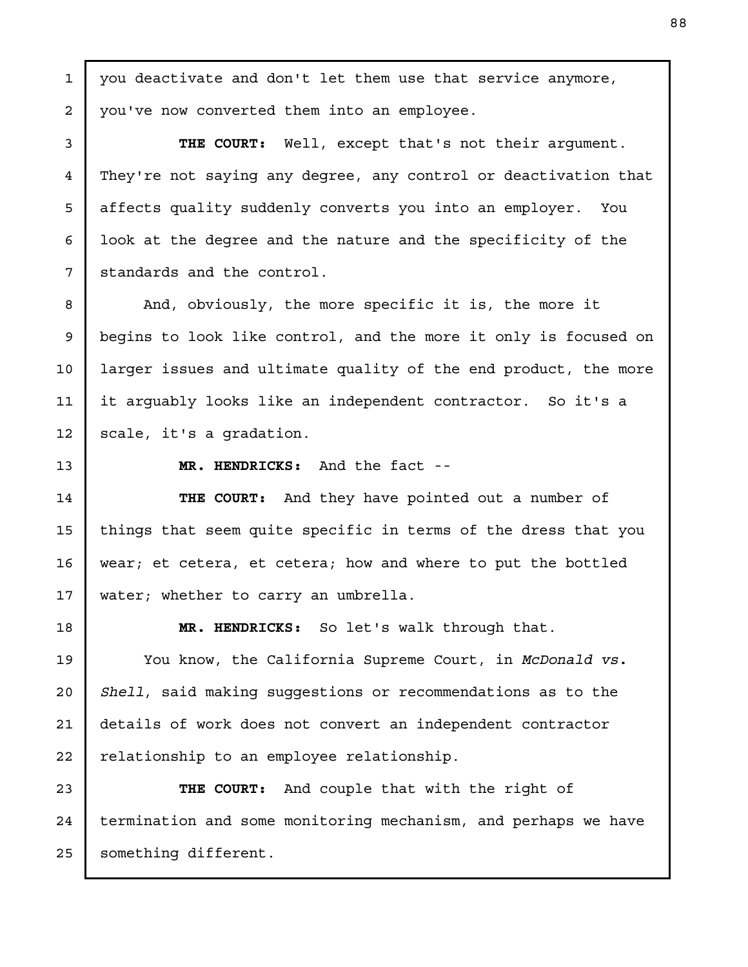you deactivate and don't let them use that service anymore, you've now converted them into an employee.

THE COURT: Well, except that's not their argument. They're not saying any degree, any control or deactivation that affects quality suddenly converts you into an employer. You look at the degree and the nature and the specificity of the standards and the control.

And, obviously, the more specific it is, the more it begins to look like control, and the more it only is focused on larger issues and ultimate quality of the end product, the more it arguably looks like an independent contractor. So it's a scale, it's a gradation.

13

1

2

3

4

5

6

7

8

9

10

11

12

14

15

16

17

19

20

21

22

MR. HENDRICKS: And the fact --

THE COURT: And they have pointed out a number of things that seem quite specific in terms of the dress that you wear; et cetera, et cetera; how and where to put the bottled water; whether to carry an umbrella.

18

MR. HENDRICKS: So let's walk through that.

You know, the California Supreme Court, in McDonald vs. Shell, said making suggestions or recommendations as to the details of work does not convert an independent contractor relationship to an employee relationship.

THE COURT: And couple that with the right of termination and some monitoring mechanism, and perhaps we have something different. 23 24 25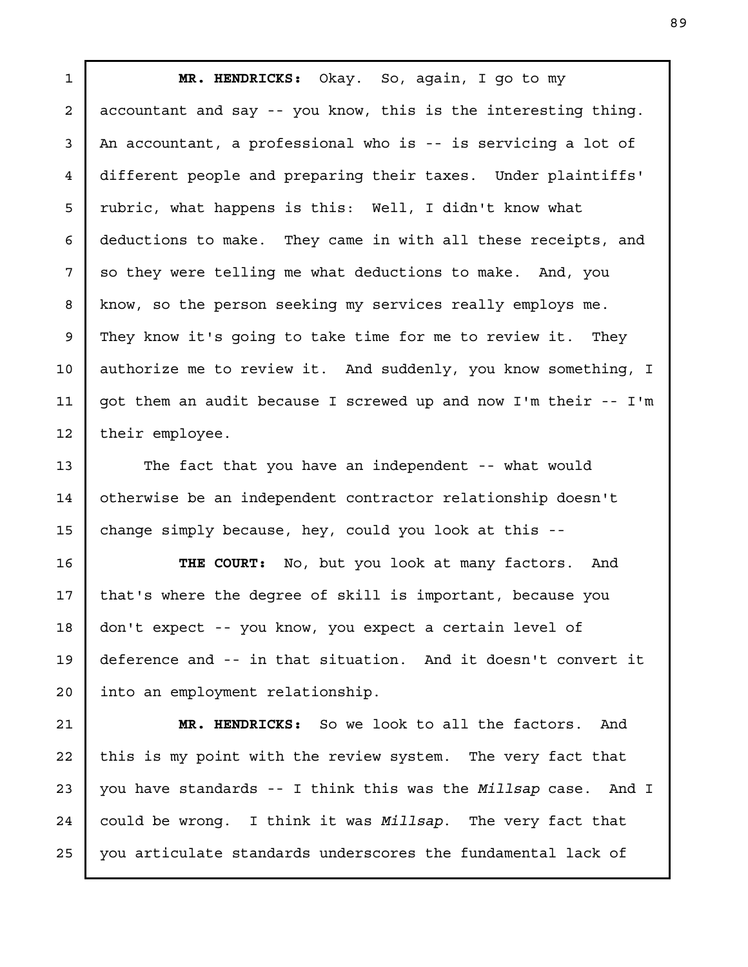MR. HENDRICKS: Okay. So, again, I go to my accountant and say -- you know, this is the interesting thing. An accountant, a professional who is -- is servicing a lot of different people and preparing their taxes. Under plaintiffs' rubric, what happens is this: Well, I didn't know what deductions to make. They came in with all these receipts, and so they were telling me what deductions to make. And, you know, so the person seeking my services really employs me. They know it's going to take time for me to review it. They authorize me to review it. And suddenly, you know something, I got them an audit because I screwed up and now I'm their -- I'm their employee. 1 2 3 4 5 6 7 8 9 10 11 12

The fact that you have an independent -- what would otherwise be an independent contractor relationship doesn't change simply because, hey, could you look at this --

13

14

15

THE COURT: No, but you look at many factors. And that's where the degree of skill is important, because you don't expect -- you know, you expect a certain level of deference and -- in that situation. And it doesn't convert it into an employment relationship. 16 17 18 19 20

MR. HENDRICKS: So we look to all the factors. And this is my point with the review system. The very fact that you have standards -- I think this was the Millsap case. And I could be wrong. I think it was Millsap. The very fact that you articulate standards underscores the fundamental lack of 21 22 23 24 25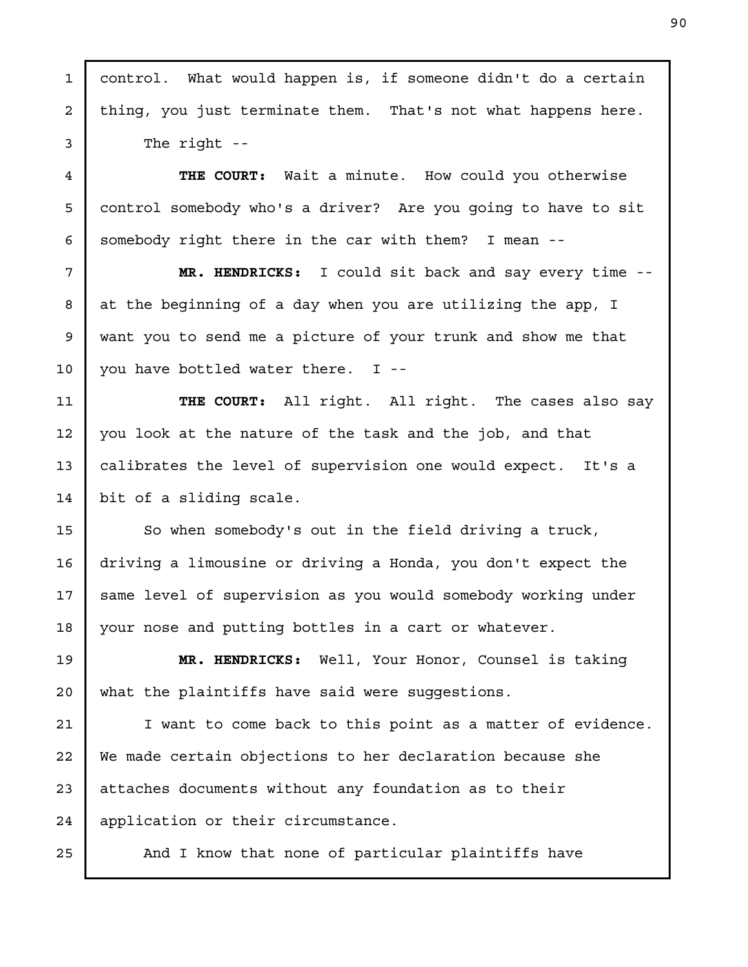| $\mathbf{1}$   | control. What would happen is, if someone didn't do a certain |
|----------------|---------------------------------------------------------------|
| 2              | thing, you just terminate them. That's not what happens here. |
| 3              | The right $-$                                                 |
| $\overline{4}$ | THE COURT:<br>Wait a minute. How could you otherwise          |
| 5              | control somebody who's a driver? Are you going to have to sit |
| 6              | somebody right there in the car with them? I mean --          |
| 7              | MR. HENDRICKS: I could sit back and say every time --         |
| 8              | at the beginning of a day when you are utilizing the app, I   |
| 9              | want you to send me a picture of your trunk and show me that  |
| 10             | you have bottled water there. I --                            |
| 11             | THE COURT: All right. All right. The cases also say           |
| 12             | you look at the nature of the task and the job, and that      |
| 13             | calibrates the level of supervision one would expect. It's a  |
| 14             | bit of a sliding scale.                                       |
| 15             | So when somebody's out in the field driving a truck,          |
| 16             | driving a limousine or driving a Honda, you don't expect the  |
| 17             | same level of supervision as you would somebody working under |
| 18             | your nose and putting bottles in a cart or whatever.          |
| 19             | MR. HENDRICKS: Well, Your Honor, Counsel is taking            |
| 20             | what the plaintiffs have said were suggestions.               |
| 21             | I want to come back to this point as a matter of evidence.    |
| 22             | We made certain objections to her declaration because she     |
| 23             | attaches documents without any foundation as to their         |
| 24             | application or their circumstance.                            |
| 25             | And I know that none of particular plaintiffs have            |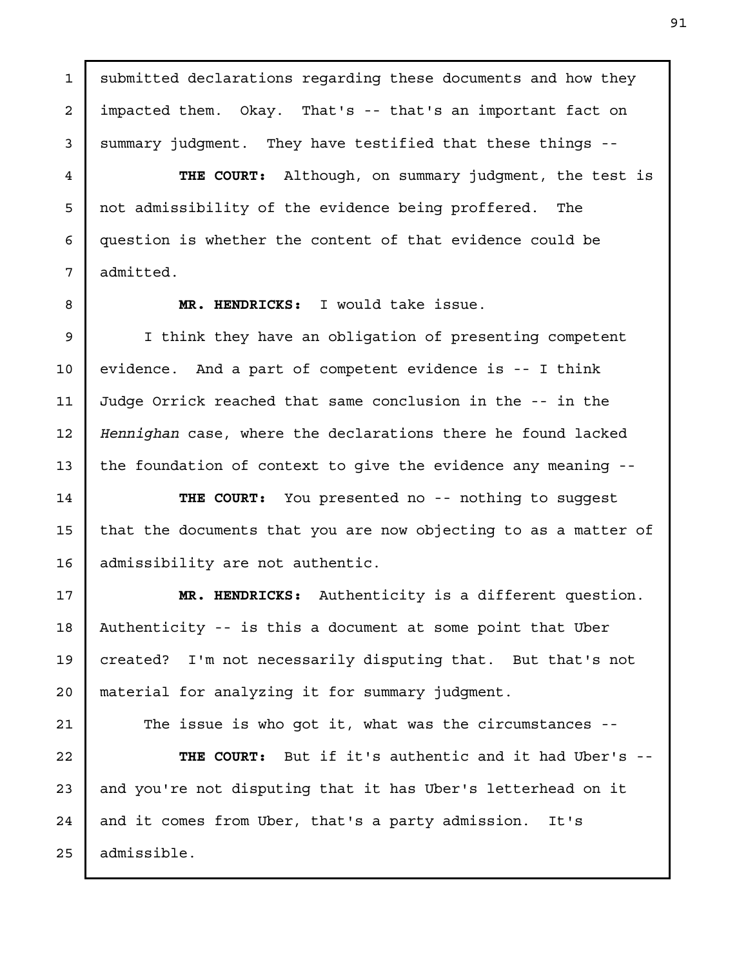impacted them. Okay. That's -- that's an important fact on summary judgment. They have testified that these things -- THE COURT: Although, on summary judgment, the test is not admissibility of the evidence being proffered. The question is whether the content of that evidence could be admitted. MR. HENDRICKS: I would take issue. I think they have an obligation of presenting competent evidence. And a part of competent evidence is -- I think Judge Orrick reached that same conclusion in the -- in the Hennighan case, where the declarations there he found lacked the foundation of context to give the evidence any meaning -- THE COURT: You presented no -- nothing to suggest that the documents that you are now objecting to as a matter of admissibility are not authentic. MR. HENDRICKS: Authenticity is a different question. 2 3 4 5 6 7 8 9 10 11 12 13 14 15 16 17

submitted declarations regarding these documents and how they

1

Authenticity -- is this a document at some point that Uber created? I'm not necessarily disputing that. But that's not material for analyzing it for summary judgment. 18 19 20

The issue is who got it, what was the circumstances -- THE COURT: But if it's authentic and it had Uber's - and you're not disputing that it has Uber's letterhead on it and it comes from Uber, that's a party admission. It's admissible. 21 22 23 24 25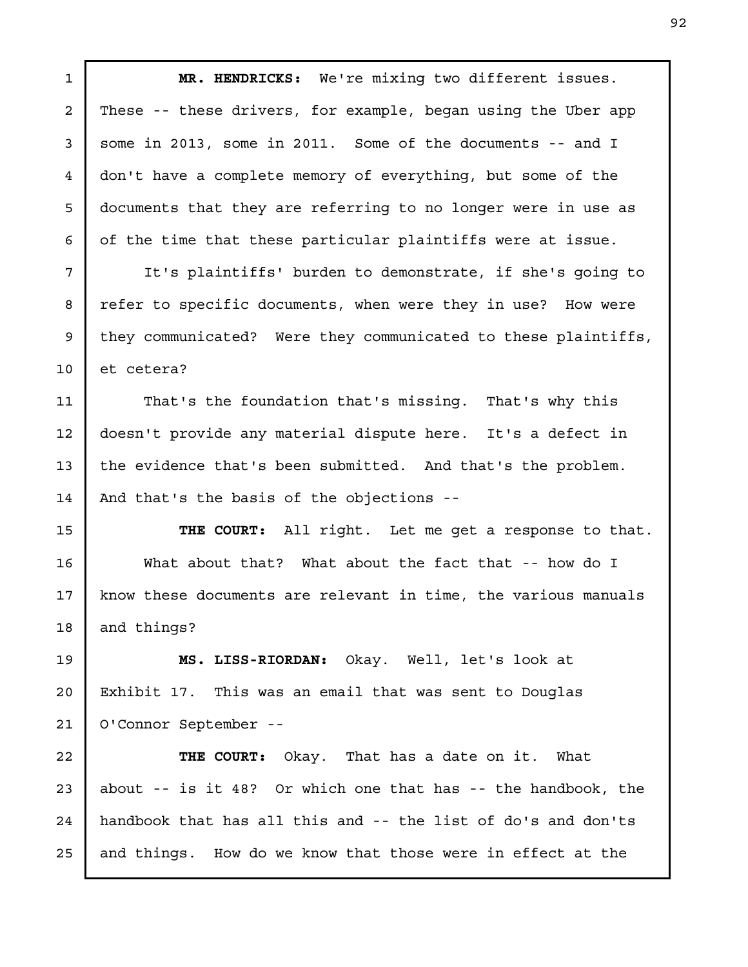MR. HENDRICKS: We're mixing two different issues. These -- these drivers, for example, began using the Uber app some in 2013, some in 2011. Some of the documents -- and I don't have a complete memory of everything, but some of the documents that they are referring to no longer were in use as of the time that these particular plaintiffs were at issue. It's plaintiffs' burden to demonstrate, if she's going to refer to specific documents, when were they in use? How were they communicated? Were they communicated to these plaintiffs, et cetera? That's the foundation that's missing. That's why this doesn't provide any material dispute here. It's a defect in the evidence that's been submitted. And that's the problem. And that's the basis of the objections -- THE COURT: All right. Let me get a response to that. What about that? What about the fact that -- how do I know these documents are relevant in time, the various manuals and things? MS. LISS-RIORDAN: Okay. Well, let's look at Exhibit 17. This was an email that was sent to Douglas O'Connor September -- THE COURT: Okay. That has a date on it. What about -- is it 48? Or which one that has -- the handbook, the handbook that has all this and -- the list of do's and don'ts and things. How do we know that those were in effect at the 1 2 3 4 5 6 7 8 9 10 11 12 13 14 15 16 17 18 19 20 21 22 23 24 25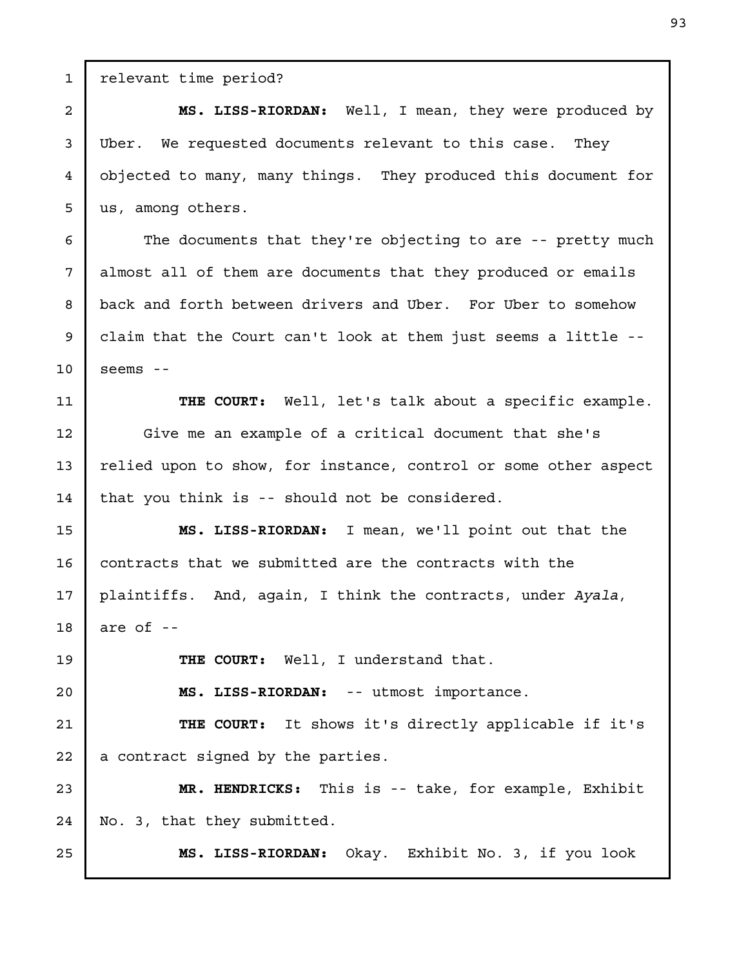relevant time period? us, among others. seems - that you think is -- should not be considered. are of -- THE COURT: Well, I understand that. MS. LISS-RIORDAN: -- utmost importance. THE COURT: It shows it's directly applicable if it's a contract signed by the parties. MR. HENDRICKS: This is -- take, for example, Exhibit

No. 3, that they submitted.

MS. LISS-RIORDAN: Okay. Exhibit No. 3, if you look

MS. LISS-RIORDAN: Well, I mean, they were produced by Uber. We requested documents relevant to this case. They objected to many, many things. They produced this document for

The documents that they're objecting to are -- pretty much almost all of them are documents that they produced or emails back and forth between drivers and Uber. For Uber to somehow claim that the Court can't look at them just seems a little --

THE COURT: Well, let's talk about a specific example. Give me an example of a critical document that she's relied upon to show, for instance, control or some other aspect 11 12 13 14

MS. LISS-RIORDAN: I mean, we'll point out that the contracts that we submitted are the contracts with the plaintiffs. And, again, I think the contracts, under Ayala, 15 16 17 18

1

2

3

4

5

6

7

8

9

10

19

20

21

22

23

24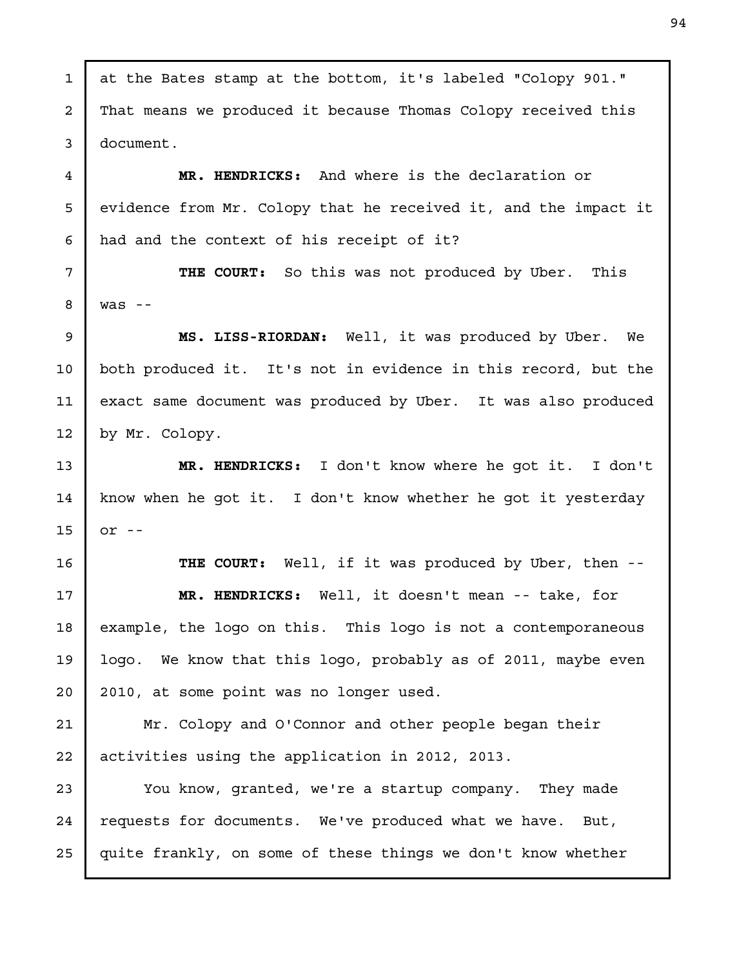at the Bates stamp at the bottom, it's labeled "Colopy 901." That means we produced it because Thomas Colopy received this document. MR. HENDRICKS: And where is the declaration or evidence from Mr. Colopy that he received it, and the impact it had and the context of his receipt of it? THE COURT: So this was not produced by Uber. This was -- MS. LISS-RIORDAN: Well, it was produced by Uber. We both produced it. It's not in evidence in this record, but the exact same document was produced by Uber. It was also produced by Mr. Colopy. MR. HENDRICKS: I don't know where he got it. I don't know when he got it. I don't know whether he got it yesterday  $or$   $-$ THE COURT: Well, if it was produced by Uber, then --MR. HENDRICKS: Well, it doesn't mean -- take, for example, the logo on this. This logo is not a contemporaneous logo. We know that this logo, probably as of 2011, maybe even 2010, at some point was no longer used. Mr. Colopy and O'Connor and other people began their activities using the application in 2012, 2013. You know, granted, we're a startup company. They made requests for documents. We've produced what we have. But, quite frankly, on some of these things we don't know whether 1 2 3 4 5 6 7 8 9 10 11 12 13 14 15 16 17 18 19 20 21 22 23 24 25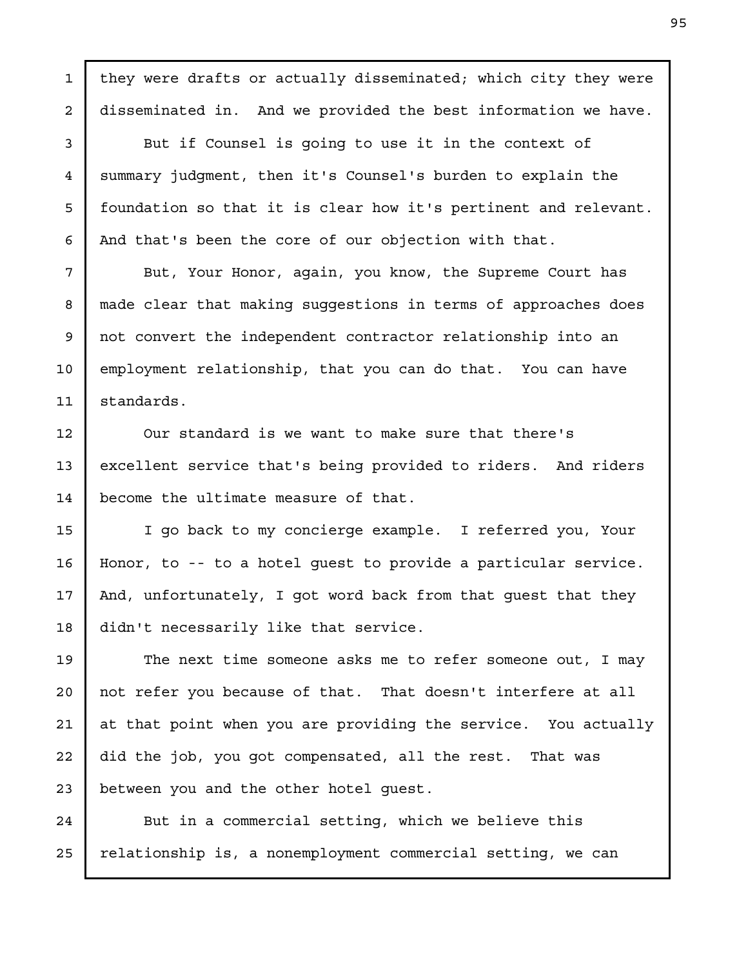they were drafts or actually disseminated; which city they were disseminated in. And we provided the best information we have. But if Counsel is going to use it in the context of summary judgment, then it's Counsel's burden to explain the foundation so that it is clear how it's pertinent and relevant. And that's been the core of our objection with that. But, Your Honor, again, you know, the Supreme Court has made clear that making suggestions in terms of approaches does not convert the independent contractor relationship into an employment relationship, that you can do that. You can have standards. Our standard is we want to make sure that there's excellent service that's being provided to riders. And riders become the ultimate measure of that. I go back to my concierge example. I referred you, Your Honor, to -- to a hotel guest to provide a particular service. And, unfortunately, I got word back from that guest that they didn't necessarily like that service. The next time someone asks me to refer someone out, I may not refer you because of that. That doesn't interfere at all at that point when you are providing the service. You actually did the job, you got compensated, all the rest. That was between you and the other hotel guest. 1 2 3 4 5 6 7 8 9 10 11 12 13 14 15 16 17 18 19 20 21 22 23

But in a commercial setting, which we believe this relationship is, a nonemployment commercial setting, we can 24 25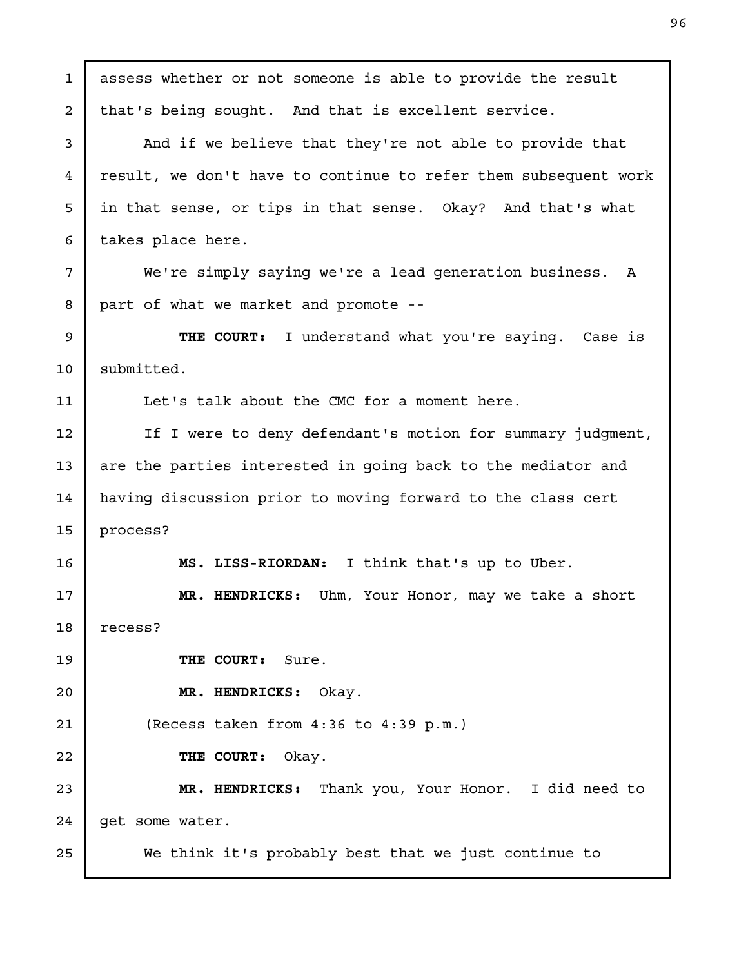assess whether or not someone is able to provide the result that's being sought. And that is excellent service. And if we believe that they're not able to provide that result, we don't have to continue to refer them subsequent work in that sense, or tips in that sense. Okay? And that's what takes place here. We're simply saying we're a lead generation business. A part of what we market and promote -- THE COURT: I understand what you're saying. Case is submitted. Let's talk about the CMC for a moment here. If I were to deny defendant's motion for summary judgment, are the parties interested in going back to the mediator and having discussion prior to moving forward to the class cert process? MS. LISS-RIORDAN: I think that's up to Uber. MR. HENDRICKS: Uhm, Your Honor, may we take a short recess? THE COURT: Sure. MR. HENDRICKS: Okay. (Recess taken from 4:36 to 4:39 p.m.) THE COURT: Okay. MR. HENDRICKS: Thank you, Your Honor. I did need to get some water. We think it's probably best that we just continue to 1 2 3 4 5 6 7 8 9 10 11 12 13 14 15 16 17 18 19 20 21 22 23 24 25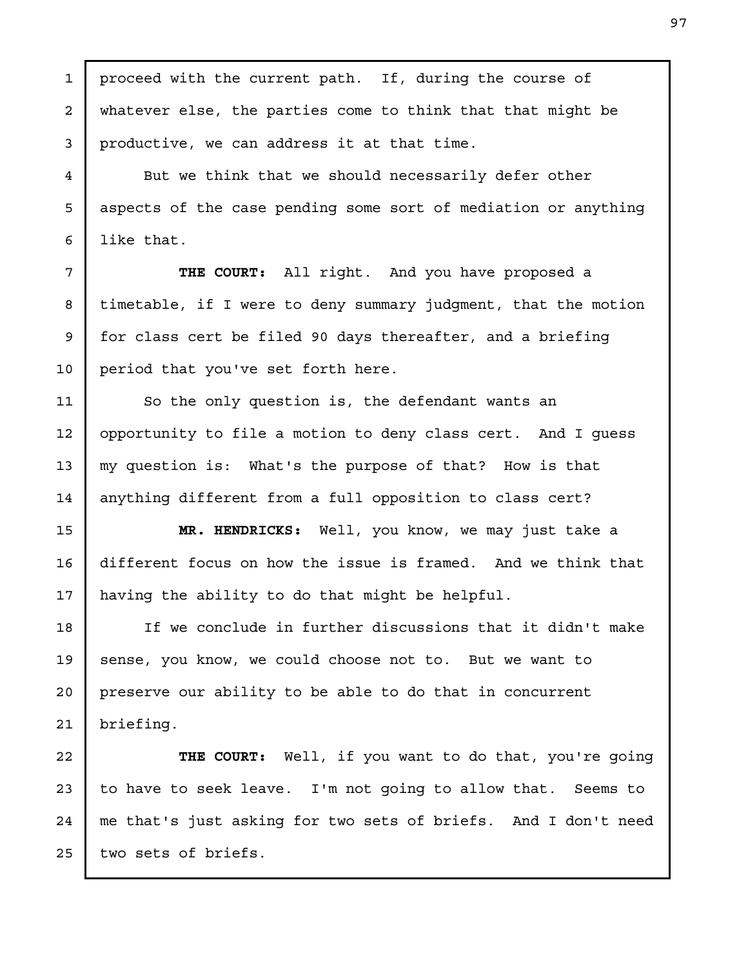proceed with the current path. If, during the course of whatever else, the parties come to think that that might be productive, we can address it at that time. But we think that we should necessarily defer other aspects of the case pending some sort of mediation or anything like that. THE COURT: All right. And you have proposed a timetable, if I were to deny summary judgment, that the motion for class cert be filed 90 days thereafter, and a briefing period that you've set forth here. So the only question is, the defendant wants an opportunity to file a motion to deny class cert. And I guess my question is: What's the purpose of that? How is that anything different from a full opposition to class cert? MR. HENDRICKS: Well, you know, we may just take a different focus on how the issue is framed. And we think that having the ability to do that might be helpful. If we conclude in further discussions that it didn't make sense, you know, we could choose not to. But we want to preserve our ability to be able to do that in concurrent briefing. THE COURT: Well, if you want to do that, you're going to have to seek leave. I'm not going to allow that. Seems to me that's just asking for two sets of briefs. And I don't need two sets of briefs. 1 2 3 4 5 6 7 8 9 10 11 12 13 14 15 16 17 18 19 20 21 22 23 24 25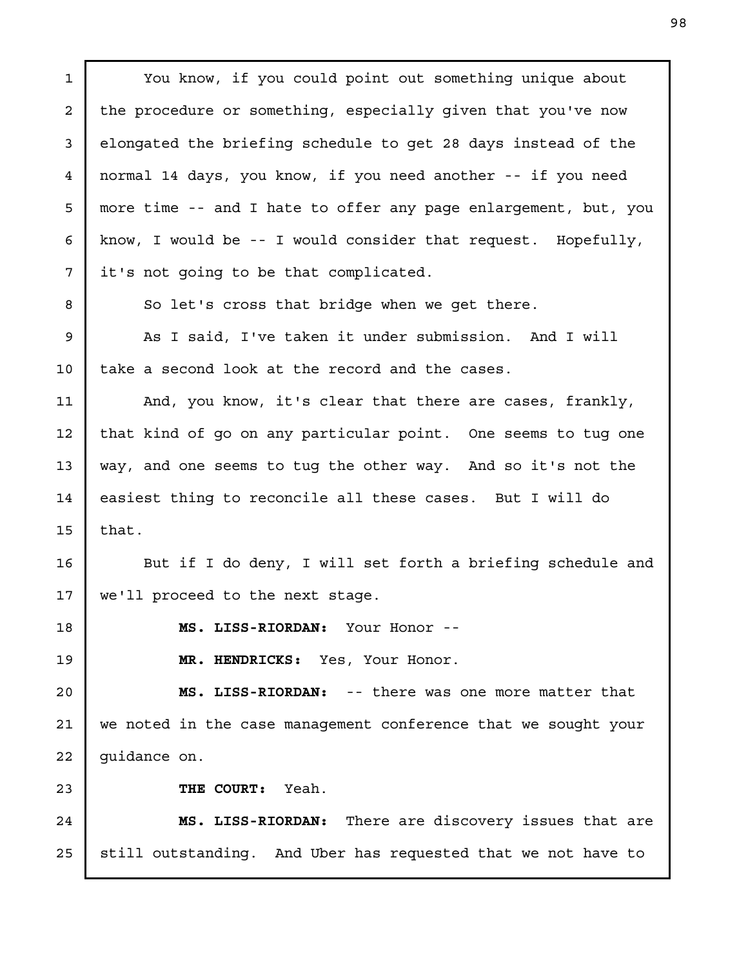You know, if you could point out something unique about the procedure or something, especially given that you've now elongated the briefing schedule to get 28 days instead of the normal 14 days, you know, if you need another -- if you need more time -- and I hate to offer any page enlargement, but, you know, I would be -- I would consider that request. Hopefully, it's not going to be that complicated. So let's cross that bridge when we get there. As I said, I've taken it under submission. And I will take a second look at the record and the cases. And, you know, it's clear that there are cases, frankly, that kind of go on any particular point. One seems to tug one way, and one seems to tug the other way. And so it's not the easiest thing to reconcile all these cases. But I will do that. But if I do deny, I will set forth a briefing schedule and we'll proceed to the next stage. MS. LISS-RIORDAN: Your Honor -- MR. HENDRICKS: Yes, Your Honor. MS. LISS-RIORDAN: -- there was one more matter that we noted in the case management conference that we sought your guidance on. THE COURT: Yeah. MS. LISS-RIORDAN: There are discovery issues that are still outstanding. And Uber has requested that we not have to 1 2 3 4 5 6 7 8 9 10 11 12 13 14 15 16 17 18 19 20 21 22 23 24 25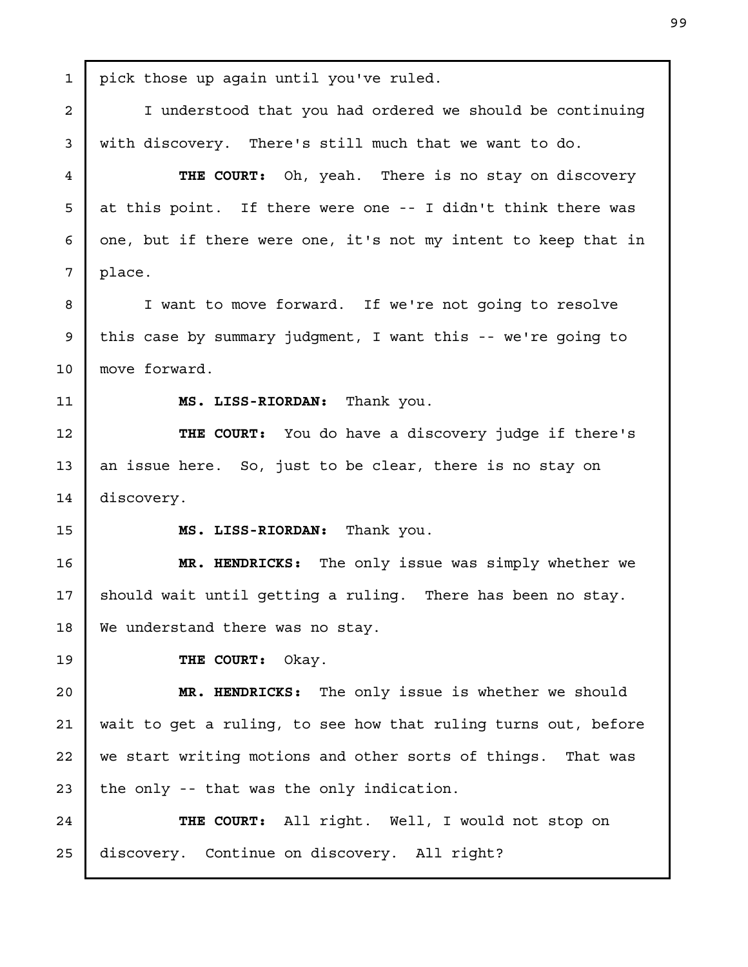pick those up again until you've ruled. I understood that you had ordered we should be continuing with discovery. There's still much that we want to do. THE COURT: Oh, yeah. There is no stay on discovery at this point. If there were one -- I didn't think there was one, but if there were one, it's not my intent to keep that in place. I want to move forward. If we're not going to resolve this case by summary judgment, I want this -- we're going to move forward. MS. LISS-RIORDAN: Thank you. THE COURT: You do have a discovery judge if there's an issue here. So, just to be clear, there is no stay on discovery. MS. LISS-RIORDAN: Thank you. MR. HENDRICKS: The only issue was simply whether we should wait until getting a ruling. There has been no stay. We understand there was no stay. THE COURT: Okay. MR. HENDRICKS: The only issue is whether we should wait to get a ruling, to see how that ruling turns out, before we start writing motions and other sorts of things. That was the only -- that was the only indication. THE COURT: All right. Well, I would not stop on discovery. Continue on discovery. All right? 1 2 3 4 5 6 7 8 9 10 11 12 13 14 15 16 17 18 19 20 21 22 23 24 25